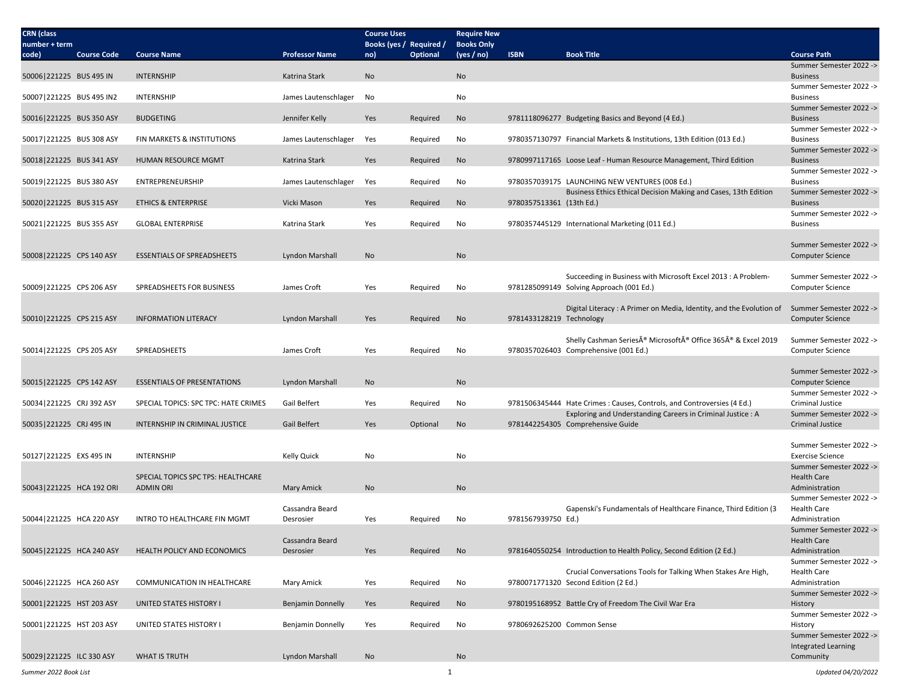| <b>CRN</b> (class<br>number + term |                    |                                      |                              | <b>Course Uses</b><br>Books (yes / Required / |                 | <b>Require New</b><br><b>Books Only</b> |                            |                                                                                             |                                                    |
|------------------------------------|--------------------|--------------------------------------|------------------------------|-----------------------------------------------|-----------------|-----------------------------------------|----------------------------|---------------------------------------------------------------------------------------------|----------------------------------------------------|
| code)                              | <b>Course Code</b> | <b>Course Name</b>                   | <b>Professor Name</b>        | no)                                           | <b>Optional</b> | (yes / no)                              | <b>ISBN</b>                | <b>Book Title</b>                                                                           | <b>Course Path</b>                                 |
|                                    |                    |                                      |                              |                                               |                 |                                         |                            |                                                                                             | Summer Semester 2022 ->                            |
| 50006 221225 BUS 495 IN            |                    | <b>INTERNSHIP</b>                    | Katrina Stark                | <b>No</b>                                     |                 | No                                      |                            |                                                                                             | <b>Business</b><br>Summer Semester 2022 ->         |
| 50007 221225 BUS 495 IN2           |                    | <b>INTERNSHIP</b>                    | James Lautenschlager         | No                                            |                 | No                                      |                            |                                                                                             | <b>Business</b>                                    |
|                                    |                    | <b>BUDGETING</b>                     |                              |                                               |                 |                                         |                            |                                                                                             | Summer Semester 2022 -><br><b>Business</b>         |
| 50016 221225 BUS 350 ASY           |                    |                                      | Jennifer Kelly               | Yes                                           | Required        | <b>No</b>                               |                            | 9781118096277 Budgeting Basics and Beyond (4 Ed.)                                           | Summer Semester 2022 ->                            |
| 50017 221225 BUS 308 ASY           |                    | FIN MARKETS & INSTITUTIONS           | James Lautenschlager         | Yes                                           | Required        | No                                      |                            | 9780357130797 Financial Markets & Institutions, 13th Edition (013 Ed.)                      | <b>Business</b>                                    |
| 50018 221225 BUS 341 ASY           |                    | HUMAN RESOURCE MGMT                  | Katrina Stark                | Yes                                           | Required        | No                                      |                            | 9780997117165 Loose Leaf - Human Resource Management, Third Edition                         | Summer Semester 2022 -><br><b>Business</b>         |
|                                    |                    |                                      |                              |                                               |                 |                                         |                            |                                                                                             | Summer Semester 2022 ->                            |
| 50019 221225 BUS 380 ASY           |                    | <b>ENTREPRENEURSHIP</b>              | James Lautenschlager         | Yes                                           | Required        | No                                      |                            | 9780357039175 LAUNCHING NEW VENTURES (008 Ed.)                                              | <b>Business</b>                                    |
| 50020 221225 BUS 315 ASY           |                    | <b>ETHICS &amp; ENTERPRISE</b>       | Vicki Mason                  | Yes                                           | Required        | No                                      | 9780357513361 (13th Ed.)   | Business Ethics Ethical Decision Making and Cases, 13th Edition                             | Summer Semester 2022 -><br><b>Business</b>         |
|                                    |                    |                                      |                              |                                               |                 |                                         |                            |                                                                                             | Summer Semester 2022 ->                            |
| 50021 221225 BUS 355 ASY           |                    | <b>GLOBAL ENTERPRISE</b>             | Katrina Stark                | Yes                                           | Required        | No                                      |                            | 9780357445129 International Marketing (011 Ed.)                                             | <b>Business</b>                                    |
|                                    |                    |                                      |                              |                                               |                 |                                         |                            |                                                                                             | Summer Semester 2022 ->                            |
| 50008 221225 CPS 140 ASY           |                    | <b>ESSENTIALS OF SPREADSHEETS</b>    | Lyndon Marshall              | No                                            |                 | No                                      |                            |                                                                                             | <b>Computer Science</b>                            |
|                                    |                    |                                      |                              |                                               |                 |                                         |                            | Succeeding in Business with Microsoft Excel 2013 : A Problem-                               | Summer Semester 2022 ->                            |
| 50009 221225 CPS 206 ASY           |                    | SPREADSHEETS FOR BUSINESS            | James Croft                  | Yes                                           | Required        | No                                      |                            | 9781285099149 Solving Approach (001 Ed.)                                                    | <b>Computer Science</b>                            |
|                                    |                    |                                      |                              |                                               |                 |                                         |                            |                                                                                             |                                                    |
| 50010 221225 CPS 215 ASY           |                    | <b>INFORMATION LITERACY</b>          | Lyndon Marshall              | Yes                                           | Required        | No                                      | 9781433128219 Technology   | Digital Literacy: A Primer on Media, Identity, and the Evolution of Summer Semester 2022 -> | <b>Computer Science</b>                            |
|                                    |                    |                                      |                              |                                               |                 |                                         |                            |                                                                                             |                                                    |
|                                    |                    |                                      |                              |                                               |                 |                                         |                            | Shelly Cashman Series® Microsoft® Office 365® & Excel 2019                                  | Summer Semester 2022 ->                            |
| 50014 221225 CPS 205 ASY           |                    | SPREADSHEETS                         | James Croft                  | Yes                                           | Required        | No                                      |                            | 9780357026403 Comprehensive (001 Ed.)                                                       | <b>Computer Science</b>                            |
|                                    |                    |                                      |                              |                                               |                 |                                         |                            |                                                                                             | Summer Semester 2022 ->                            |
| 50015 221225 CPS 142 ASY           |                    | <b>ESSENTIALS OF PRESENTATIONS</b>   | Lyndon Marshall              | No                                            |                 | No                                      |                            |                                                                                             | <b>Computer Science</b><br>Summer Semester 2022 -> |
| 50034 221225 CRJ 392 ASY           |                    | SPECIAL TOPICS: SPC TPC: HATE CRIMES | Gail Belfert                 | Yes                                           | Required        | No                                      |                            | 9781506345444 Hate Crimes: Causes, Controls, and Controversies (4 Ed.)                      | Criminal Justice                                   |
|                                    |                    |                                      |                              |                                               |                 |                                         |                            | Exploring and Understanding Careers in Criminal Justice : A                                 | Summer Semester 2022 ->                            |
| 50035 221225 CRJ 495 IN            |                    | INTERNSHIP IN CRIMINAL JUSTICE       | Gail Belfert                 | Yes                                           | Optional        | No                                      |                            | 9781442254305 Comprehensive Guide                                                           | Criminal Justice                                   |
|                                    |                    |                                      |                              |                                               |                 |                                         |                            |                                                                                             | Summer Semester 2022 ->                            |
| 50127 221225 EXS 495 IN            |                    | <b>INTERNSHIP</b>                    | Kelly Quick                  | No                                            |                 | No                                      |                            |                                                                                             | <b>Exercise Science</b>                            |
|                                    |                    | SPECIAL TOPICS SPC TPS: HEALTHCARE   |                              |                                               |                 |                                         |                            |                                                                                             | Summer Semester 2022 -><br><b>Health Care</b>      |
| 50043 221225 HCA 192 ORI           |                    | <b>ADMIN ORI</b>                     | Mary Amick                   | <b>No</b>                                     |                 | No                                      |                            |                                                                                             | Administration                                     |
|                                    |                    |                                      | Cassandra Beard              |                                               |                 |                                         |                            | Gapenski's Fundamentals of Healthcare Finance, Third Edition (3                             | Summer Semester 2022 -><br><b>Health Care</b>      |
| 50044 221225 HCA 220 ASY           |                    | INTRO TO HEALTHCARE FIN MGMT         | Desrosier                    | Yes                                           | Required        | No                                      | 9781567939750 Ed.)         |                                                                                             | Administration                                     |
|                                    |                    |                                      |                              |                                               |                 |                                         |                            |                                                                                             | Summer Semester 2022 ->                            |
| 50045 221225 HCA 240 ASY           |                    | HEALTH POLICY AND ECONOMICS          | Cassandra Beard<br>Desrosier | Yes                                           | Required        | No                                      |                            | 9781640550254 Introduction to Health Policy, Second Edition (2 Ed.)                         | <b>Health Care</b><br>Administration               |
|                                    |                    |                                      |                              |                                               |                 |                                         |                            |                                                                                             | Summer Semester 2022 ->                            |
|                                    |                    |                                      |                              |                                               |                 |                                         |                            | Crucial Conversations Tools for Talking When Stakes Are High,                               | Health Care                                        |
| 50046 221225 HCA 260 ASY           |                    | COMMUNICATION IN HEALTHCARE          | Mary Amick                   | Yes                                           | Required        | No                                      |                            | 9780071771320 Second Edition (2 Ed.)                                                        | Administration<br>Summer Semester 2022 ->          |
| 50001 221225 HST 203 ASY           |                    | UNITED STATES HISTORY I              | <b>Benjamin Donnelly</b>     | Yes                                           | Required        | No                                      |                            | 9780195168952 Battle Cry of Freedom The Civil War Era                                       | History                                            |
|                                    |                    |                                      |                              |                                               |                 |                                         |                            |                                                                                             | Summer Semester 2022 ->                            |
| 50001 221225 HST 203 ASY           |                    | UNITED STATES HISTORY I              | Benjamin Donnelly            | Yes                                           | Required        | No                                      | 9780692625200 Common Sense |                                                                                             | History<br>Summer Semester 2022 ->                 |
|                                    |                    |                                      |                              |                                               |                 |                                         |                            |                                                                                             | <b>Integrated Learning</b>                         |
| 50029 221225 ILC 330 ASY           |                    | <b>WHAT IS TRUTH</b>                 | Lyndon Marshall              | No                                            |                 | No                                      |                            |                                                                                             | Community                                          |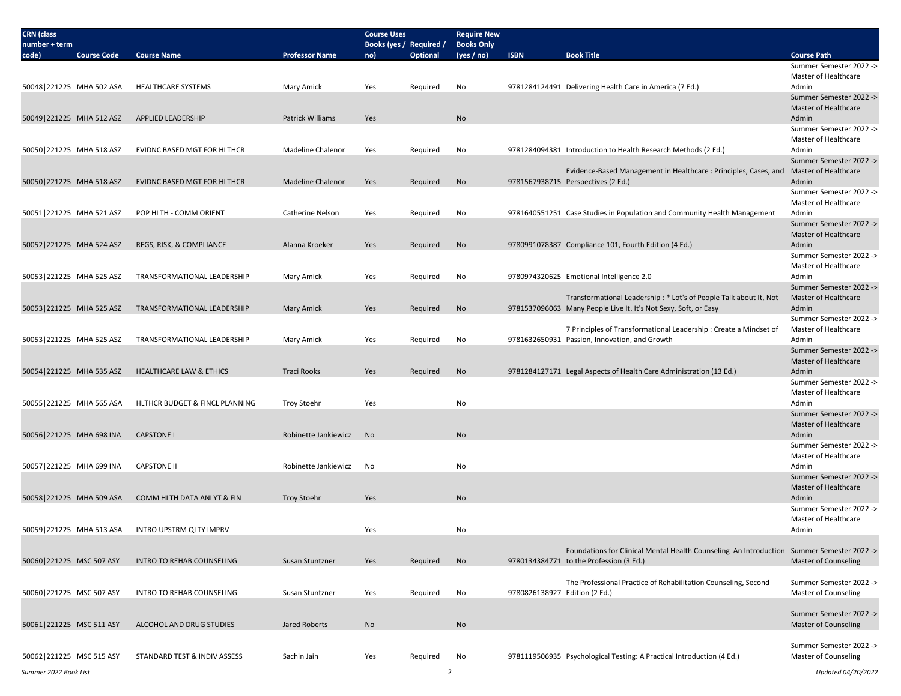| <b>CRN</b> (class<br>number + term |                    |                                       |                          | <b>Course Uses</b><br>Books (yes / Required / |                 | <b>Require New</b><br><b>Books Only</b> |                               |                                                                                                                    |                                                 |
|------------------------------------|--------------------|---------------------------------------|--------------------------|-----------------------------------------------|-----------------|-----------------------------------------|-------------------------------|--------------------------------------------------------------------------------------------------------------------|-------------------------------------------------|
| code)                              | <b>Course Code</b> | <b>Course Name</b>                    | <b>Professor Name</b>    | no)                                           | <b>Optional</b> | (yes / no)                              | <b>ISBN</b>                   | <b>Book Title</b>                                                                                                  | <b>Course Path</b>                              |
|                                    |                    |                                       |                          |                                               |                 |                                         |                               |                                                                                                                    | Summer Semester 2022 ->                         |
|                                    |                    |                                       |                          |                                               |                 |                                         |                               |                                                                                                                    | Master of Healthcare                            |
| 50048 221225 MHA 502 ASA           |                    | <b>HEALTHCARE SYSTEMS</b>             | Mary Amick               | Yes                                           | Required        | No                                      |                               | 9781284124491 Delivering Health Care in America (7 Ed.)                                                            | Admin                                           |
|                                    |                    |                                       |                          |                                               |                 |                                         |                               |                                                                                                                    | Summer Semester 2022 -><br>Master of Healthcare |
| 50049 221225 MHA 512 ASZ           |                    | APPLIED LEADERSHIP                    | Patrick Williams         | Yes                                           |                 | No                                      |                               |                                                                                                                    | Admin                                           |
|                                    |                    |                                       |                          |                                               |                 |                                         |                               |                                                                                                                    | Summer Semester 2022 ->                         |
|                                    |                    |                                       |                          |                                               |                 |                                         |                               |                                                                                                                    | Master of Healthcare                            |
| 50050 221225 MHA 518 ASZ           |                    | EVIDNC BASED MGT FOR HLTHCR           | Madeline Chalenor        | Yes                                           | Required        | No                                      |                               | 9781284094381 Introduction to Health Research Methods (2 Ed.)                                                      | Admin                                           |
|                                    |                    |                                       |                          |                                               |                 |                                         |                               |                                                                                                                    | Summer Semester 2022 ->                         |
|                                    |                    |                                       |                          |                                               |                 |                                         |                               | Evidence-Based Management in Healthcare: Principles, Cases, and                                                    | Master of Healthcare                            |
| 50050 221225 MHA 518 ASZ           |                    | <b>EVIDNC BASED MGT FOR HLTHCR</b>    | <b>Madeline Chalenor</b> | Yes                                           | Required        | No                                      |                               | 9781567938715 Perspectives (2 Ed.)                                                                                 | Admin                                           |
|                                    |                    |                                       |                          |                                               |                 |                                         |                               |                                                                                                                    | Summer Semester 2022 ->                         |
|                                    |                    |                                       |                          |                                               |                 |                                         |                               |                                                                                                                    | Master of Healthcare                            |
| 50051 221225 MHA 521 ASZ           |                    | POP HLTH - COMM ORIENT                | Catherine Nelson         | Yes                                           | Required        | No                                      |                               | 9781640551251 Case Studies in Population and Community Health Management                                           | Admin<br>Summer Semester 2022 ->                |
|                                    |                    |                                       |                          |                                               |                 |                                         |                               |                                                                                                                    | Master of Healthcare                            |
| 50052 221225 MHA 524 ASZ           |                    | REGS, RISK, & COMPLIANCE              | Alanna Kroeker           | Yes                                           | Required        | No                                      |                               | 9780991078387 Compliance 101, Fourth Edition (4 Ed.)                                                               | Admin                                           |
|                                    |                    |                                       |                          |                                               |                 |                                         |                               |                                                                                                                    | Summer Semester 2022 ->                         |
|                                    |                    |                                       |                          |                                               |                 |                                         |                               |                                                                                                                    | Master of Healthcare                            |
| 50053 221225 MHA 525 ASZ           |                    | TRANSFORMATIONAL LEADERSHIP           | Mary Amick               | Yes                                           | Required        | No                                      |                               | 9780974320625 Emotional Intelligence 2.0                                                                           | Admin                                           |
|                                    |                    |                                       |                          |                                               |                 |                                         |                               |                                                                                                                    | Summer Semester 2022 ->                         |
|                                    |                    |                                       |                          |                                               |                 |                                         |                               | Transformational Leadership: * Lot's of People Talk about It, Not                                                  | Master of Healthcare                            |
| 50053 221225 MHA 525 ASZ           |                    | TRANSFORMATIONAL LEADERSHIP           | Mary Amick               | Yes                                           | Required        | No                                      |                               | 9781537096063 Many People Live It. It's Not Sexy, Soft, or Easy                                                    | Admin                                           |
|                                    |                    |                                       |                          |                                               |                 |                                         |                               |                                                                                                                    | Summer Semester 2022 ->                         |
| 50053 221225 MHA 525 ASZ           |                    | TRANSFORMATIONAL LEADERSHIP           | Mary Amick               | Yes                                           | Required        | No                                      |                               | 7 Principles of Transformational Leadership : Create a Mindset of<br>9781632650931 Passion, Innovation, and Growth | Master of Healthcare<br>Admin                   |
|                                    |                    |                                       |                          |                                               |                 |                                         |                               |                                                                                                                    | Summer Semester 2022 ->                         |
|                                    |                    |                                       |                          |                                               |                 |                                         |                               |                                                                                                                    | Master of Healthcare                            |
| 50054 221225 MHA 535 ASZ           |                    | <b>HEALTHCARE LAW &amp; ETHICS</b>    | <b>Traci Rooks</b>       | Yes                                           | Required        | No                                      |                               | 9781284127171 Legal Aspects of Health Care Administration (13 Ed.)                                                 | Admin                                           |
|                                    |                    |                                       |                          |                                               |                 |                                         |                               |                                                                                                                    | Summer Semester 2022 ->                         |
|                                    |                    |                                       |                          |                                               |                 |                                         |                               |                                                                                                                    | Master of Healthcare                            |
| 50055 221225 MHA 565 ASA           |                    | HLTHCR BUDGET & FINCL PLANNING        | <b>Troy Stoehr</b>       | Yes                                           |                 | No                                      |                               |                                                                                                                    | Admin                                           |
|                                    |                    |                                       |                          |                                               |                 |                                         |                               |                                                                                                                    | Summer Semester 2022 ->                         |
|                                    |                    |                                       |                          |                                               |                 |                                         |                               |                                                                                                                    | Master of Healthcare                            |
| 50056 221225 MHA 698 INA           |                    | <b>CAPSTONE I</b>                     | Robinette Jankiewicz     | No                                            |                 | No                                      |                               |                                                                                                                    | Admin<br>Summer Semester 2022 ->                |
|                                    |                    |                                       |                          |                                               |                 |                                         |                               |                                                                                                                    | Master of Healthcare                            |
| 50057 221225 MHA 699 INA           |                    | <b>CAPSTONE II</b>                    | Robinette Jankiewicz     | No                                            |                 | No                                      |                               |                                                                                                                    | Admin                                           |
|                                    |                    |                                       |                          |                                               |                 |                                         |                               |                                                                                                                    | Summer Semester 2022 ->                         |
|                                    |                    |                                       |                          |                                               |                 |                                         |                               |                                                                                                                    | Master of Healthcare                            |
| 50058 221225 MHA 509 ASA           |                    | <b>COMM HLTH DATA ANLYT &amp; FIN</b> | <b>Troy Stoehr</b>       | Yes                                           |                 | No                                      |                               |                                                                                                                    | Admin                                           |
|                                    |                    |                                       |                          |                                               |                 |                                         |                               |                                                                                                                    | Summer Semester 2022 ->                         |
|                                    |                    |                                       |                          |                                               |                 |                                         |                               |                                                                                                                    | Master of Healthcare                            |
| 50059 221225 MHA 513 ASA           |                    | INTRO UPSTRM QLTY IMPRV               |                          | Yes                                           |                 | No                                      |                               |                                                                                                                    | Admin                                           |
|                                    |                    |                                       |                          |                                               |                 |                                         |                               | Foundations for Clinical Mental Health Counseling An Introduction Summer Semester 2022 ->                          |                                                 |
| 50060 221225 MSC 507 ASY           |                    | INTRO TO REHAB COUNSELING             | Susan Stuntzner          | Yes                                           | Required        | No                                      |                               | 9780134384771 to the Profession (3 Ed.)                                                                            | <b>Master of Counseling</b>                     |
|                                    |                    |                                       |                          |                                               |                 |                                         |                               |                                                                                                                    |                                                 |
|                                    |                    |                                       |                          |                                               |                 |                                         |                               | The Professional Practice of Rehabilitation Counseling, Second                                                     | Summer Semester 2022 ->                         |
| 50060 221225 MSC 507 ASY           |                    | INTRO TO REHAB COUNSELING             | Susan Stuntzner          | Yes                                           | Required        | No                                      | 9780826138927 Edition (2 Ed.) |                                                                                                                    | <b>Master of Counseling</b>                     |
|                                    |                    |                                       |                          |                                               |                 |                                         |                               |                                                                                                                    |                                                 |
|                                    |                    |                                       |                          |                                               |                 |                                         |                               |                                                                                                                    | Summer Semester 2022 ->                         |
| 50061 221225 MSC 511 ASY           |                    | ALCOHOL AND DRUG STUDIES              | Jared Roberts            | No                                            |                 | No                                      |                               |                                                                                                                    | <b>Master of Counseling</b>                     |
|                                    |                    |                                       |                          |                                               |                 |                                         |                               |                                                                                                                    | Summer Semester 2022 ->                         |
| 50062 221225 MSC 515 ASY           |                    | STANDARD TEST & INDIV ASSESS          | Sachin Jain              | Yes                                           | Required        | No                                      |                               | 9781119506935 Psychological Testing: A Practical Introduction (4 Ed.)                                              | Master of Counseling                            |
|                                    |                    |                                       |                          |                                               |                 |                                         |                               |                                                                                                                    |                                                 |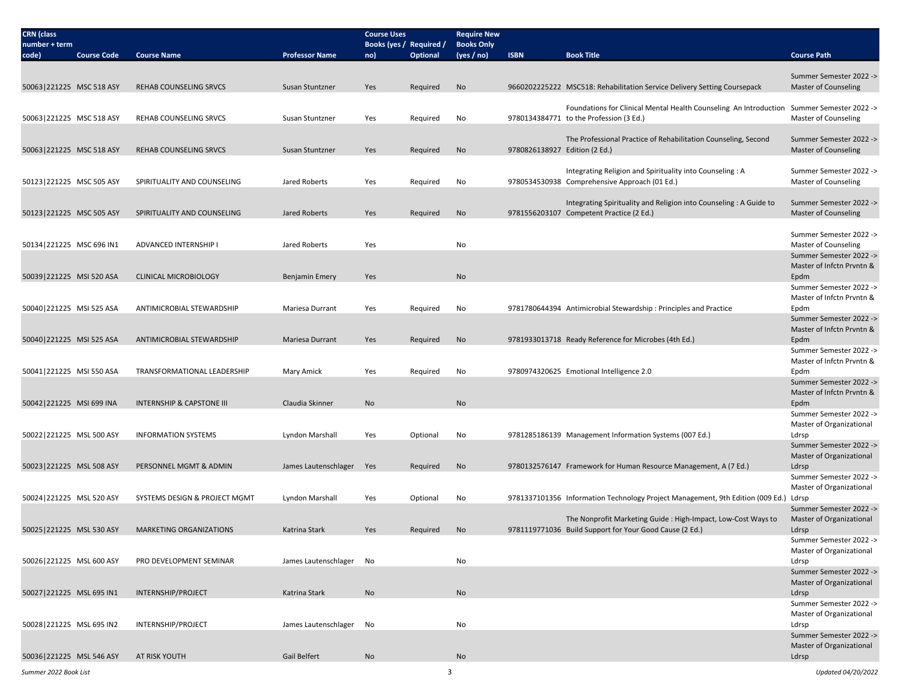| <b>CRN</b> (class<br>number + term |                    |                                      |                          | <b>Course Uses</b><br>Books (yes / Required / |          | <b>Require New</b><br><b>Books Only</b> |                               |                                                                                           |                                                        |
|------------------------------------|--------------------|--------------------------------------|--------------------------|-----------------------------------------------|----------|-----------------------------------------|-------------------------------|-------------------------------------------------------------------------------------------|--------------------------------------------------------|
| code)                              | <b>Course Code</b> | <b>Course Name</b>                   | <b>Professor Name</b>    | no)                                           | Optional | (yes / no)                              | <b>ISBN</b>                   | <b>Book Title</b>                                                                         | <b>Course Path</b>                                     |
|                                    |                    |                                      |                          |                                               |          |                                         |                               |                                                                                           |                                                        |
| 50063 221225 MSC 518 ASY           |                    | REHAB COUNSELING SRVCS               | Susan Stuntzner          | Yes                                           | Required | No                                      |                               | 9660202225222 MSC518: Rehabilitation Service Delivery Setting Coursepack                  | Summer Semester 2022 -><br><b>Master of Counseling</b> |
|                                    |                    |                                      |                          |                                               |          |                                         |                               |                                                                                           |                                                        |
|                                    |                    |                                      |                          |                                               |          |                                         |                               | Foundations for Clinical Mental Health Counseling An Introduction Summer Semester 2022 -> |                                                        |
| 50063 221225 MSC 518 ASY           |                    | <b>REHAB COUNSELING SRVCS</b>        | Susan Stuntzner          | Yes                                           | Required | No                                      |                               | 9780134384771 to the Profession (3 Ed.)                                                   | Master of Counseling                                   |
|                                    |                    |                                      |                          |                                               |          |                                         |                               | The Professional Practice of Rehabilitation Counseling, Second                            | Summer Semester 2022 ->                                |
| 50063 221225 MSC 518 ASY           |                    | REHAB COUNSELING SRVCS               | Susan Stuntzner          | Yes                                           | Required | No                                      | 9780826138927 Edition (2 Ed.) |                                                                                           | <b>Master of Counseling</b>                            |
|                                    |                    |                                      |                          |                                               |          |                                         |                               |                                                                                           |                                                        |
|                                    |                    |                                      |                          |                                               |          |                                         |                               | Integrating Religion and Spirituality into Counseling: A                                  | Summer Semester 2022 ->                                |
| 50123 221225 MSC 505 ASY           |                    | SPIRITUALITY AND COUNSELING          | Jared Roberts            | Yes                                           | Required | No                                      |                               | 9780534530938 Comprehensive Approach (01 Ed.)                                             | Master of Counseling                                   |
|                                    |                    |                                      |                          |                                               |          |                                         |                               | Integrating Spirituality and Religion into Counseling: A Guide to                         | Summer Semester 2022 ->                                |
| 50123 221225 MSC 505 ASY           |                    | SPIRITUALITY AND COUNSELING          | Jared Roberts            | Yes                                           | Required | No                                      |                               | 9781556203107 Competent Practice (2 Ed.)                                                  | <b>Master of Counseling</b>                            |
|                                    |                    |                                      |                          |                                               |          |                                         |                               |                                                                                           |                                                        |
| 50134 221225 MSC 696 IN1           |                    | ADVANCED INTERNSHIP I                | Jared Roberts            | Yes                                           |          | No                                      |                               |                                                                                           | Summer Semester 2022 -><br>Master of Counseling        |
|                                    |                    |                                      |                          |                                               |          |                                         |                               |                                                                                           | Summer Semester 2022 ->                                |
|                                    |                    |                                      |                          |                                               |          |                                         |                               |                                                                                           | Master of Infctn Prvntn &                              |
| 50039 221225 MSI 520 ASA           |                    | <b>CLINICAL MICROBIOLOGY</b>         | <b>Benjamin Emery</b>    | Yes                                           |          | No                                      |                               |                                                                                           | Epdm                                                   |
|                                    |                    |                                      |                          |                                               |          |                                         |                               |                                                                                           | Summer Semester 2022 -><br>Master of Infctn Prvntn &   |
| 50040 221225 MSI 525 ASA           |                    | ANTIMICROBIAL STEWARDSHIP            | Mariesa Durrant          | Yes                                           | Required | No                                      |                               | 9781780644394 Antimicrobial Stewardship: Principles and Practice                          | Epdm                                                   |
|                                    |                    |                                      |                          |                                               |          |                                         |                               |                                                                                           | Summer Semester 2022 ->                                |
|                                    |                    |                                      |                          |                                               |          |                                         |                               |                                                                                           | Master of Infctn Pryntn &                              |
| 50040 221225 MSI 525 ASA           |                    | ANTIMICROBIAL STEWARDSHIP            | <b>Mariesa Durrant</b>   | Yes                                           | Required | <b>No</b>                               |                               | 9781933013718 Ready Reference for Microbes (4th Ed.)                                      | Epdm<br>Summer Semester 2022 ->                        |
|                                    |                    |                                      |                          |                                               |          |                                         |                               |                                                                                           | Master of Infctn Prvntn &                              |
| 50041 221225 MSI 550 ASA           |                    | TRANSFORMATIONAL LEADERSHIP          | Mary Amick               | Yes                                           | Required | No                                      |                               | 9780974320625 Emotional Intelligence 2.0                                                  | Epdm                                                   |
|                                    |                    |                                      |                          |                                               |          |                                         |                               |                                                                                           | Summer Semester 2022 ->                                |
| 50042 221225 MSI 699 INA           |                    | <b>INTERNSHIP &amp; CAPSTONE III</b> | Claudia Skinner          | No                                            |          | No                                      |                               |                                                                                           | Master of Infctn Prvntn &<br>Epdm                      |
|                                    |                    |                                      |                          |                                               |          |                                         |                               |                                                                                           | Summer Semester 2022 ->                                |
|                                    |                    |                                      |                          |                                               |          |                                         |                               |                                                                                           | Master of Organizational                               |
| 50022 221225 MSL 500 ASY           |                    | <b>INFORMATION SYSTEMS</b>           | Lyndon Marshall          | Yes                                           | Optional | No                                      |                               | 9781285186139 Management Information Systems (007 Ed.)                                    | Ldrsp                                                  |
|                                    |                    |                                      |                          |                                               |          |                                         |                               |                                                                                           | Summer Semester 2022 -><br>Master of Organizational    |
| 50023 221225 MSL 508 ASY           |                    | PERSONNEL MGMT & ADMIN               | James Lautenschlager Yes |                                               | Required | No                                      |                               | 9780132576147 Framework for Human Resource Management, A (7 Ed.)                          | Ldrsp                                                  |
|                                    |                    |                                      |                          |                                               |          |                                         |                               |                                                                                           | Summer Semester 2022 ->                                |
|                                    |                    |                                      |                          |                                               |          |                                         |                               |                                                                                           | Master of Organizational                               |
| 50024 221225 MSL 520 ASY           |                    | SYSTEMS DESIGN & PROJECT MGMT        | Lyndon Marshall          | Yes                                           | Optional | No                                      |                               | 9781337101356 Information Technology Project Management, 9th Edition (009 Ed.) Ldrsp      | Summer Semester 2022 ->                                |
|                                    |                    |                                      |                          |                                               |          |                                         |                               | The Nonprofit Marketing Guide: High-Impact, Low-Cost Ways to                              | Master of Organizational                               |
| 50025 221225 MSL 530 ASY           |                    | <b>MARKETING ORGANIZATIONS</b>       | Katrina Stark            | Yes                                           | Required | No                                      |                               | 9781119771036 Build Support for Your Good Cause (2 Ed.)                                   | Ldrsp                                                  |
|                                    |                    |                                      |                          |                                               |          |                                         |                               |                                                                                           | Summer Semester 2022 ->                                |
| 50026 221225 MSL 600 ASY           |                    | PRO DEVELOPMENT SEMINAR              | James Lautenschlager No  |                                               |          | No                                      |                               |                                                                                           | Master of Organizational<br>Ldrsp                      |
|                                    |                    |                                      |                          |                                               |          |                                         |                               |                                                                                           | Summer Semester 2022 ->                                |
|                                    |                    |                                      |                          |                                               |          |                                         |                               |                                                                                           | Master of Organizational                               |
| 50027 221225 MSL 695 IN1           |                    | INTERNSHIP/PROJECT                   | Katrina Stark            | No                                            |          | No                                      |                               |                                                                                           | Ldrsp                                                  |
|                                    |                    |                                      |                          |                                               |          |                                         |                               |                                                                                           | Summer Semester 2022 -><br>Master of Organizational    |
| 50028 221225 MSL 695 IN2           |                    | INTERNSHIP/PROJECT                   | James Lautenschlager No  |                                               |          | No                                      |                               |                                                                                           | Ldrsp                                                  |
|                                    |                    |                                      |                          |                                               |          |                                         |                               |                                                                                           | Summer Semester 2022 ->                                |
|                                    |                    |                                      |                          |                                               |          |                                         |                               |                                                                                           | Master of Organizational                               |
| 50036 221225 MSL 546 ASY           |                    | AT RISK YOUTH                        | Gail Belfert             | No                                            |          | No                                      |                               |                                                                                           | Ldrsp                                                  |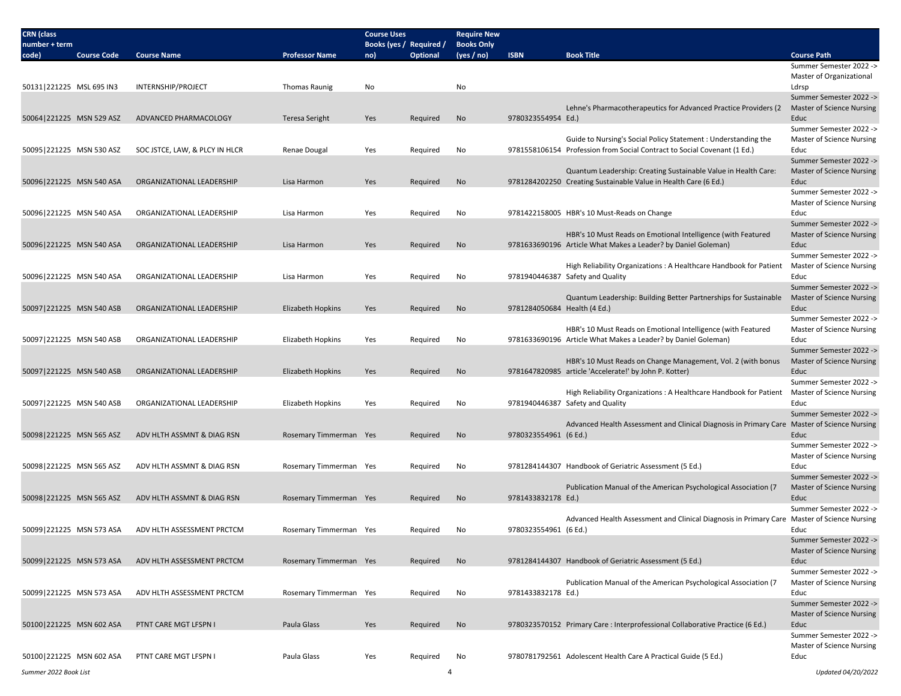| <b>CRN</b> (class<br>number + term |                    |                                |                        | <b>Course Uses</b><br>Books (yes / Required / |                 | <b>Require New</b><br><b>Books Only</b> |                              |                                                                                                                                            |                                                             |
|------------------------------------|--------------------|--------------------------------|------------------------|-----------------------------------------------|-----------------|-----------------------------------------|------------------------------|--------------------------------------------------------------------------------------------------------------------------------------------|-------------------------------------------------------------|
| code)                              | <b>Course Code</b> | <b>Course Name</b>             | <b>Professor Name</b>  | no)                                           | <b>Optional</b> | (yes / no)                              | <b>ISBN</b>                  | <b>Book Title</b>                                                                                                                          | <b>Course Path</b>                                          |
|                                    |                    |                                |                        |                                               |                 |                                         |                              |                                                                                                                                            | Summer Semester 2022 -><br>Master of Organizational         |
| 50131 221225 MSL 695 IN3           |                    | INTERNSHIP/PROJECT             | <b>Thomas Raunig</b>   | No                                            |                 | No                                      |                              |                                                                                                                                            | Ldrsp                                                       |
|                                    |                    |                                |                        |                                               |                 |                                         |                              | Lehne's Pharmacotherapeutics for Advanced Practice Providers (2                                                                            | Summer Semester 2022 -><br><b>Master of Science Nursing</b> |
| 50064 221225 MSN 529 ASZ           |                    | ADVANCED PHARMACOLOGY          | Teresa Seright         | Yes                                           | Required        | <b>No</b>                               | 9780323554954 Ed.)           |                                                                                                                                            | Educ<br>Summer Semester 2022 ->                             |
| 50095 221225 MSN 530 ASZ           |                    | SOC JSTCE, LAW, & PLCY IN HLCR | Renae Dougal           | Yes                                           | Required        | No                                      |                              | Guide to Nursing's Social Policy Statement : Understanding the<br>9781558106154 Profession from Social Contract to Social Covenant (1 Ed.) | Master of Science Nursing<br>Educ                           |
|                                    |                    |                                |                        |                                               |                 |                                         |                              |                                                                                                                                            | Summer Semester 2022 ->                                     |
|                                    |                    |                                |                        |                                               |                 |                                         |                              | Quantum Leadership: Creating Sustainable Value in Health Care:                                                                             | <b>Master of Science Nursing</b>                            |
| 50096 221225 MSN 540 ASA           |                    | ORGANIZATIONAL LEADERSHIP      | Lisa Harmon            | Yes                                           | Required        | No                                      |                              | 9781284202250 Creating Sustainable Value in Health Care (6 Ed.)                                                                            | Educ<br>Summer Semester 2022 ->                             |
|                                    |                    |                                |                        |                                               |                 |                                         |                              |                                                                                                                                            | Master of Science Nursing                                   |
| 50096 221225 MSN 540 ASA           |                    | ORGANIZATIONAL LEADERSHIP      | Lisa Harmon            | Yes                                           | Required        | No                                      |                              | 9781422158005 HBR's 10 Must-Reads on Change                                                                                                | Educ                                                        |
|                                    |                    |                                |                        |                                               |                 |                                         |                              |                                                                                                                                            | Summer Semester 2022 ->                                     |
|                                    |                    |                                |                        |                                               |                 |                                         |                              | HBR's 10 Must Reads on Emotional Intelligence (with Featured                                                                               | Master of Science Nursing                                   |
| 50096 221225 MSN 540 ASA           |                    | ORGANIZATIONAL LEADERSHIP      | Lisa Harmon            | Yes                                           | Required        | No                                      |                              | 9781633690196 Article What Makes a Leader? by Daniel Goleman)                                                                              | Educ<br>Summer Semester 2022 ->                             |
|                                    |                    |                                |                        |                                               |                 |                                         |                              | High Reliability Organizations: A Healthcare Handbook for Patient                                                                          | <b>Master of Science Nursing</b>                            |
| 50096 221225 MSN 540 ASA           |                    | ORGANIZATIONAL LEADERSHIP      | Lisa Harmon            | Yes                                           | Required        | No                                      |                              | 9781940446387 Safety and Quality                                                                                                           | Educ                                                        |
|                                    |                    |                                |                        |                                               |                 |                                         |                              |                                                                                                                                            | Summer Semester 2022 ->                                     |
|                                    |                    |                                |                        |                                               |                 |                                         |                              | Quantum Leadership: Building Better Partnerships for Sustainable                                                                           | <b>Master of Science Nursing</b>                            |
| 50097 221225 MSN 540 ASB           |                    | ORGANIZATIONAL LEADERSHIP      | Elizabeth Hopkins      | Yes                                           | Required        | No                                      | 9781284050684 Health (4 Ed.) |                                                                                                                                            | Educ<br>Summer Semester 2022 ->                             |
|                                    |                    |                                |                        |                                               |                 |                                         |                              | HBR's 10 Must Reads on Emotional Intelligence (with Featured                                                                               | Master of Science Nursing                                   |
| 50097 221225 MSN 540 ASB           |                    | ORGANIZATIONAL LEADERSHIP      | Elizabeth Hopkins      | Yes                                           | Required        | No                                      |                              | 9781633690196 Article What Makes a Leader? by Daniel Goleman)                                                                              | Educ                                                        |
|                                    |                    |                                |                        |                                               |                 |                                         |                              |                                                                                                                                            | Summer Semester 2022 ->                                     |
|                                    |                    |                                |                        |                                               |                 |                                         |                              | HBR's 10 Must Reads on Change Management, Vol. 2 (with bonus                                                                               | Master of Science Nursing                                   |
| 50097 221225 MSN 540 ASB           |                    | ORGANIZATIONAL LEADERSHIP      | Elizabeth Hopkins      | Yes                                           | Required        | No                                      |                              | 9781647820985 article 'Accelerate!' by John P. Kotter)                                                                                     | Educ<br>Summer Semester 2022 ->                             |
|                                    |                    |                                |                        |                                               |                 |                                         |                              | High Reliability Organizations: A Healthcare Handbook for Patient                                                                          | <b>Master of Science Nursing</b>                            |
| 50097 221225 MSN 540 ASB           |                    | ORGANIZATIONAL LEADERSHIP      | Elizabeth Hopkins      | Yes                                           | Required        | No                                      |                              | 9781940446387 Safety and Quality                                                                                                           | Educ                                                        |
|                                    |                    |                                |                        |                                               |                 |                                         |                              |                                                                                                                                            | Summer Semester 2022 ->                                     |
|                                    |                    |                                |                        |                                               |                 |                                         |                              | Advanced Health Assessment and Clinical Diagnosis in Primary Care Master of Science Nursing                                                | Educ                                                        |
| 50098 221225 MSN 565 ASZ           |                    | ADV HLTH ASSMNT & DIAG RSN     | Rosemary Timmerman Yes |                                               | Required        | No                                      | 9780323554961 (6 Ed.)        |                                                                                                                                            | Summer Semester 2022 ->                                     |
|                                    |                    |                                |                        |                                               |                 |                                         |                              |                                                                                                                                            | Master of Science Nursing                                   |
| 50098 221225 MSN 565 ASZ           |                    | ADV HLTH ASSMNT & DIAG RSN     | Rosemary Timmerman Yes |                                               | Required        | No                                      |                              | 9781284144307 Handbook of Geriatric Assessment (5 Ed.)                                                                                     | Educ                                                        |
|                                    |                    |                                |                        |                                               |                 |                                         |                              |                                                                                                                                            | Summer Semester 2022 ->                                     |
|                                    |                    | ADV HLTH ASSMNT & DIAG RSN     |                        |                                               |                 |                                         | 9781433832178 Ed.)           | Publication Manual of the American Psychological Association (7                                                                            | <b>Master of Science Nursing</b>                            |
| 50098 221225 MSN 565 ASZ           |                    |                                | Rosemary Timmerman Yes |                                               | Required        | No                                      |                              |                                                                                                                                            | Educ<br>Summer Semester 2022 ->                             |
|                                    |                    |                                |                        |                                               |                 |                                         |                              | Advanced Health Assessment and Clinical Diagnosis in Primary Care Master of Science Nursing                                                |                                                             |
| 50099 221225 MSN 573 ASA           |                    | ADV HLTH ASSESSMENT PRCTCM     | Rosemary Timmerman Yes |                                               | Required        | No                                      | 9780323554961 (6 Ed.)        |                                                                                                                                            | Educ                                                        |
|                                    |                    |                                |                        |                                               |                 |                                         |                              |                                                                                                                                            | Summer Semester 2022 ->                                     |
| 50099 221225 MSN 573 ASA           |                    | ADV HLTH ASSESSMENT PRCTCM     | Rosemary Timmerman Yes |                                               |                 | No                                      |                              | 9781284144307 Handbook of Geriatric Assessment (5 Ed.)                                                                                     | <b>Master of Science Nursing</b><br>Educ                    |
|                                    |                    |                                |                        |                                               | Required        |                                         |                              |                                                                                                                                            | Summer Semester 2022 ->                                     |
|                                    |                    |                                |                        |                                               |                 |                                         |                              | Publication Manual of the American Psychological Association (7                                                                            | <b>Master of Science Nursing</b>                            |
| 50099 221225 MSN 573 ASA           |                    | ADV HLTH ASSESSMENT PRCTCM     | Rosemary Timmerman Yes |                                               | Required        | No                                      | 9781433832178 Ed.)           |                                                                                                                                            | Educ                                                        |
|                                    |                    |                                |                        |                                               |                 |                                         |                              |                                                                                                                                            | Summer Semester 2022 ->                                     |
|                                    |                    | PTNT CARE MGT LFSPN I          | Paula Glass            |                                               |                 |                                         |                              |                                                                                                                                            | Master of Science Nursing                                   |
| 50100 221225 MSN 602 ASA           |                    |                                |                        | Yes                                           | Required        | No                                      |                              | 9780323570152 Primary Care : Interprofessional Collaborative Practice (6 Ed.)                                                              | Educ<br>Summer Semester 2022 ->                             |
|                                    |                    |                                |                        |                                               |                 |                                         |                              |                                                                                                                                            | <b>Master of Science Nursing</b>                            |
| 50100 221225 MSN 602 ASA           |                    | PTNT CARE MGT LFSPN I          | Paula Glass            | Yes                                           | Required        | No                                      |                              | 9780781792561 Adolescent Health Care A Practical Guide (5 Ed.)                                                                             | Educ                                                        |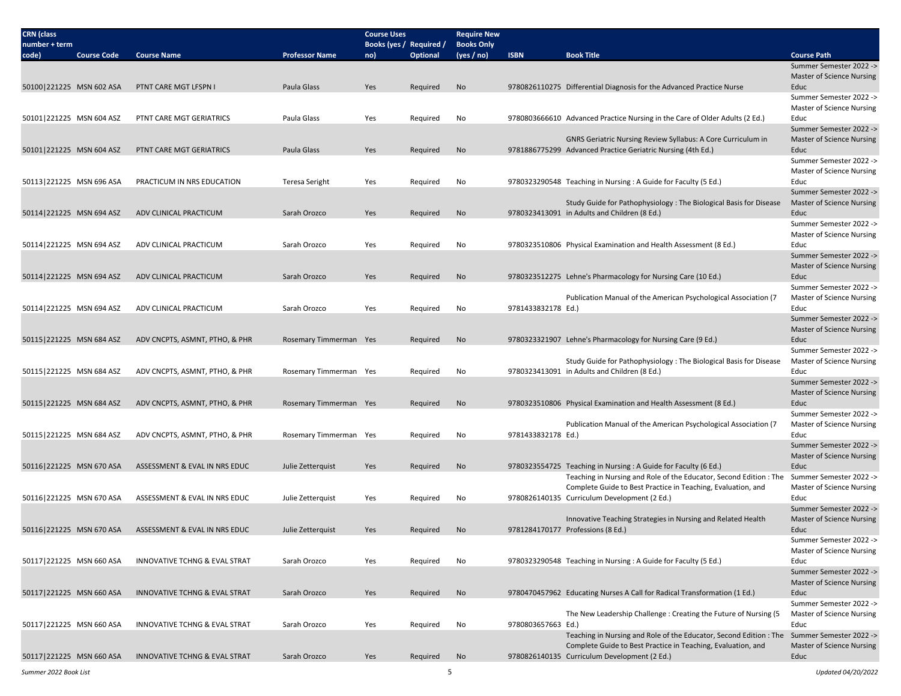| <b>CRN</b> (class<br>number + term |                    |                                          |                        | <b>Course Uses</b><br>Books (yes / Required / |          | <b>Require New</b><br><b>Books Only</b> |                    |                                                                                                                                                               |                                                              |
|------------------------------------|--------------------|------------------------------------------|------------------------|-----------------------------------------------|----------|-----------------------------------------|--------------------|---------------------------------------------------------------------------------------------------------------------------------------------------------------|--------------------------------------------------------------|
| code)                              | <b>Course Code</b> | <b>Course Name</b>                       | <b>Professor Name</b>  | no)                                           | Optional | (yes / no)                              | <b>ISBN</b>        | <b>Book Title</b>                                                                                                                                             | <b>Course Path</b>                                           |
|                                    |                    |                                          |                        |                                               |          |                                         |                    |                                                                                                                                                               | Summer Semester 2022 -><br>Master of Science Nursing         |
| 50100 221225 MSN 602 ASA           |                    | PTNT CARE MGT LFSPN I                    | Paula Glass            | Yes                                           | Reguired | No                                      |                    | 9780826110275 Differential Diagnosis for the Advanced Practice Nurse                                                                                          | Educ                                                         |
|                                    |                    |                                          |                        |                                               |          |                                         |                    |                                                                                                                                                               | Summer Semester 2022 -><br><b>Master of Science Nursing</b>  |
| 50101 221225 MSN 604 ASZ           |                    | PTNT CARE MGT GERIATRICS                 | Paula Glass            | Yes                                           | Required | No                                      |                    | 9780803666610 Advanced Practice Nursing in the Care of Older Adults (2 Ed.)                                                                                   | Educ<br>Summer Semester 2022 ->                              |
| 50101 221225 MSN 604 ASZ           |                    | PTNT CARE MGT GERIATRICS                 | Paula Glass            | Yes                                           | Required | No                                      |                    | GNRS Geriatric Nursing Review Syllabus: A Core Curriculum in<br>9781886775299 Advanced Practice Geriatric Nursing (4th Ed.)                                   | Master of Science Nursing<br>Educ                            |
|                                    |                    |                                          |                        |                                               |          |                                         |                    |                                                                                                                                                               | Summer Semester 2022 -><br>Master of Science Nursing         |
| 50113 221225 MSN 696 ASA           |                    | PRACTICUM IN NRS EDUCATION               | <b>Teresa Seright</b>  | Yes                                           | Required | No                                      |                    | 9780323290548 Teaching in Nursing: A Guide for Faculty (5 Ed.)                                                                                                | Educ<br>Summer Semester 2022 ->                              |
| 50114 221225 MSN 694 ASZ           |                    | ADV CLINICAL PRACTICUM                   | Sarah Orozco           | Yes                                           | Required | No                                      |                    | Study Guide for Pathophysiology: The Biological Basis for Disease<br>9780323413091 in Adults and Children (8 Ed.)                                             | Master of Science Nursing<br>Educ                            |
|                                    |                    |                                          |                        |                                               |          |                                         |                    |                                                                                                                                                               | Summer Semester 2022 -><br>Master of Science Nursing         |
| 50114 221225 MSN 694 ASZ           |                    | ADV CLINICAL PRACTICUM                   | Sarah Orozco           | Yes                                           | Required | No                                      |                    | 9780323510806 Physical Examination and Health Assessment (8 Ed.)                                                                                              | Educ<br>Summer Semester 2022 ->                              |
| 50114 221225 MSN 694 ASZ           |                    | ADV CLINICAL PRACTICUM                   | Sarah Orozco           | Yes                                           | Required | No                                      |                    | 9780323512275 Lehne's Pharmacology for Nursing Care (10 Ed.)                                                                                                  | <b>Master of Science Nursing</b><br>Educ                     |
|                                    |                    |                                          |                        |                                               |          |                                         |                    | Publication Manual of the American Psychological Association (7)                                                                                              | Summer Semester 2022 -><br>Master of Science Nursing         |
| 50114 221225 MSN 694 ASZ           |                    | ADV CLINICAL PRACTICUM                   | Sarah Orozco           | Yes                                           | Required | No                                      | 9781433832178 Ed.) |                                                                                                                                                               | Educ<br>Summer Semester 2022 ->                              |
| 50115 221225 MSN 684 ASZ           |                    | ADV CNCPTS, ASMNT, PTHO, & PHR           | Rosemary Timmerman Yes |                                               | Required | No                                      |                    | 9780323321907 Lehne's Pharmacology for Nursing Care (9 Ed.)                                                                                                   | Master of Science Nursing<br>Educ                            |
| 50115 221225 MSN 684 ASZ           |                    | ADV CNCPTS, ASMNT, PTHO, & PHR           | Rosemary Timmerman Yes |                                               | Required | No                                      |                    | Study Guide for Pathophysiology: The Biological Basis for Disease<br>9780323413091 in Adults and Children (8 Ed.)                                             | Summer Semester 2022 -><br>Master of Science Nursing<br>Educ |
|                                    |                    |                                          |                        |                                               |          |                                         |                    |                                                                                                                                                               | Summer Semester 2022 -><br><b>Master of Science Nursing</b>  |
| 50115 221225 MSN 684 ASZ           |                    | ADV CNCPTS, ASMNT, PTHO, & PHR           | Rosemary Timmerman Yes |                                               | Required | No                                      |                    | 9780323510806 Physical Examination and Health Assessment (8 Ed.)                                                                                              | Educ<br>Summer Semester 2022 ->                              |
| 50115 221225 MSN 684 ASZ           |                    | ADV CNCPTS, ASMNT, PTHO, & PHR           | Rosemary Timmerman Yes |                                               | Required | No                                      | 9781433832178 Ed.) | Publication Manual of the American Psychological Association (7                                                                                               | Master of Science Nursing<br>Educ                            |
|                                    |                    |                                          |                        |                                               |          |                                         |                    |                                                                                                                                                               | Summer Semester 2022 -><br>Master of Science Nursing         |
| 50116 221225 MSN 670 ASA           |                    | ASSESSMENT & EVAL IN NRS EDUC            | Julie Zetterquist      | Yes                                           | Required | No                                      |                    | 9780323554725 Teaching in Nursing : A Guide for Faculty (6 Ed.)<br>Teaching in Nursing and Role of the Educator, Second Edition : The Summer Semester 2022 -> | Educ                                                         |
| 50116 221225 MSN 670 ASA           |                    | ASSESSMENT & EVAL IN NRS EDUC            | Julie Zetterquist      | Yes                                           | Required | No                                      |                    | Complete Guide to Best Practice in Teaching, Evaluation, and<br>9780826140135 Curriculum Development (2 Ed.)                                                  | <b>Master of Science Nursing</b><br>Educ                     |
|                                    |                    |                                          |                        |                                               |          |                                         |                    |                                                                                                                                                               | Summer Semester 2022 ->                                      |
| 50116 221225 MSN 670 ASA           |                    | ASSESSMENT & EVAL IN NRS EDUC            | Julie Zetterquist      | Yes                                           | Required | No                                      |                    | Innovative Teaching Strategies in Nursing and Related Health<br>9781284170177 Professions (8 Ed.)                                                             | <b>Master of Science Nursing</b><br>Educ                     |
|                                    |                    |                                          |                        |                                               |          |                                         |                    |                                                                                                                                                               | Summer Semester 2022 -><br><b>Master of Science Nursing</b>  |
| 50117 221225 MSN 660 ASA           |                    | INNOVATIVE TCHNG & EVAL STRAT            | Sarah Orozco           | Yes                                           | Required | No                                      |                    | 9780323290548 Teaching in Nursing : A Guide for Faculty (5 Ed.)                                                                                               | Educ<br>Summer Semester 2022 ->                              |
| 50117 221225 MSN 660 ASA           |                    | INNOVATIVE TCHNG & EVAL STRAT            | Sarah Orozco           | Yes                                           | Required | No                                      |                    | 9780470457962 Educating Nurses A Call for Radical Transformation (1 Ed.)                                                                                      | <b>Master of Science Nursing</b><br>Educ                     |
|                                    |                    |                                          |                        |                                               |          |                                         |                    | The New Leadership Challenge: Creating the Future of Nursing (5                                                                                               | Summer Semester 2022 -><br><b>Master of Science Nursing</b>  |
| 50117 221225 MSN 660 ASA           |                    | INNOVATIVE TCHNG & EVAL STRAT            | Sarah Orozco           | Yes                                           | Required | No                                      | 9780803657663 Ed.) | Teaching in Nursing and Role of the Educator, Second Edition : The Summer Semester 2022 ->                                                                    | Educ                                                         |
| 50117 221225 MSN 660 ASA           |                    | <b>INNOVATIVE TCHNG &amp; EVAL STRAT</b> | Sarah Orozco           | Yes                                           | Required | No                                      |                    | Complete Guide to Best Practice in Teaching, Evaluation, and<br>9780826140135 Curriculum Development (2 Ed.)                                                  | <b>Master of Science Nursing</b><br>Educ                     |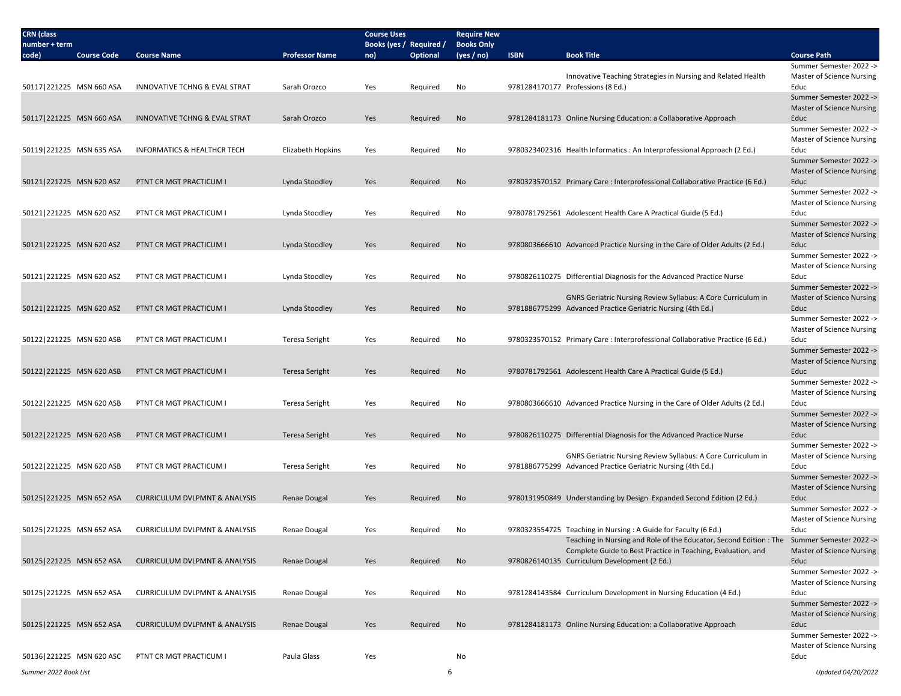| <b>CRN</b> (class<br>number + term |                    |                                          |                       | <b>Course Uses</b><br>Books (yes / Required / |                 | <b>Require New</b><br><b>Books Only</b> |             |                                                                                                                                                                                                           |                                                                     |
|------------------------------------|--------------------|------------------------------------------|-----------------------|-----------------------------------------------|-----------------|-----------------------------------------|-------------|-----------------------------------------------------------------------------------------------------------------------------------------------------------------------------------------------------------|---------------------------------------------------------------------|
| code)                              | <b>Course Code</b> | <b>Course Name</b>                       | <b>Professor Name</b> | no)                                           | <b>Optional</b> | (yes / no)                              | <b>ISBN</b> | <b>Book Title</b>                                                                                                                                                                                         | <b>Course Path</b>                                                  |
| 50117 221225 MSN 660 ASA           |                    | <b>INNOVATIVE TCHNG &amp; EVAL STRAT</b> | Sarah Orozco          |                                               |                 | No                                      |             | Innovative Teaching Strategies in Nursing and Related Health<br>9781284170177 Professions (8 Ed.)                                                                                                         | Summer Semester 2022 -><br>Master of Science Nursing<br>Educ        |
|                                    |                    |                                          |                       | Yes                                           | Required        |                                         |             |                                                                                                                                                                                                           | Summer Semester 2022 -><br><b>Master of Science Nursing</b>         |
| 50117 221225 MSN 660 ASA           |                    | INNOVATIVE TCHNG & EVAL STRAT            | Sarah Orozco          | Yes                                           | Required        | No                                      |             | 9781284181173 Online Nursing Education: a Collaborative Approach                                                                                                                                          | Educ<br>Summer Semester 2022 ->                                     |
| 50119 221225 MSN 635 ASA           |                    | <b>INFORMATICS &amp; HEALTHCR TECH</b>   | Elizabeth Hopkins     | Yes                                           | Required        | No                                      |             | 9780323402316 Health Informatics : An Interprofessional Approach (2 Ed.)                                                                                                                                  | Master of Science Nursing<br>Educ                                   |
| 50121 221225 MSN 620 ASZ           |                    | PTNT CR MGT PRACTICUM I                  | Lynda Stoodley        | Yes                                           | Required        | No                                      |             | 9780323570152 Primary Care: Interprofessional Collaborative Practice (6 Ed.)                                                                                                                              | Summer Semester 2022 -><br><b>Master of Science Nursing</b><br>Educ |
|                                    |                    |                                          |                       |                                               |                 |                                         |             |                                                                                                                                                                                                           | Summer Semester 2022 -><br>Master of Science Nursing                |
| 50121 221225 MSN 620 ASZ           |                    | PTNT CR MGT PRACTICUM                    | Lynda Stoodley        | Yes                                           | Required        | No                                      |             | 9780781792561 Adolescent Health Care A Practical Guide (5 Ed.)                                                                                                                                            | Educ<br>Summer Semester 2022 -><br>Master of Science Nursing        |
| 50121 221225 MSN 620 ASZ           |                    | PTNT CR MGT PRACTICUM I                  | Lynda Stoodley        | Yes                                           | Required        | No                                      |             | 9780803666610 Advanced Practice Nursing in the Care of Older Adults (2 Ed.)                                                                                                                               | Educ<br>Summer Semester 2022 ->                                     |
| 50121 221225 MSN 620 ASZ           |                    | PTNT CR MGT PRACTICUM I                  | Lynda Stoodley        | Yes                                           | Required        | No                                      |             | 9780826110275 Differential Diagnosis for the Advanced Practice Nurse                                                                                                                                      | Master of Science Nursing<br>Educ<br>Summer Semester 2022 ->        |
| 50121 221225 MSN 620 ASZ           |                    | PTNT CR MGT PRACTICUM I                  | Lynda Stoodley        | Yes                                           | Required        | No                                      |             | GNRS Geriatric Nursing Review Syllabus: A Core Curriculum in<br>9781886775299 Advanced Practice Geriatric Nursing (4th Ed.)                                                                               | <b>Master of Science Nursing</b><br>Educ                            |
| 50122 221225 MSN 620 ASB           |                    | PTNT CR MGT PRACTICUM I                  | Teresa Seright        | Yes                                           | Required        | No                                      |             | 9780323570152 Primary Care: Interprofessional Collaborative Practice (6 Ed.)                                                                                                                              | Summer Semester 2022 -><br>Master of Science Nursing<br>Educ        |
|                                    |                    |                                          |                       |                                               |                 |                                         |             |                                                                                                                                                                                                           | Summer Semester 2022 -><br><b>Master of Science Nursing</b>         |
| 50122 221225 MSN 620 ASB           |                    | PTNT CR MGT PRACTICUM I                  | <b>Teresa Seright</b> | Yes                                           | Required        | No                                      |             | 9780781792561 Adolescent Health Care A Practical Guide (5 Ed.)                                                                                                                                            | Educ<br>Summer Semester 2022 ->                                     |
| 50122 221225 MSN 620 ASB           |                    | PTNT CR MGT PRACTICUM                    | Teresa Seright        | Yes                                           | Required        | No                                      |             | 9780803666610 Advanced Practice Nursing in the Care of Older Adults (2 Ed.)                                                                                                                               | <b>Master of Science Nursing</b><br>Educ<br>Summer Semester 2022 -> |
| 50122 221225 MSN 620 ASB           |                    | PTNT CR MGT PRACTICUM I                  | Teresa Seright        | Yes                                           | Required        | No                                      |             | 9780826110275 Differential Diagnosis for the Advanced Practice Nurse                                                                                                                                      | Master of Science Nursing<br>Educ                                   |
|                                    |                    |                                          |                       |                                               |                 |                                         |             | GNRS Geriatric Nursing Review Syllabus: A Core Curriculum in                                                                                                                                              | Summer Semester 2022 -><br>Master of Science Nursing                |
| 50122 221225 MSN 620 ASB           |                    | PTNT CR MGT PRACTICUM I                  | <b>Teresa Seright</b> | Yes                                           | Required        | No                                      |             | 9781886775299 Advanced Practice Geriatric Nursing (4th Ed.)                                                                                                                                               | Educ<br>Summer Semester 2022 -><br><b>Master of Science Nursing</b> |
| 50125 221225 MSN 652 ASA           |                    | <b>CURRICULUM DVLPMNT &amp; ANALYSIS</b> | <b>Renae Dougal</b>   | Yes                                           | Required        | No                                      |             | 9780131950849 Understanding by Design Expanded Second Edition (2 Ed.)                                                                                                                                     | Educ<br>Summer Semester 2022 ->                                     |
| 50125   221225 MSN 652 ASA         |                    | <b>CURRICULUM DVLPMNT &amp; ANALYSIS</b> | Renae Dougal          | Yes                                           | Required        | No                                      |             | 9780323554725 Teaching in Nursing: A Guide for Faculty (6 Ed.)                                                                                                                                            | <b>Master of Science Nursing</b><br>Educ                            |
| 50125 221225 MSN 652 ASA           |                    | CURRICULUM DVLPMNT & ANALYSIS            | Renae Dougal          | Yes                                           | Required        | No                                      |             | Teaching in Nursing and Role of the Educator, Second Edition: The Summer Semester 2022 -><br>Complete Guide to Best Practice in Teaching, Evaluation, and<br>9780826140135 Curriculum Development (2 Ed.) | <b>Master of Science Nursing</b><br>Educ                            |
|                                    |                    |                                          |                       |                                               |                 |                                         |             |                                                                                                                                                                                                           | Summer Semester 2022 -><br><b>Master of Science Nursing</b>         |
| 50125 221225 MSN 652 ASA           |                    | <b>CURRICULUM DVLPMNT &amp; ANALYSIS</b> | Renae Dougal          | Yes                                           | Required        | No                                      |             | 9781284143584 Curriculum Development in Nursing Education (4 Ed.)                                                                                                                                         | Educ<br>Summer Semester 2022 -><br><b>Master of Science Nursing</b> |
| 50125 221225 MSN 652 ASA           |                    | <b>CURRICULUM DVLPMNT &amp; ANALYSIS</b> | <b>Renae Dougal</b>   | Yes                                           | Required        | No                                      |             | 9781284181173 Online Nursing Education: a Collaborative Approach                                                                                                                                          | Educ<br>Summer Semester 2022 ->                                     |
| 50136 221225 MSN 620 ASC           |                    | PTNT CR MGT PRACTICUM I                  | Paula Glass           | Yes                                           |                 | No                                      |             |                                                                                                                                                                                                           | <b>Master of Science Nursing</b><br>Educ                            |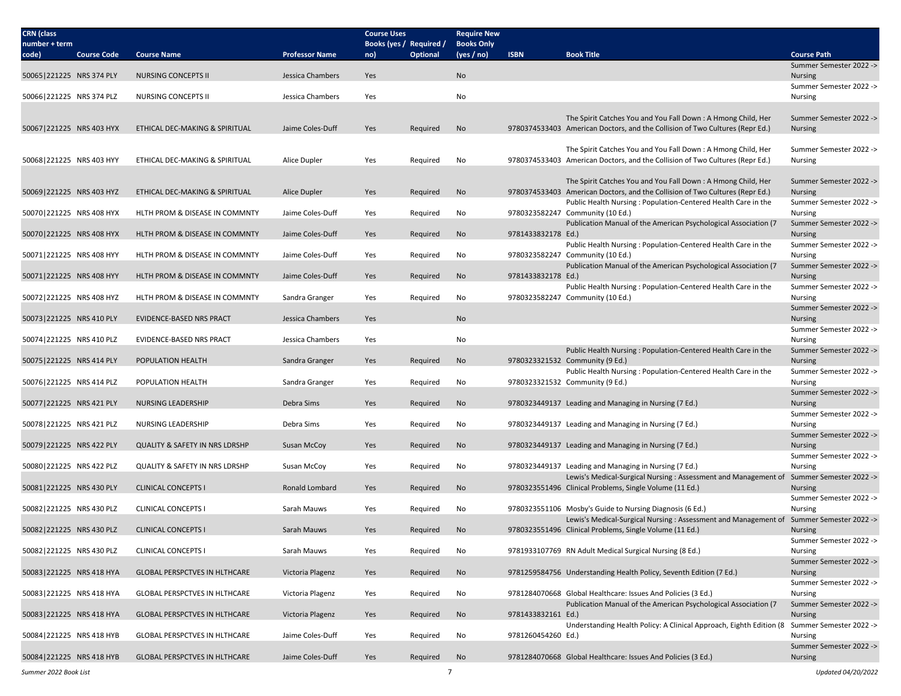| <b>CRN</b> (class<br>number + term |                    |                                           |                       | <b>Course Uses</b><br>Books (yes / Required / |                 | <b>Require New</b><br><b>Books Only</b> |                    |                                                                                                                                               |                                           |
|------------------------------------|--------------------|-------------------------------------------|-----------------------|-----------------------------------------------|-----------------|-----------------------------------------|--------------------|-----------------------------------------------------------------------------------------------------------------------------------------------|-------------------------------------------|
| code)                              | <b>Course Code</b> | <b>Course Name</b>                        | <b>Professor Name</b> | no)                                           | <b>Optional</b> | (yes / no)                              | <b>ISBN</b>        | <b>Book Title</b>                                                                                                                             | <b>Course Path</b>                        |
|                                    |                    |                                           |                       | Yes                                           |                 | No                                      |                    |                                                                                                                                               | Summer Semester 2022 ->                   |
| 50065 221225 NRS 374 PLY           |                    | NURSING CONCEPTS II                       | Jessica Chambers      |                                               |                 |                                         |                    |                                                                                                                                               | <b>Nursing</b><br>Summer Semester 2022 -> |
| 50066 221225 NRS 374 PLZ           |                    | <b>NURSING CONCEPTS II</b>                | Jessica Chambers      | Yes                                           |                 | No                                      |                    |                                                                                                                                               | Nursing                                   |
|                                    |                    |                                           |                       |                                               |                 |                                         |                    | The Spirit Catches You and You Fall Down: A Hmong Child, Her                                                                                  | Summer Semester 2022 ->                   |
| 50067 221225 NRS 403 HYX           |                    | ETHICAL DEC-MAKING & SPIRITUAL            | Jaime Coles-Duff      | Yes                                           | Required        | No                                      |                    | 9780374533403 American Doctors, and the Collision of Two Cultures (Repr Ed.)                                                                  | <b>Nursing</b>                            |
|                                    |                    |                                           |                       |                                               |                 |                                         |                    |                                                                                                                                               |                                           |
| 50068 221225 NRS 403 HYY           |                    | ETHICAL DEC-MAKING & SPIRITUAL            | Alice Dupler          | Yes                                           | Required        | No                                      |                    | The Spirit Catches You and You Fall Down: A Hmong Child, Her<br>9780374533403 American Doctors, and the Collision of Two Cultures (Repr Ed.)  | Summer Semester 2022 -><br>Nursing        |
|                                    |                    |                                           |                       |                                               |                 |                                         |                    |                                                                                                                                               |                                           |
|                                    |                    |                                           |                       |                                               |                 |                                         |                    | The Spirit Catches You and You Fall Down: A Hmong Child, Her                                                                                  | Summer Semester 2022 ->                   |
| 50069 221225 NRS 403 HYZ           |                    | ETHICAL DEC-MAKING & SPIRITUAL            | Alice Dupler          | Yes                                           | Required        | No                                      |                    | 9780374533403 American Doctors, and the Collision of Two Cultures (Repr Ed.)<br>Public Health Nursing: Population-Centered Health Care in the | <b>Nursing</b><br>Summer Semester 2022 -> |
| 50070 221225 NRS 408 HYX           |                    | HLTH PROM & DISEASE IN COMMNTY            | Jaime Coles-Duff      | Yes                                           | Required        | No                                      |                    | 9780323582247 Community (10 Ed.)                                                                                                              | Nursing                                   |
| 50070 221225 NRS 408 HYX           |                    | HLTH PROM & DISEASE IN COMMNTY            | Jaime Coles-Duff      | Yes                                           | Required        | No                                      | 9781433832178 Ed.) | Publication Manual of the American Psychological Association (7                                                                               | Summer Semester 2022 -><br><b>Nursing</b> |
|                                    |                    |                                           |                       |                                               |                 |                                         |                    | Public Health Nursing: Population-Centered Health Care in the                                                                                 | Summer Semester 2022 ->                   |
| 50071 221225 NRS 408 HYY           |                    | HLTH PROM & DISEASE IN COMMNTY            | Jaime Coles-Duff      | Yes                                           | Required        | No                                      |                    | 9780323582247 Community (10 Ed.)                                                                                                              | Nursing                                   |
| 50071 221225 NRS 408 HYY           |                    | HLTH PROM & DISEASE IN COMMNTY            | Jaime Coles-Duff      | Yes                                           | Required        | No                                      | 9781433832178 Ed.) | Publication Manual of the American Psychological Association (7                                                                               | Summer Semester 2022 -><br><b>Nursing</b> |
|                                    |                    |                                           |                       |                                               |                 |                                         |                    | Public Health Nursing: Population-Centered Health Care in the                                                                                 | Summer Semester 2022 ->                   |
| 50072 221225 NRS 408 HYZ           |                    | HLTH PROM & DISEASE IN COMMNTY            | Sandra Granger        | Yes                                           | Required        | No                                      |                    | 9780323582247 Community (10 Ed.)                                                                                                              | Nursing                                   |
| 50073 221225 NRS 410 PLY           |                    | <b>EVIDENCE-BASED NRS PRACT</b>           | Jessica Chambers      | Yes                                           |                 | No                                      |                    |                                                                                                                                               | Summer Semester 2022 -><br><b>Nursing</b> |
|                                    |                    |                                           |                       |                                               |                 |                                         |                    |                                                                                                                                               | Summer Semester 2022 ->                   |
| 50074 221225 NRS 410 PLZ           |                    | <b>EVIDENCE-BASED NRS PRACT</b>           | Jessica Chambers      | Yes                                           |                 | No                                      |                    |                                                                                                                                               | Nursing                                   |
| 50075 221225 NRS 414 PLY           |                    | POPULATION HEALTH                         | Sandra Granger        | Yes                                           | Required        | No                                      |                    | Public Health Nursing: Population-Centered Health Care in the<br>9780323321532 Community (9 Ed.)                                              | Summer Semester 2022 -><br><b>Nursing</b> |
|                                    |                    |                                           |                       |                                               |                 |                                         |                    | Public Health Nursing: Population-Centered Health Care in the                                                                                 | Summer Semester 2022 ->                   |
| 50076 221225 NRS 414 PLZ           |                    | POPULATION HEALTH                         | Sandra Granger        | Yes                                           | Required        | No                                      |                    | 9780323321532 Community (9 Ed.)                                                                                                               | Nursing<br>Summer Semester 2022 ->        |
| 50077 221225 NRS 421 PLY           |                    | NURSING LEADERSHIP                        | Debra Sims            | Yes                                           | Required        | No                                      |                    | 9780323449137 Leading and Managing in Nursing (7 Ed.)                                                                                         | <b>Nursing</b>                            |
|                                    |                    |                                           |                       |                                               |                 |                                         |                    |                                                                                                                                               | Summer Semester 2022 ->                   |
| 50078 221225 NRS 421 PLZ           |                    | NURSING LEADERSHIP                        | Debra Sims            | Yes                                           | Required        | No                                      |                    | 9780323449137 Leading and Managing in Nursing (7 Ed.)                                                                                         | Nursing<br>Summer Semester 2022 ->        |
| 50079 221225 NRS 422 PLY           |                    | <b>QUALITY &amp; SAFETY IN NRS LDRSHP</b> | Susan McCoy           | Yes                                           | Required        | No                                      |                    | 9780323449137 Leading and Managing in Nursing (7 Ed.)                                                                                         | <b>Nursing</b>                            |
| 50080 221225 NRS 422 PLZ           |                    | <b>QUALITY &amp; SAFETY IN NRS LDRSHP</b> | Susan McCoy           | Yes                                           |                 | No                                      |                    | 9780323449137 Leading and Managing in Nursing (7 Ed.)                                                                                         | Summer Semester 2022 -><br>Nursing        |
|                                    |                    |                                           |                       |                                               | Required        |                                         |                    | Lewis's Medical-Surgical Nursing : Assessment and Management of Summer Semester 2022 ->                                                       |                                           |
| 50081 221225 NRS 430 PLY           |                    | <b>CLINICAL CONCEPTS I</b>                | <b>Ronald Lombard</b> | Yes                                           | Required        | No                                      |                    | 9780323551496 Clinical Problems, Single Volume (11 Ed.)                                                                                       | <b>Nursing</b>                            |
| 50082 221225 NRS 430 PLZ           |                    | <b>CLINICAL CONCEPTS I</b>                | Sarah Mauws           | Yes                                           | Required        | No                                      |                    | 9780323551106 Mosby's Guide to Nursing Diagnosis (6 Ed.)                                                                                      | Summer Semester 2022 -><br>Nursing        |
|                                    |                    |                                           |                       |                                               |                 |                                         |                    | Lewis's Medical-Surgical Nursing : Assessment and Management of                                                                               | Summer Semester 2022 ->                   |
| 50082 221225 NRS 430 PLZ           |                    | <b>CLINICAL CONCEPTS I</b>                | Sarah Mauws           | Yes                                           | Required        | No                                      |                    | 9780323551496 Clinical Problems, Single Volume (11 Ed.)                                                                                       | <b>Nursing</b>                            |
| 50082 221225 NRS 430 PLZ           |                    | <b>CLINICAL CONCEPTS I</b>                | Sarah Mauws           | Yes                                           | Required        | No                                      |                    | 9781933107769 RN Adult Medical Surgical Nursing (8 Ed.)                                                                                       | Summer Semester 2022 -><br>Nursing        |
|                                    |                    |                                           |                       |                                               |                 |                                         |                    |                                                                                                                                               | Summer Semester 2022 ->                   |
| 50083 221225 NRS 418 HYA           |                    | <b>GLOBAL PERSPCTVES IN HLTHCARE</b>      | Victoria Plagenz      | Yes                                           | Required        | No                                      |                    | 9781259584756 Understanding Health Policy, Seventh Edition (7 Ed.)                                                                            | Nursing<br>Summer Semester 2022 ->        |
| 50083 221225 NRS 418 HYA           |                    | GLOBAL PERSPCTVES IN HLTHCARE             | Victoria Plagenz      | Yes                                           | Required        | No                                      |                    | 9781284070668 Global Healthcare: Issues And Policies (3 Ed.)                                                                                  | Nursing                                   |
|                                    |                    |                                           |                       |                                               |                 |                                         |                    | Publication Manual of the American Psychological Association (7                                                                               | Summer Semester 2022 ->                   |
| 50083 221225 NRS 418 HYA           |                    | <b>GLOBAL PERSPCTVES IN HLTHCARE</b>      | Victoria Plagenz      | Yes                                           | Required        | No                                      | 9781433832161 Ed.) | Understanding Health Policy: A Clinical Approach, Eighth Edition (8 Summer Semester 2022 ->                                                   | <b>Nursing</b>                            |
| 50084 221225 NRS 418 HYB           |                    | <b>GLOBAL PERSPCTVES IN HLTHCARE</b>      | Jaime Coles-Duff      | Yes                                           | Required        | No                                      | 9781260454260 Ed.) |                                                                                                                                               | <b>Nursing</b>                            |
| 50084 221225 NRS 418 HYB           |                    |                                           |                       |                                               |                 |                                         |                    |                                                                                                                                               | Summer Semester 2022 ->                   |
|                                    |                    | <b>GLOBAL PERSPCTVES IN HLTHCARE</b>      | Jaime Coles-Duff      | Yes                                           | Required        | No                                      |                    | 9781284070668 Global Healthcare: Issues And Policies (3 Ed.)                                                                                  | <b>Nursing</b>                            |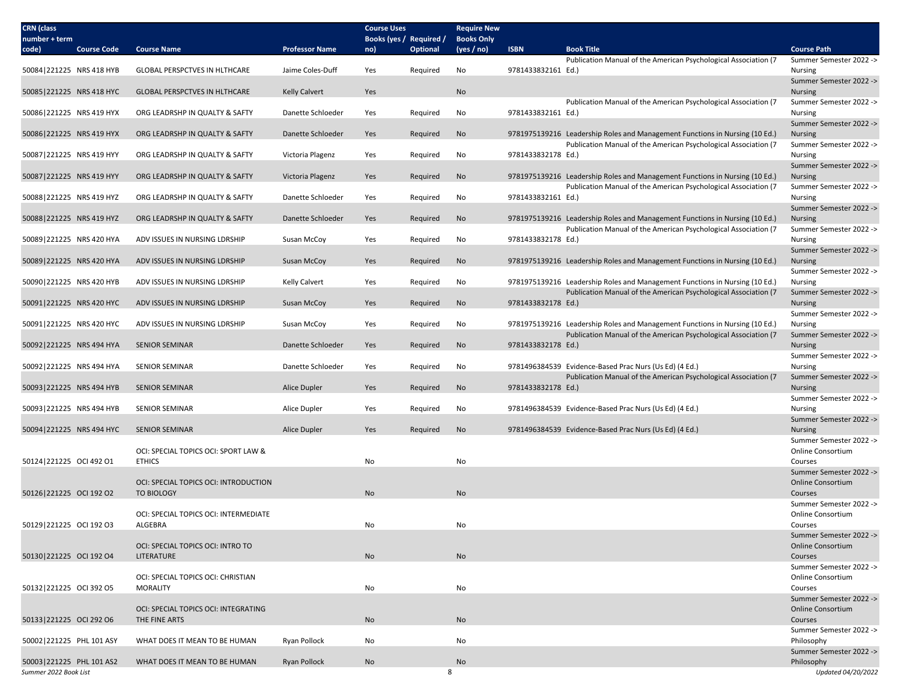| <b>CRN</b> (class<br>number + term |                                       |                       | <b>Course Uses</b><br>Books (yes / Required / |          | <b>Require New</b><br><b>Books Only</b> |                    |                                                                                                                                                |                                                     |
|------------------------------------|---------------------------------------|-----------------------|-----------------------------------------------|----------|-----------------------------------------|--------------------|------------------------------------------------------------------------------------------------------------------------------------------------|-----------------------------------------------------|
| <b>Course Code</b><br>code)        | <b>Course Name</b>                    | <b>Professor Name</b> | no)                                           | Optional | (yes / no)                              | <b>ISBN</b>        | <b>Book Title</b>                                                                                                                              | <b>Course Path</b>                                  |
|                                    |                                       |                       |                                               |          |                                         |                    | Publication Manual of the American Psychological Association (7                                                                                | Summer Semester 2022 ->                             |
| 50084 221225 NRS 418 HYB           | <b>GLOBAL PERSPCTVES IN HLTHCARE</b>  | Jaime Coles-Duff      | Yes                                           | Required | No                                      | 9781433832161 Ed.) |                                                                                                                                                | Nursing                                             |
| 50085 221225 NRS 418 HYC           | <b>GLOBAL PERSPCTVES IN HLTHCARE</b>  | <b>Kelly Calvert</b>  | Yes                                           |          | No                                      |                    |                                                                                                                                                | Summer Semester 2022 -><br><b>Nursing</b>           |
|                                    |                                       |                       |                                               |          |                                         |                    | Publication Manual of the American Psychological Association (7                                                                                | Summer Semester 2022 ->                             |
| 50086 221225 NRS 419 HYX           | ORG LEADRSHP IN QUALTY & SAFTY        | Danette Schloeder     | Yes                                           | Required | No                                      | 9781433832161 Ed.) |                                                                                                                                                | Nursing                                             |
| 50086 221225 NRS 419 HYX           |                                       | Danette Schloeder     |                                               |          |                                         |                    |                                                                                                                                                | Summer Semester 2022 ->                             |
|                                    | ORG LEADRSHP IN QUALTY & SAFTY        |                       | Yes                                           | Required | No                                      |                    | 9781975139216 Leadership Roles and Management Functions in Nursing (10 Ed.)<br>Publication Manual of the American Psychological Association (7 | <b>Nursing</b><br>Summer Semester 2022 ->           |
| 50087 221225 NRS 419 HYY           | ORG LEADRSHP IN QUALTY & SAFTY        | Victoria Plagenz      | Yes                                           | Required | No                                      | 9781433832178 Ed.) |                                                                                                                                                | Nursing                                             |
|                                    |                                       |                       |                                               |          |                                         |                    |                                                                                                                                                | Summer Semester 2022 ->                             |
| 50087 221225 NRS 419 HYY           | ORG LEADRSHP IN QUALTY & SAFTY        | Victoria Plagenz      | Yes                                           | Required | No                                      |                    | 9781975139216 Leadership Roles and Management Functions in Nursing (10 Ed.)                                                                    | <b>Nursing</b>                                      |
| 50088 221225 NRS 419 HYZ           | ORG LEADRSHP IN QUALTY & SAFTY        | Danette Schloeder     | Yes                                           | Required | No                                      | 9781433832161 Ed.) | Publication Manual of the American Psychological Association (7                                                                                | Summer Semester 2022 -><br>Nursing                  |
|                                    |                                       |                       |                                               |          |                                         |                    |                                                                                                                                                | Summer Semester 2022 ->                             |
| 50088 221225 NRS 419 HYZ           | ORG LEADRSHP IN QUALTY & SAFTY        | Danette Schloeder     | Yes                                           | Required | No                                      |                    | 9781975139216 Leadership Roles and Management Functions in Nursing (10 Ed.)                                                                    | <b>Nursing</b>                                      |
|                                    |                                       |                       |                                               |          |                                         |                    | Publication Manual of the American Psychological Association (7                                                                                | Summer Semester 2022 ->                             |
| 50089 221225 NRS 420 HYA           | ADV ISSUES IN NURSING LDRSHIP         | Susan McCoy           | Yes                                           | Required | No                                      | 9781433832178 Ed.) |                                                                                                                                                | Nursing                                             |
| 50089 221225 NRS 420 HYA           |                                       |                       |                                               |          | No                                      |                    |                                                                                                                                                | Summer Semester 2022 ->                             |
|                                    | ADV ISSUES IN NURSING LDRSHIP         | Susan McCoy           | Yes                                           | Required |                                         |                    | 9781975139216 Leadership Roles and Management Functions in Nursing (10 Ed.)                                                                    | <b>Nursing</b><br>Summer Semester 2022 ->           |
| 50090 221225 NRS 420 HYB           | ADV ISSUES IN NURSING LDRSHIP         | <b>Kelly Calvert</b>  | Yes                                           | Required | No                                      |                    | 9781975139216 Leadership Roles and Management Functions in Nursing (10 Ed.)                                                                    | Nursing                                             |
|                                    |                                       |                       |                                               |          |                                         |                    | Publication Manual of the American Psychological Association (7                                                                                | Summer Semester 2022 ->                             |
| 50091 221225 NRS 420 HYC           | ADV ISSUES IN NURSING LDRSHIP         | Susan McCoy           | Yes                                           | Required | No                                      | 9781433832178 Ed.) |                                                                                                                                                | <b>Nursing</b>                                      |
|                                    |                                       |                       |                                               |          |                                         |                    | 9781975139216 Leadership Roles and Management Functions in Nursing (10 Ed.)                                                                    | Summer Semester 2022 ->                             |
| 50091 221225 NRS 420 HYC           | ADV ISSUES IN NURSING LDRSHIP         | Susan McCoy           | Yes                                           | Required | No                                      |                    | Publication Manual of the American Psychological Association (7                                                                                | Nursing<br>Summer Semester 2022 ->                  |
| 50092 221225 NRS 494 HYA           | <b>SENIOR SEMINAR</b>                 | Danette Schloeder     | Yes                                           | Required | No                                      | 9781433832178 Ed.) |                                                                                                                                                | <b>Nursing</b>                                      |
|                                    |                                       |                       |                                               |          |                                         |                    |                                                                                                                                                | Summer Semester 2022 ->                             |
| 50092 221225 NRS 494 HYA           | <b>SENIOR SEMINAR</b>                 | Danette Schloeder     | Yes                                           | Required | No                                      |                    | 9781496384539 Evidence-Based Prac Nurs (Us Ed) (4 Ed.)                                                                                         | Nursing                                             |
|                                    |                                       |                       |                                               |          |                                         |                    | Publication Manual of the American Psychological Association (7                                                                                | Summer Semester 2022 ->                             |
| 50093 221225 NRS 494 HYB           | <b>SENIOR SEMINAR</b>                 | Alice Dupler          | Yes                                           | Required | No                                      | 9781433832178 Ed.) |                                                                                                                                                | <b>Nursing</b><br>Summer Semester 2022 ->           |
| 50093 221225 NRS 494 HYB           | <b>SENIOR SEMINAR</b>                 | Alice Dupler          | Yes                                           | Required | No                                      |                    | 9781496384539 Evidence-Based Prac Nurs (Us Ed) (4 Ed.)                                                                                         | Nursing                                             |
|                                    |                                       |                       |                                               |          |                                         |                    |                                                                                                                                                | Summer Semester 2022 ->                             |
| 50094 221225 NRS 494 HYC           | <b>SENIOR SEMINAR</b>                 | Alice Dupler          | Yes                                           | Required | No                                      |                    | 9781496384539 Evidence-Based Prac Nurs (Us Ed) (4 Ed.)                                                                                         | <b>Nursing</b>                                      |
|                                    | OCI: SPECIAL TOPICS OCI: SPORT LAW &  |                       |                                               |          |                                         |                    |                                                                                                                                                | Summer Semester 2022 -><br>Online Consortium        |
| 50124 221225 OCI 492 O1            | <b>ETHICS</b>                         |                       | No                                            |          | No                                      |                    |                                                                                                                                                | Courses                                             |
|                                    |                                       |                       |                                               |          |                                         |                    |                                                                                                                                                | Summer Semester 2022 ->                             |
|                                    | OCI: SPECIAL TOPICS OCI: INTRODUCTION |                       |                                               |          |                                         |                    |                                                                                                                                                | <b>Online Consortium</b>                            |
| 50126 221225 OCI 192 O2            | TO BIOLOGY                            |                       | <b>No</b>                                     |          | No                                      |                    |                                                                                                                                                | Courses                                             |
|                                    | OCI: SPECIAL TOPICS OCI: INTERMEDIATE |                       |                                               |          |                                         |                    |                                                                                                                                                | Summer Semester 2022 -><br><b>Online Consortium</b> |
| 50129 221225 OCI 192 O3            | ALGEBRA                               |                       | No                                            |          | No                                      |                    |                                                                                                                                                | Courses                                             |
|                                    |                                       |                       |                                               |          |                                         |                    |                                                                                                                                                | Summer Semester 2022 ->                             |
|                                    | OCI: SPECIAL TOPICS OCI: INTRO TO     |                       |                                               |          |                                         |                    |                                                                                                                                                | <b>Online Consortium</b>                            |
| 50130 221225 OCI 192 O4            | LITERATURE                            |                       | No                                            |          | No                                      |                    |                                                                                                                                                | Courses                                             |
|                                    | OCI: SPECIAL TOPICS OCI: CHRISTIAN    |                       |                                               |          |                                         |                    |                                                                                                                                                | Summer Semester 2022 -><br>Online Consortium        |
| 50132 221225 OCI 392 O5            | MORALITY                              |                       | No                                            |          | No                                      |                    |                                                                                                                                                | Courses                                             |
|                                    |                                       |                       |                                               |          |                                         |                    |                                                                                                                                                | Summer Semester 2022 ->                             |
|                                    | OCI: SPECIAL TOPICS OCI: INTEGRATING  |                       |                                               |          |                                         |                    |                                                                                                                                                | <b>Online Consortium</b>                            |
| 50133 221225 OCI 292 O6            | THE FINE ARTS                         |                       | No                                            |          | No                                      |                    |                                                                                                                                                | Courses                                             |
| 50002 221225 PHL 101 ASY           | WHAT DOES IT MEAN TO BE HUMAN         | Ryan Pollock          | No                                            |          | No                                      |                    |                                                                                                                                                | Summer Semester 2022 -><br>Philosophy               |
|                                    |                                       |                       |                                               |          |                                         |                    |                                                                                                                                                | Summer Semester 2022 ->                             |
| 50003 221225 PHL 101 AS2           | WHAT DOES IT MEAN TO BE HUMAN         | <b>Ryan Pollock</b>   | No                                            |          | No                                      |                    |                                                                                                                                                | Philosophy                                          |
| Summer 2022 Book List              |                                       |                       |                                               |          | 8                                       |                    |                                                                                                                                                | Updated 04/20/2022                                  |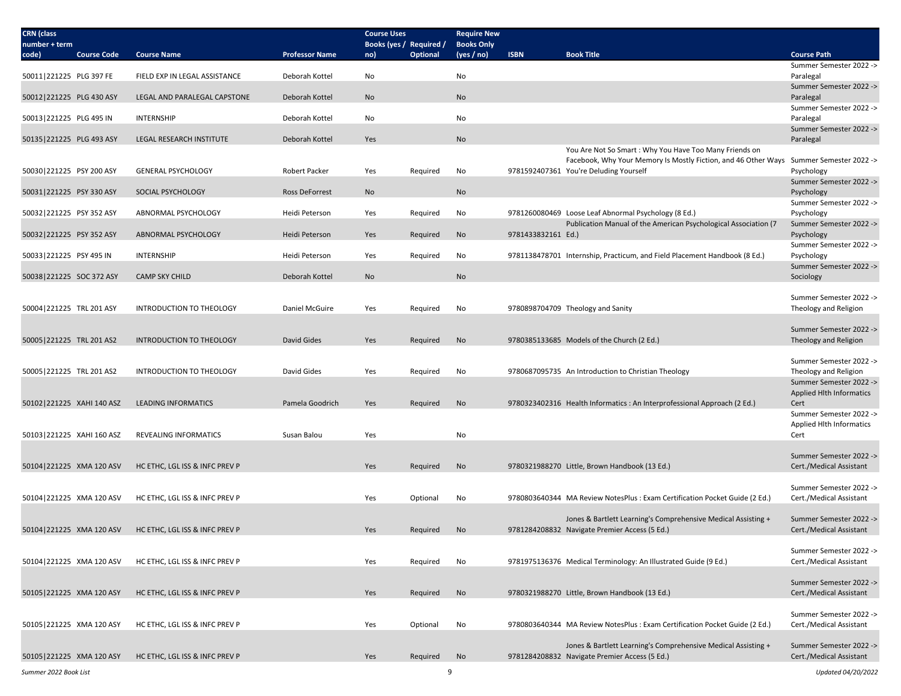| <b>CRN</b> (class<br>number + term |                            |                                |                       | <b>Course Uses</b><br>Books (yes / Required / |                 | <b>Require New</b><br><b>Books Only</b> |                    |                                                                                        |                                                  |
|------------------------------------|----------------------------|--------------------------------|-----------------------|-----------------------------------------------|-----------------|-----------------------------------------|--------------------|----------------------------------------------------------------------------------------|--------------------------------------------------|
| code)                              | <b>Course Code</b>         | <b>Course Name</b>             | <b>Professor Name</b> | no)                                           | <b>Optional</b> | (yes / no)                              | <b>ISBN</b>        | <b>Book Title</b>                                                                      | <b>Course Path</b>                               |
|                                    |                            |                                |                       |                                               |                 |                                         |                    |                                                                                        | Summer Semester 2022 ->                          |
| 50011 221225 PLG 397 FE            |                            | FIELD EXP IN LEGAL ASSISTANCE  | Deborah Kottel        | No                                            |                 | No                                      |                    |                                                                                        | Paralegal<br>Summer Semester 2022 ->             |
| 50012 221225 PLG 430 ASY           |                            | LEGAL AND PARALEGAL CAPSTONE   | Deborah Kottel        | <b>No</b>                                     |                 | No                                      |                    |                                                                                        | Paralegal                                        |
|                                    |                            |                                |                       |                                               |                 |                                         |                    |                                                                                        | Summer Semester 2022 ->                          |
| 50013 221225 PLG 495 IN            |                            | <b>INTERNSHIP</b>              | Deborah Kottel        | No                                            |                 | No                                      |                    |                                                                                        | Paralegal                                        |
|                                    |                            |                                |                       |                                               |                 |                                         |                    |                                                                                        | Summer Semester 2022 ->                          |
| 50135 221225 PLG 493 ASY           |                            | LEGAL RESEARCH INSTITUTE       | Deborah Kottel        | Yes                                           |                 | No                                      |                    | You Are Not So Smart: Why You Have Too Many Friends on                                 | Paralegal                                        |
|                                    |                            |                                |                       |                                               |                 |                                         |                    | Facebook, Why Your Memory Is Mostly Fiction, and 46 Other Ways Summer Semester 2022 -> |                                                  |
| 50030 221225 PSY 200 ASY           |                            | <b>GENERAL PSYCHOLOGY</b>      | Robert Packer         | Yes                                           | Required        | No                                      |                    | 9781592407361 You're Deluding Yourself                                                 | Psychology                                       |
|                                    |                            |                                |                       |                                               |                 |                                         |                    |                                                                                        | Summer Semester 2022 ->                          |
| 50031 221225 PSY 330 ASY           |                            | SOCIAL PSYCHOLOGY              | <b>Ross DeForrest</b> | No                                            |                 | No                                      |                    |                                                                                        | Psychology                                       |
| 50032 221225 PSY 352 ASY           |                            | ABNORMAL PSYCHOLOGY            | Heidi Peterson        | Yes                                           | Required        | No                                      |                    | 9781260080469 Loose Leaf Abnormal Psychology (8 Ed.)                                   | Summer Semester 2022 -><br>Psychology            |
|                                    |                            |                                |                       |                                               |                 |                                         |                    | Publication Manual of the American Psychological Association (7                        | Summer Semester 2022 ->                          |
| 50032 221225 PSY 352 ASY           |                            | ABNORMAL PSYCHOLOGY            | Heidi Peterson        | Yes                                           | Required        | No                                      | 9781433832161 Ed.) |                                                                                        | Psychology                                       |
|                                    |                            |                                |                       |                                               |                 |                                         |                    |                                                                                        | Summer Semester 2022 ->                          |
| 50033 221225 PSY 495 IN            |                            | <b>INTERNSHIP</b>              | Heidi Peterson        | Yes                                           | Required        | No                                      |                    | 9781138478701 Internship, Practicum, and Field Placement Handbook (8 Ed.)              | Psychology                                       |
| 50038 221225 SOC 372 ASY           |                            | <b>CAMP SKY CHILD</b>          | Deborah Kottel        | No                                            |                 | No                                      |                    |                                                                                        | Summer Semester 2022 -><br>Sociology             |
|                                    |                            |                                |                       |                                               |                 |                                         |                    |                                                                                        |                                                  |
|                                    |                            |                                |                       |                                               |                 |                                         |                    |                                                                                        | Summer Semester 2022 ->                          |
| 50004 221225 TRL 201 ASY           |                            | INTRODUCTION TO THEOLOGY       | Daniel McGuire        | Yes                                           | Required        | No                                      |                    | 9780898704709 Theology and Sanity                                                      | Theology and Religion                            |
|                                    |                            |                                |                       |                                               |                 |                                         |                    |                                                                                        |                                                  |
| 50005   221225 TRL 201 AS2         |                            | INTRODUCTION TO THEOLOGY       | David Gides           | Yes                                           | Required        | No                                      |                    | 9780385133685 Models of the Church (2 Ed.)                                             | Summer Semester 2022 -><br>Theology and Religion |
|                                    |                            |                                |                       |                                               |                 |                                         |                    |                                                                                        |                                                  |
|                                    |                            |                                |                       |                                               |                 |                                         |                    |                                                                                        | Summer Semester 2022 ->                          |
| 50005 221225 TRL 201 AS2           |                            | INTRODUCTION TO THEOLOGY       | David Gides           | Yes                                           | Required        | No                                      |                    | 9780687095735 An Introduction to Christian Theology                                    | Theology and Religion                            |
|                                    |                            |                                |                       |                                               |                 |                                         |                    |                                                                                        | Summer Semester 2022 ->                          |
|                                    | 50102 221225 XAHI 140 ASZ  | <b>LEADING INFORMATICS</b>     | Pamela Goodrich       | Yes                                           | Required        | No                                      |                    | 9780323402316 Health Informatics : An Interprofessional Approach (2 Ed.)               | <b>Applied Hlth Informatics</b><br>Cert          |
|                                    |                            |                                |                       |                                               |                 |                                         |                    |                                                                                        | Summer Semester 2022 ->                          |
|                                    |                            |                                |                       |                                               |                 |                                         |                    |                                                                                        | Applied Hlth Informatics                         |
|                                    | 50103 221225 XAHI 160 ASZ  | REVEALING INFORMATICS          | Susan Balou           | Yes                                           |                 | No                                      |                    |                                                                                        | Cert                                             |
|                                    |                            |                                |                       |                                               |                 |                                         |                    |                                                                                        | Summer Semester 2022 ->                          |
|                                    | 50104 221225 XMA 120 ASV   | HC ETHC, LGL ISS & INFC PREV P |                       | Yes                                           | Required        | No                                      |                    | 9780321988270 Little, Brown Handbook (13 Ed.)                                          | Cert./Medical Assistant                          |
|                                    |                            |                                |                       |                                               |                 |                                         |                    |                                                                                        |                                                  |
|                                    |                            |                                |                       |                                               |                 |                                         |                    |                                                                                        | Summer Semester 2022 ->                          |
|                                    | 50104 221225 XMA 120 ASV   | HC ETHC, LGL ISS & INFC PREV P |                       | Yes                                           | Optional        | No                                      |                    | 9780803640344 MA Review NotesPlus : Exam Certification Pocket Guide (2 Ed.)            | Cert./Medical Assistant                          |
|                                    |                            |                                |                       |                                               |                 |                                         |                    | Jones & Bartlett Learning's Comprehensive Medical Assisting +                          | Summer Semester 2022 ->                          |
|                                    | 50104 221225 XMA 120 ASV   | HC ETHC. LGL ISS & INFC PREV P |                       | Yes                                           | Required        | No                                      |                    | 9781284208832 Navigate Premier Access (5 Ed.)                                          | Cert./Medical Assistant                          |
|                                    |                            |                                |                       |                                               |                 |                                         |                    |                                                                                        |                                                  |
|                                    |                            |                                |                       |                                               |                 |                                         |                    |                                                                                        | Summer Semester 2022 ->                          |
|                                    | 50104 221225 XMA 120 ASV   | HC ETHC, LGL ISS & INFC PREV P |                       | Yes                                           | Required        | No                                      |                    | 9781975136376 Medical Terminology: An Illustrated Guide (9 Ed.)                        | Cert./Medical Assistant                          |
|                                    |                            |                                |                       |                                               |                 |                                         |                    |                                                                                        | Summer Semester 2022 ->                          |
|                                    | 50105   221225 XMA 120 ASY | HC ETHC, LGL ISS & INFC PREV P |                       | Yes                                           | Required        | No                                      |                    | 9780321988270 Little, Brown Handbook (13 Ed.)                                          | Cert./Medical Assistant                          |
|                                    |                            |                                |                       |                                               |                 |                                         |                    |                                                                                        |                                                  |
|                                    |                            |                                |                       |                                               |                 |                                         |                    |                                                                                        | Summer Semester 2022 ->                          |
|                                    | 50105   221225 XMA 120 ASY | HC ETHC, LGL ISS & INFC PREV P |                       | Yes                                           | Optional        | No                                      |                    | 9780803640344 MA Review NotesPlus : Exam Certification Pocket Guide (2 Ed.)            | Cert./Medical Assistant                          |
|                                    |                            |                                |                       |                                               |                 |                                         |                    | Jones & Bartlett Learning's Comprehensive Medical Assisting +                          | Summer Semester 2022 ->                          |
|                                    | 50105 221225 XMA 120 ASY   | HC ETHC, LGL ISS & INFC PREV P |                       | Yes                                           | Required        | No                                      |                    | 9781284208832 Navigate Premier Access (5 Ed.)                                          | Cert./Medical Assistant                          |
|                                    |                            |                                |                       |                                               |                 |                                         |                    |                                                                                        |                                                  |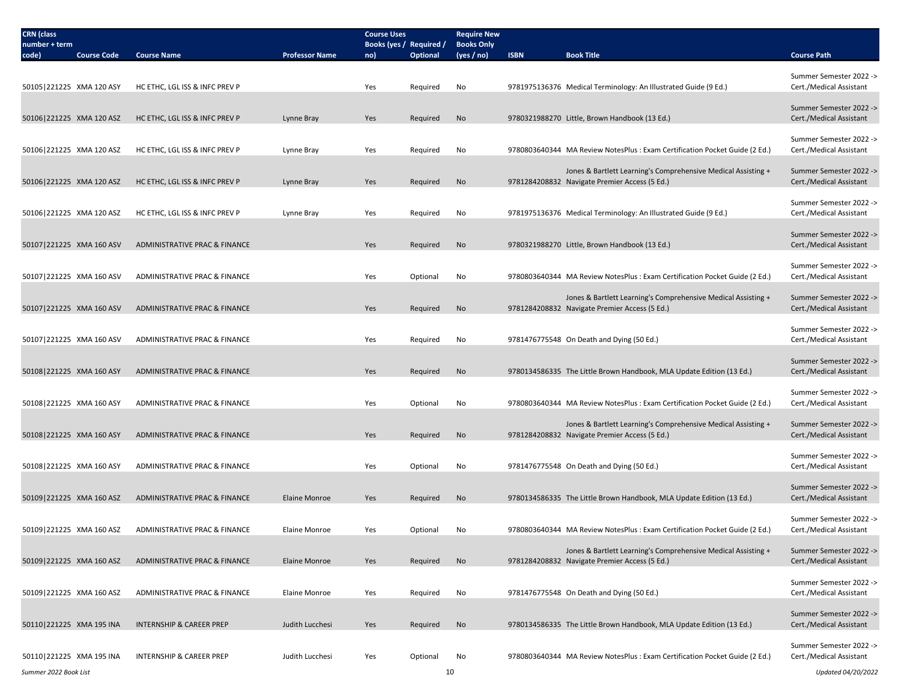| <b>CRN</b> (class<br>number + term                |                                     |                       | <b>Course Uses</b><br>Books (yes / Required / |          | <b>Require New</b><br><b>Books Only</b> |             |                                                                                                                |                                                    |
|---------------------------------------------------|-------------------------------------|-----------------------|-----------------------------------------------|----------|-----------------------------------------|-------------|----------------------------------------------------------------------------------------------------------------|----------------------------------------------------|
| code)<br><b>Course Code</b>                       | <b>Course Name</b>                  | <b>Professor Name</b> | no)                                           | Optional | (yes / no)                              | <b>ISBN</b> | <b>Book Title</b>                                                                                              | <b>Course Path</b>                                 |
| 50105 221225 XMA 120 ASY                          | HC ETHC, LGL ISS & INFC PREV P      |                       | Yes                                           | Required | No                                      |             | 9781975136376 Medical Terminology: An Illustrated Guide (9 Ed.)                                                | Summer Semester 2022 -><br>Cert./Medical Assistant |
| 50106 221225 XMA 120 ASZ                          | HC ETHC, LGL ISS & INFC PREV P      | Lynne Bray            | Yes                                           | Required | No                                      |             | 9780321988270 Little, Brown Handbook (13 Ed.)                                                                  | Summer Semester 2022 -><br>Cert./Medical Assistant |
|                                                   |                                     |                       |                                               |          |                                         |             |                                                                                                                |                                                    |
| 50106 221225 XMA 120 ASZ                          | HC ETHC, LGL ISS & INFC PREV P      | Lynne Bray            | Yes                                           | Required | No                                      |             | 9780803640344 MA Review NotesPlus : Exam Certification Pocket Guide (2 Ed.)                                    | Summer Semester 2022 -><br>Cert./Medical Assistant |
| 50106 221225 XMA 120 ASZ                          | HC ETHC, LGL ISS & INFC PREV P      | Lynne Bray            | Yes                                           | Required | No                                      |             | Jones & Bartlett Learning's Comprehensive Medical Assisting +<br>9781284208832 Navigate Premier Access (5 Ed.) | Summer Semester 2022 -><br>Cert./Medical Assistant |
| 50106 221225 XMA 120 ASZ                          | HC ETHC, LGL ISS & INFC PREV P      | Lynne Bray            | Yes                                           | Required | No                                      |             | 9781975136376 Medical Terminology: An Illustrated Guide (9 Ed.)                                                | Summer Semester 2022 -><br>Cert./Medical Assistant |
| 50107 221225 XMA 160 ASV                          | ADMINISTRATIVE PRAC & FINANCE       |                       | Yes                                           | Required | No                                      |             | 9780321988270 Little, Brown Handbook (13 Ed.)                                                                  | Summer Semester 2022 -><br>Cert./Medical Assistant |
|                                                   |                                     |                       |                                               |          |                                         |             |                                                                                                                |                                                    |
| 50107   221225 XMA 160 ASV                        | ADMINISTRATIVE PRAC & FINANCE       |                       | Yes                                           | Optional | No                                      |             | 9780803640344 MA Review NotesPlus : Exam Certification Pocket Guide (2 Ed.)                                    | Summer Semester 2022 -><br>Cert./Medical Assistant |
| 50107 221225 XMA 160 ASV                          | ADMINISTRATIVE PRAC & FINANCE       |                       | Yes                                           | Required | <b>No</b>                               |             | Jones & Bartlett Learning's Comprehensive Medical Assisting +<br>9781284208832 Navigate Premier Access (5 Ed.) | Summer Semester 2022 -><br>Cert./Medical Assistant |
| 50107 221225 XMA 160 ASV                          | ADMINISTRATIVE PRAC & FINANCE       |                       | Yes                                           | Required | No                                      |             | 9781476775548 On Death and Dying (50 Ed.)                                                                      | Summer Semester 2022 -><br>Cert./Medical Assistant |
| 50108 221225 XMA 160 ASY                          | ADMINISTRATIVE PRAC & FINANCE       |                       | Yes                                           | Required | No                                      |             | 9780134586335 The Little Brown Handbook, MLA Update Edition (13 Ed.)                                           | Summer Semester 2022 -><br>Cert./Medical Assistant |
|                                                   |                                     |                       |                                               |          |                                         |             |                                                                                                                |                                                    |
| 50108 221225 XMA 160 ASY                          | ADMINISTRATIVE PRAC & FINANCE       |                       | Yes                                           | Optional | No                                      |             | 9780803640344 MA Review NotesPlus : Exam Certification Pocket Guide (2 Ed.)                                    | Summer Semester 2022 -><br>Cert./Medical Assistant |
| 50108 221225 XMA 160 ASY                          | ADMINISTRATIVE PRAC & FINANCE       |                       | Yes                                           | Required | No                                      |             | Jones & Bartlett Learning's Comprehensive Medical Assisting +<br>9781284208832 Navigate Premier Access (5 Ed.) | Summer Semester 2022 -><br>Cert./Medical Assistant |
| 50108 221225 XMA 160 ASY                          | ADMINISTRATIVE PRAC & FINANCE       |                       | Yes                                           | Optional | No                                      |             | 9781476775548 On Death and Dying (50 Ed.)                                                                      | Summer Semester 2022 -><br>Cert./Medical Assistant |
|                                                   |                                     |                       |                                               |          |                                         |             |                                                                                                                |                                                    |
| 50109 221225 XMA 160 ASZ                          | ADMINISTRATIVE PRAC & FINANCE       | Elaine Monroe         | Yes                                           | Required | No                                      |             | 9780134586335 The Little Brown Handbook, MLA Update Edition (13 Ed.)                                           | Summer Semester 2022 -><br>Cert./Medical Assistant |
| 50109 221225 XMA 160 ASZ                          | ADMINISTRATIVE PRAC & FINANCE       | Elaine Monroe         | Yes                                           | Optional | No                                      |             | 9780803640344 MA Review NotesPlus : Exam Certification Pocket Guide (2 Ed.)                                    | Summer Semester 2022 -><br>Cert./Medical Assistant |
| 50109 221225 XMA 160 ASZ                          | ADMINISTRATIVE PRAC & FINANCE       | Elaine Monroe         | Yes                                           | Required | No                                      |             | Jones & Bartlett Learning's Comprehensive Medical Assisting +<br>9781284208832 Navigate Premier Access (5 Ed.) | Summer Semester 2022 -><br>Cert./Medical Assistant |
| 50109 221225 XMA 160 ASZ                          | ADMINISTRATIVE PRAC & FINANCE       | Elaine Monroe         | Yes                                           | Required | No                                      |             | 9781476775548 On Death and Dying (50 Ed.)                                                                      | Summer Semester 2022 -><br>Cert./Medical Assistant |
| 50110 221225 XMA 195 INA                          | <b>INTERNSHIP &amp; CAREER PREP</b> | Judith Lucchesi       | Yes                                           | Required | No                                      |             | 9780134586335 The Little Brown Handbook, MLA Update Edition (13 Ed.)                                           | Summer Semester 2022 -><br>Cert./Medical Assistant |
|                                                   |                                     |                       |                                               |          |                                         |             |                                                                                                                | Summer Semester 2022 ->                            |
| 50110 221225 XMA 195 INA<br>Summer 2022 Book List | INTERNSHIP & CAREER PREP            | Judith Lucchesi       | Yes                                           | Optional | No<br>10                                |             | 9780803640344 MA Review NotesPlus : Exam Certification Pocket Guide (2 Ed.)                                    | Cert./Medical Assistant<br>Updated 04/20/2022      |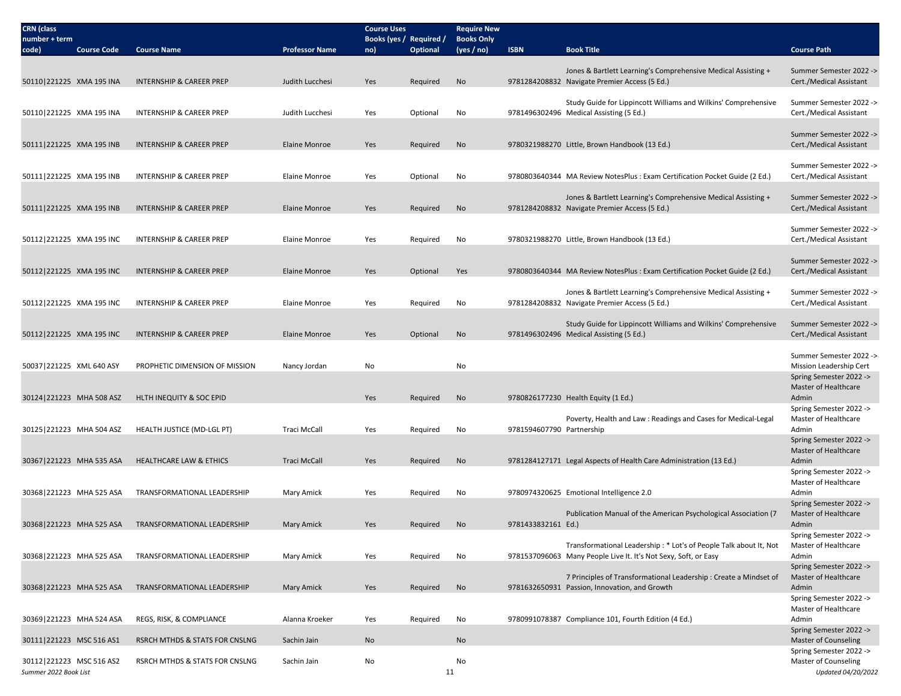| <b>CRN</b> (class                            |                                     |                       | <b>Course Uses</b>             |                 | <b>Require New</b><br><b>Books Only</b> |                           |                                                                                                                |                                                    |
|----------------------------------------------|-------------------------------------|-----------------------|--------------------------------|-----------------|-----------------------------------------|---------------------------|----------------------------------------------------------------------------------------------------------------|----------------------------------------------------|
| number + term<br><b>Course Code</b><br>code) | <b>Course Name</b>                  | <b>Professor Name</b> | Books (yes / Required /<br>no) | <b>Optional</b> | (yes / no)                              | <b>ISBN</b>               | <b>Book Title</b>                                                                                              | <b>Course Path</b>                                 |
|                                              |                                     |                       |                                |                 |                                         |                           |                                                                                                                |                                                    |
| 50110 221225 XMA 195 INA                     | INTERNSHIP & CAREER PREP            | Judith Lucchesi       | Yes                            | Required        | No                                      |                           | Jones & Bartlett Learning's Comprehensive Medical Assisting +<br>9781284208832 Navigate Premier Access (5 Ed.) | Summer Semester 2022 -><br>Cert./Medical Assistant |
|                                              |                                     |                       |                                |                 |                                         |                           |                                                                                                                |                                                    |
|                                              |                                     |                       |                                |                 |                                         |                           | Study Guide for Lippincott Williams and Wilkins' Comprehensive                                                 | Summer Semester 2022 ->                            |
| 50110 221225 XMA 195 INA                     | INTERNSHIP & CAREER PREP            | Judith Lucchesi       | Yes                            | Optional        | No                                      |                           | 9781496302496 Medical Assisting (5 Ed.)                                                                        | Cert./Medical Assistant                            |
|                                              |                                     |                       |                                |                 |                                         |                           |                                                                                                                | Summer Semester 2022 ->                            |
| 50111 221225 XMA 195 INB                     | <b>INTERNSHIP &amp; CAREER PREP</b> | <b>Elaine Monroe</b>  | Yes                            | Required        | No                                      |                           | 9780321988270 Little, Brown Handbook (13 Ed.)                                                                  | Cert./Medical Assistant                            |
|                                              |                                     |                       |                                |                 |                                         |                           |                                                                                                                | Summer Semester 2022 ->                            |
| 50111 221225 XMA 195 INB                     | <b>INTERNSHIP &amp; CAREER PREP</b> | Elaine Monroe         | Yes                            | Optional        | No                                      |                           | 9780803640344 MA Review NotesPlus : Exam Certification Pocket Guide (2 Ed.)                                    | Cert./Medical Assistant                            |
|                                              |                                     |                       |                                |                 |                                         |                           |                                                                                                                |                                                    |
| 50111 221225 XMA 195 INB                     | INTERNSHIP & CAREER PREP            | Elaine Monroe         | Yes                            | Required        | No                                      |                           | Jones & Bartlett Learning's Comprehensive Medical Assisting +<br>9781284208832 Navigate Premier Access (5 Ed.) | Summer Semester 2022 -><br>Cert./Medical Assistant |
|                                              |                                     |                       |                                |                 |                                         |                           |                                                                                                                |                                                    |
|                                              |                                     |                       |                                |                 |                                         |                           |                                                                                                                | Summer Semester 2022 ->                            |
| 50112 221225 XMA 195 INC                     | INTERNSHIP & CAREER PREP            | Elaine Monroe         | Yes                            | Required        | No                                      |                           | 9780321988270 Little, Brown Handbook (13 Ed.)                                                                  | Cert./Medical Assistant                            |
|                                              |                                     |                       |                                |                 |                                         |                           |                                                                                                                | Summer Semester 2022 ->                            |
| 50112 221225 XMA 195 INC                     | <b>INTERNSHIP &amp; CAREER PREP</b> | <b>Elaine Monroe</b>  | Yes                            | Optional        | Yes                                     |                           | 9780803640344 MA Review NotesPlus : Exam Certification Pocket Guide (2 Ed.)                                    | Cert./Medical Assistant                            |
|                                              |                                     |                       |                                |                 |                                         |                           | Jones & Bartlett Learning's Comprehensive Medical Assisting +                                                  | Summer Semester 2022 ->                            |
| 50112 221225 XMA 195 INC                     | <b>INTERNSHIP &amp; CAREER PREP</b> | Elaine Monroe         | Yes                            | Required        | No                                      |                           | 9781284208832 Navigate Premier Access (5 Ed.)                                                                  | Cert./Medical Assistant                            |
|                                              |                                     |                       |                                |                 |                                         |                           |                                                                                                                | Summer Semester 2022 ->                            |
| 50112 221225 XMA 195 INC                     | INTERNSHIP & CAREER PREP            | <b>Elaine Monroe</b>  | Yes                            | Optional        | No                                      |                           | Study Guide for Lippincott Williams and Wilkins' Comprehensive<br>9781496302496 Medical Assisting (5 Ed.)      | Cert./Medical Assistant                            |
|                                              |                                     |                       |                                |                 |                                         |                           |                                                                                                                |                                                    |
| 50037 221225 XML 640 ASY                     | PROPHETIC DIMENSION OF MISSION      | Nancy Jordan          | No                             |                 | No                                      |                           |                                                                                                                | Summer Semester 2022 -><br>Mission Leadership Cert |
|                                              |                                     |                       |                                |                 |                                         |                           |                                                                                                                | Spring Semester 2022 ->                            |
|                                              |                                     |                       |                                |                 |                                         |                           |                                                                                                                | Master of Healthcare                               |
| 30124 221223 MHA 508 ASZ                     | <b>HLTH INEQUITY &amp; SOC EPID</b> |                       | Yes                            | Required        | No                                      |                           | 9780826177230 Health Equity (1 Ed.)                                                                            | Admin<br>Spring Semester 2022 ->                   |
|                                              |                                     |                       |                                |                 |                                         |                           | Poverty, Health and Law: Readings and Cases for Medical-Legal                                                  | Master of Healthcare                               |
| 30125 221223 MHA 504 ASZ                     | HEALTH JUSTICE (MD-LGL PT)          | <b>Traci McCall</b>   | Yes                            | Required        | No                                      | 9781594607790 Partnership |                                                                                                                | Admin                                              |
|                                              |                                     |                       |                                |                 |                                         |                           |                                                                                                                | Spring Semester 2022 -><br>Master of Healthcare    |
| 30367 221223 MHA 535 ASA                     | <b>HEALTHCARE LAW &amp; ETHICS</b>  | <b>Traci McCall</b>   | Yes                            | Required        | No                                      |                           | 9781284127171 Legal Aspects of Health Care Administration (13 Ed.)                                             | Admin                                              |
|                                              |                                     |                       |                                |                 |                                         |                           |                                                                                                                | Spring Semester 2022 ->                            |
| 30368 221223 MHA 525 ASA                     | TRANSFORMATIONAL LEADERSHIP         | Mary Amick            | Yes                            | Required        | No                                      |                           | 9780974320625 Emotional Intelligence 2.0                                                                       | Master of Healthcare<br>Admin                      |
|                                              |                                     |                       |                                |                 |                                         |                           |                                                                                                                | Spring Semester 2022 ->                            |
|                                              |                                     |                       |                                |                 |                                         |                           | Publication Manual of the American Psychological Association (7                                                | Master of Healthcare                               |
| 30368 221223 MHA 525 ASA                     | <b>TRANSFORMATIONAL LEADERSHIP</b>  | <b>Mary Amick</b>     | Yes                            | Required        | No                                      | 9781433832161 Ed.)        |                                                                                                                | Admin<br>Spring Semester 2022 ->                   |
|                                              |                                     |                       |                                |                 |                                         |                           | Transformational Leadership: * Lot's of People Talk about It, Not                                              | Master of Healthcare                               |
| 30368 221223 MHA 525 ASA                     | TRANSFORMATIONAL LEADERSHIP         | Mary Amick            | Yes                            | Required        | No                                      |                           | 9781537096063 Many People Live It. It's Not Sexy, Soft, or Easy                                                | Admin                                              |
|                                              |                                     |                       |                                |                 |                                         |                           | 7 Principles of Transformational Leadership: Create a Mindset of                                               | Spring Semester 2022 -><br>Master of Healthcare    |
| 30368 221223 MHA 525 ASA                     | TRANSFORMATIONAL LEADERSHIP         | <b>Mary Amick</b>     | Yes                            | Required        | No                                      |                           | 9781632650931 Passion, Innovation, and Growth                                                                  | Admin                                              |
|                                              |                                     |                       |                                |                 |                                         |                           |                                                                                                                | Spring Semester 2022 ->                            |
| 30369 221223 MHA 524 ASA                     | REGS, RISK, & COMPLIANCE            | Alanna Kroeker        | Yes                            | Required        | No                                      |                           | 9780991078387 Compliance 101, Fourth Edition (4 Ed.)                                                           | Master of Healthcare<br>Admin                      |
|                                              |                                     |                       |                                |                 |                                         |                           |                                                                                                                | Spring Semester 2022 ->                            |
| 30111 221223 MSC 516 AS1                     | RSRCH MTHDS & STATS FOR CNSLNG      | Sachin Jain           | No                             |                 | No                                      |                           |                                                                                                                | Master of Counseling<br>Spring Semester 2022 ->    |
| 30112 221223 MSC 516 AS2                     | RSRCH MTHDS & STATS FOR CNSLNG      | Sachin Jain           | No                             |                 | No                                      |                           |                                                                                                                | Master of Counseling                               |
| Summer 2022 Book List                        |                                     |                       |                                | 11              |                                         |                           |                                                                                                                | Updated 04/20/2022                                 |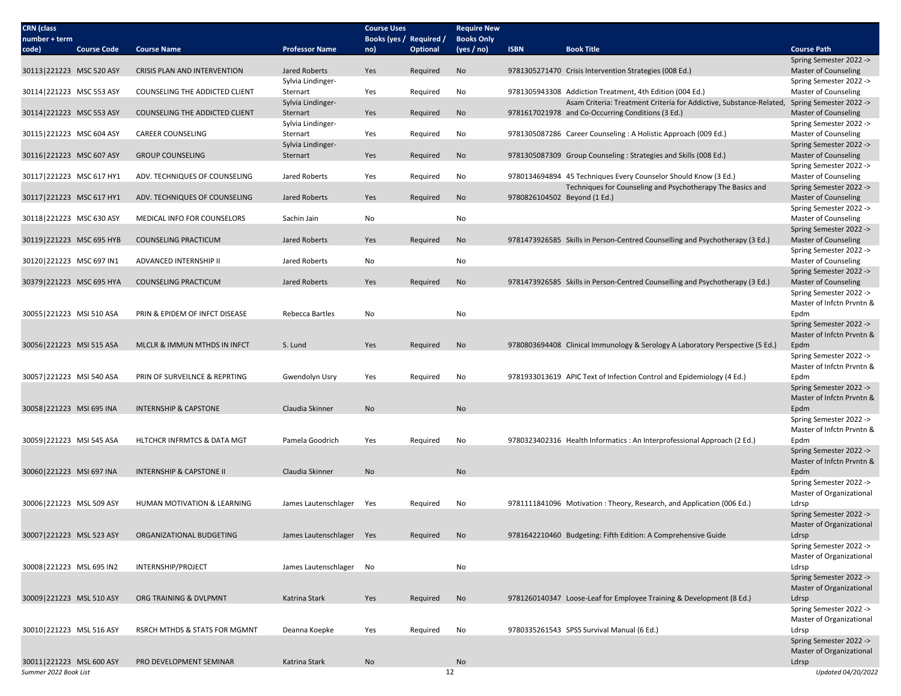| <b>CRN</b> (class<br>number + term                |                    |                                       |                          | <b>Course Uses</b><br>Books (yes / Required / |                 | <b>Require New</b><br><b>Books Only</b> |                              |                                                                               |                                                 |
|---------------------------------------------------|--------------------|---------------------------------------|--------------------------|-----------------------------------------------|-----------------|-----------------------------------------|------------------------------|-------------------------------------------------------------------------------|-------------------------------------------------|
| code)                                             | <b>Course Code</b> | <b>Course Name</b>                    | <b>Professor Name</b>    | no)                                           | <b>Optional</b> | (yes / no)                              | <b>ISBN</b>                  | <b>Book Title</b>                                                             | <b>Course Path</b>                              |
|                                                   |                    |                                       |                          |                                               |                 |                                         |                              |                                                                               | Spring Semester 2022 ->                         |
| 30113 221223 MSC 520 ASY                          |                    | CRISIS PLAN AND INTERVENTION          | Jared Roberts            | Yes                                           | Required        | No                                      |                              | 9781305271470 Crisis Intervention Strategies (008 Ed.)                        | <b>Master of Counseling</b>                     |
|                                                   |                    |                                       | Sylvia Lindinger-        |                                               |                 |                                         |                              |                                                                               | Spring Semester 2022 ->                         |
| 30114 221223 MSC 553 ASY                          |                    | <b>COUNSELING THE ADDICTED CLIENT</b> | Sternart                 | Yes                                           | Required        | No                                      |                              | 9781305943308 Addiction Treatment, 4th Edition (004 Ed.)                      | Master of Counseling                            |
|                                                   |                    |                                       | Sylvia Lindinger-        |                                               |                 |                                         |                              | Asam Criteria: Treatment Criteria for Addictive, Substance-Related,           | Spring Semester 2022 ->                         |
| 30114 221223 MSC 553 ASY                          |                    | COUNSELING THE ADDICTED CLIENT        | Sternart                 | Yes                                           | Required        | No                                      |                              | 9781617021978 and Co-Occurring Conditions (3 Ed.)                             | <b>Master of Counseling</b>                     |
|                                                   |                    |                                       | Sylvia Lindinger-        |                                               |                 |                                         |                              |                                                                               | Spring Semester 2022 ->                         |
| 30115 221223 MSC 604 ASY                          |                    | <b>CAREER COUNSELING</b>              | Sternart                 | Yes                                           | Required        | No                                      |                              | 9781305087286 Career Counseling : A Holistic Approach (009 Ed.)               | <b>Master of Counseling</b>                     |
|                                                   |                    |                                       | Sylvia Lindinger-        |                                               |                 |                                         |                              |                                                                               | Spring Semester 2022 ->                         |
| 30116 221223 MSC 607 ASY                          |                    | <b>GROUP COUNSELING</b>               | Sternart                 | Yes                                           | Required        | No                                      |                              | 9781305087309 Group Counseling : Strategies and Skills (008 Ed.)              | <b>Master of Counseling</b>                     |
|                                                   |                    |                                       |                          |                                               |                 |                                         |                              |                                                                               | Spring Semester 2022 ->                         |
| 30117 221223 MSC 617 HY1                          |                    | ADV. TECHNIQUES OF COUNSELING         | Jared Roberts            | Yes                                           | Required        | No                                      |                              | 9780134694894 45 Techniques Every Counselor Should Know (3 Ed.)               | <b>Master of Counseling</b>                     |
|                                                   |                    |                                       |                          |                                               |                 |                                         |                              | Techniques for Counseling and Psychotherapy The Basics and                    | Spring Semester 2022 ->                         |
| 30117 221223 MSC 617 HY1                          |                    | ADV. TECHNIQUES OF COUNSELING         | Jared Roberts            | Yes                                           | Required        | No                                      | 9780826104502 Beyond (1 Ed.) |                                                                               | <b>Master of Counseling</b>                     |
| 30118 221223 MSC 630 ASY                          |                    | MEDICAL INFO FOR COUNSELORS           | Sachin Jain              | No                                            |                 | No                                      |                              |                                                                               | Spring Semester 2022 -><br>Master of Counseling |
|                                                   |                    |                                       |                          |                                               |                 |                                         |                              |                                                                               | Spring Semester 2022 ->                         |
| 30119 221223 MSC 695 HYB                          |                    | <b>COUNSELING PRACTICUM</b>           | Jared Roberts            | Yes                                           | Required        | No                                      |                              | 9781473926585 Skills in Person-Centred Counselling and Psychotherapy (3 Ed.)  | <b>Master of Counseling</b>                     |
|                                                   |                    |                                       |                          |                                               |                 |                                         |                              |                                                                               | Spring Semester 2022 ->                         |
| 30120 221223 MSC 697 IN1                          |                    | ADVANCED INTERNSHIP II                | Jared Roberts            | No                                            |                 | No                                      |                              |                                                                               | <b>Master of Counseling</b>                     |
|                                                   |                    |                                       |                          |                                               |                 |                                         |                              |                                                                               | Spring Semester 2022 ->                         |
| 30379 221223 MSC 695 HYA                          |                    | <b>COUNSELING PRACTICUM</b>           | Jared Roberts            | Yes                                           | Required        | <b>No</b>                               |                              | 9781473926585 Skills in Person-Centred Counselling and Psychotherapy (3 Ed.)  | <b>Master of Counseling</b>                     |
|                                                   |                    |                                       |                          |                                               |                 |                                         |                              |                                                                               | Spring Semester 2022 ->                         |
|                                                   |                    |                                       |                          |                                               |                 |                                         |                              |                                                                               | Master of Infctn Prvntn &                       |
| 30055 221223 MSI 510 ASA                          |                    | PRIN & EPIDEM OF INFCT DISEASE        | Rebecca Bartles          | No                                            |                 | No                                      |                              |                                                                               | Epdm                                            |
|                                                   |                    |                                       |                          |                                               |                 |                                         |                              |                                                                               | Spring Semester 2022 ->                         |
|                                                   |                    |                                       |                          |                                               |                 |                                         |                              |                                                                               | Master of Infctn Prvntn &                       |
| 30056 221223 MSI 515 ASA                          |                    | MLCLR & IMMUN MTHDS IN INFCT          | S. Lund                  | Yes                                           | Required        | No                                      |                              | 9780803694408 Clinical Immunology & Serology A Laboratory Perspective (5 Ed.) | Epdm                                            |
|                                                   |                    |                                       |                          |                                               |                 |                                         |                              |                                                                               | Spring Semester 2022 ->                         |
|                                                   |                    |                                       |                          |                                               |                 |                                         |                              |                                                                               | Master of Infctn Prvntn &                       |
| 30057 221223 MSI 540 ASA                          |                    | PRIN OF SURVEILNCE & REPRTING         | Gwendolyn Usry           | Yes                                           | Required        | No                                      |                              | 9781933013619 APIC Text of Infection Control and Epidemiology (4 Ed.)         | Epdm                                            |
|                                                   |                    |                                       |                          |                                               |                 |                                         |                              |                                                                               | Spring Semester 2022 ->                         |
|                                                   |                    |                                       |                          |                                               |                 |                                         |                              |                                                                               | Master of Infctn Prvntn &                       |
| 30058 221223 MSI 695 INA                          |                    | <b>INTERNSHIP &amp; CAPSTONE</b>      | Claudia Skinner          | No                                            |                 | <b>No</b>                               |                              |                                                                               | Epdm                                            |
|                                                   |                    |                                       |                          |                                               |                 |                                         |                              |                                                                               | Spring Semester 2022 ->                         |
|                                                   |                    |                                       | Pamela Goodrich          | Yes                                           |                 | No                                      |                              |                                                                               | Master of Infctn Prvntn &<br>Epdm               |
| 30059 221223 MSI 545 ASA                          |                    | HLTCHCR INFRMTCS & DATA MGT           |                          |                                               | Required        |                                         |                              | 9780323402316 Health Informatics : An Interprofessional Approach (2 Ed.)      | Spring Semester 2022 ->                         |
|                                                   |                    |                                       |                          |                                               |                 |                                         |                              |                                                                               | Master of Infctn Prvntn &                       |
| 30060 221223 MSI 697 INA                          |                    | <b>INTERNSHIP &amp; CAPSTONE II</b>   | Claudia Skinner          | No                                            |                 | <b>No</b>                               |                              |                                                                               | Epdm                                            |
|                                                   |                    |                                       |                          |                                               |                 |                                         |                              |                                                                               | Spring Semester 2022 ->                         |
|                                                   |                    |                                       |                          |                                               |                 |                                         |                              |                                                                               | Master of Organizational                        |
| 30006 221223 MSL 509 ASY                          |                    | HUMAN MOTIVATION & LEARNING           | James Lautenschlager     | Yes                                           | Required        | No                                      |                              | 9781111841096 Motivation: Theory, Research, and Application (006 Ed.)         | Ldrsp                                           |
|                                                   |                    |                                       |                          |                                               |                 |                                         |                              |                                                                               | Spring Semester 2022 ->                         |
|                                                   |                    |                                       |                          |                                               |                 |                                         |                              |                                                                               | Master of Organizational                        |
| 30007 221223 MSL 523 ASY                          |                    | ORGANIZATIONAL BUDGETING              | James Lautenschlager Yes |                                               | Required        | No                                      |                              | 9781642210460 Budgeting: Fifth Edition: A Comprehensive Guide                 | Ldrsp                                           |
|                                                   |                    |                                       |                          |                                               |                 |                                         |                              |                                                                               | Spring Semester 2022 ->                         |
|                                                   |                    |                                       |                          |                                               |                 |                                         |                              |                                                                               | Master of Organizational                        |
| 30008 221223 MSL 695 IN2                          |                    | INTERNSHIP/PROJECT                    | James Lautenschlager No  |                                               |                 | No                                      |                              |                                                                               | Ldrsp                                           |
|                                                   |                    |                                       |                          |                                               |                 |                                         |                              |                                                                               | Spring Semester 2022 ->                         |
|                                                   |                    |                                       |                          |                                               |                 |                                         |                              |                                                                               | Master of Organizational                        |
| 30009 221223 MSL 510 ASY                          |                    | ORG TRAINING & DVLPMNT                | Katrina Stark            | Yes                                           | Required        | No                                      |                              | 9781260140347 Loose-Leaf for Employee Training & Development (8 Ed.)          | Ldrsp                                           |
|                                                   |                    |                                       |                          |                                               |                 |                                         |                              |                                                                               | Spring Semester 2022 ->                         |
|                                                   |                    |                                       |                          |                                               |                 |                                         |                              |                                                                               | Master of Organizational                        |
| 30010   221223 MSL 516 ASY                        |                    | RSRCH MTHDS & STATS FOR MGMNT         | Deanna Koepke            | Yes                                           | Required        | No                                      |                              | 9780335261543 SPSS Survival Manual (6 Ed.)                                    | Ldrsp                                           |
|                                                   |                    |                                       |                          |                                               |                 |                                         |                              |                                                                               | Spring Semester 2022 ->                         |
|                                                   |                    |                                       |                          |                                               |                 |                                         |                              |                                                                               | Master of Organizational                        |
| 30011 221223 MSL 600 ASY<br>Summer 2022 Book List |                    | PRO DEVELOPMENT SEMINAR               | Katrina Stark            | No                                            | 12              | No                                      |                              |                                                                               | Ldrsp<br>Updated 04/20/2022                     |
|                                                   |                    |                                       |                          |                                               |                 |                                         |                              |                                                                               |                                                 |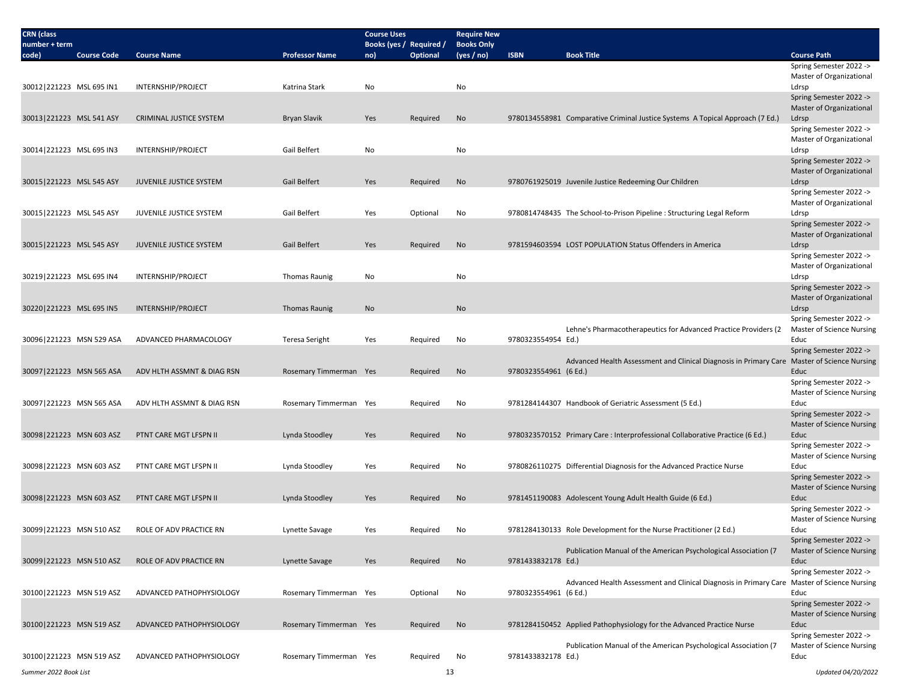| <b>CRN</b> (class<br>number + term |                    |                                |                        | <b>Course Uses</b><br>Books (yes / Required / |                 | <b>Require New</b><br><b>Books Only</b> |                       |                                                                                             |                                                             |
|------------------------------------|--------------------|--------------------------------|------------------------|-----------------------------------------------|-----------------|-----------------------------------------|-----------------------|---------------------------------------------------------------------------------------------|-------------------------------------------------------------|
| code)                              | <b>Course Code</b> | <b>Course Name</b>             | <b>Professor Name</b>  | no)                                           | <b>Optional</b> | (yes / no)                              | <b>ISBN</b>           | <b>Book Title</b>                                                                           | <b>Course Path</b>                                          |
|                                    |                    |                                |                        |                                               |                 |                                         |                       |                                                                                             | Spring Semester 2022 ->                                     |
|                                    |                    |                                |                        |                                               |                 |                                         |                       |                                                                                             | Master of Organizational                                    |
| 30012 221223 MSL 695 IN1           |                    | <b>INTERNSHIP/PROJECT</b>      | Katrina Stark          | No                                            |                 | No                                      |                       |                                                                                             | Ldrsp<br>Spring Semester 2022 ->                            |
|                                    |                    |                                |                        |                                               |                 |                                         |                       |                                                                                             | Master of Organizational                                    |
| 30013 221223 MSL 541 ASY           |                    | CRIMINAL JUSTICE SYSTEM        | <b>Bryan Slavik</b>    | Yes                                           | Required        | No                                      |                       | 9780134558981 Comparative Criminal Justice Systems A Topical Approach (7 Ed.)               | Ldrsp                                                       |
|                                    |                    |                                |                        |                                               |                 |                                         |                       |                                                                                             | Spring Semester 2022 ->                                     |
|                                    |                    |                                |                        |                                               |                 |                                         |                       |                                                                                             | Master of Organizational                                    |
| 30014 221223 MSL 695 IN3           |                    | INTERNSHIP/PROJECT             | Gail Belfert           | No                                            |                 | No                                      |                       |                                                                                             | Ldrsp<br>Spring Semester 2022 ->                            |
|                                    |                    |                                |                        |                                               |                 |                                         |                       |                                                                                             | Master of Organizational                                    |
| 30015 221223 MSL 545 ASY           |                    | <b>JUVENILE JUSTICE SYSTEM</b> | <b>Gail Belfert</b>    | Yes                                           | Required        | No                                      |                       | 9780761925019 Juvenile Justice Redeeming Our Children                                       | Ldrsp                                                       |
|                                    |                    |                                |                        |                                               |                 |                                         |                       |                                                                                             | Spring Semester 2022 ->                                     |
|                                    |                    |                                |                        |                                               |                 |                                         |                       |                                                                                             | Master of Organizational                                    |
| 30015 221223 MSL 545 ASY           |                    | JUVENILE JUSTICE SYSTEM        | Gail Belfert           | Yes                                           | Optional        | No                                      |                       | 9780814748435 The School-to-Prison Pipeline : Structuring Legal Reform                      | Ldrsp                                                       |
|                                    |                    |                                |                        |                                               |                 |                                         |                       |                                                                                             | Spring Semester 2022 -><br>Master of Organizational         |
| 30015 221223 MSL 545 ASY           |                    | JUVENILE JUSTICE SYSTEM        | Gail Belfert           | Yes                                           | Required        | No                                      |                       | 9781594603594 LOST POPULATION Status Offenders in America                                   | Ldrsp                                                       |
|                                    |                    |                                |                        |                                               |                 |                                         |                       |                                                                                             | Spring Semester 2022 ->                                     |
|                                    |                    |                                |                        |                                               |                 |                                         |                       |                                                                                             | Master of Organizational                                    |
| 30219 221223 MSL 695 IN4           |                    | INTERNSHIP/PROJECT             | <b>Thomas Raunig</b>   | No                                            |                 | No                                      |                       |                                                                                             | Ldrsp                                                       |
|                                    |                    |                                |                        |                                               |                 |                                         |                       |                                                                                             | Spring Semester 2022 -><br>Master of Organizational         |
| 30220 221223 MSL 695 IN5           |                    | INTERNSHIP/PROJECT             | <b>Thomas Raunig</b>   | No                                            |                 | No                                      |                       |                                                                                             | Ldrsp                                                       |
|                                    |                    |                                |                        |                                               |                 |                                         |                       |                                                                                             | Spring Semester 2022 ->                                     |
|                                    |                    |                                |                        |                                               |                 |                                         |                       | Lehne's Pharmacotherapeutics for Advanced Practice Providers (2                             | Master of Science Nursing                                   |
| 30096 221223 MSN 529 ASA           |                    | ADVANCED PHARMACOLOGY          | Teresa Seright         | Yes                                           | Required        | No                                      | 9780323554954 Ed.)    |                                                                                             | Educ                                                        |
|                                    |                    |                                |                        |                                               |                 |                                         |                       | Advanced Health Assessment and Clinical Diagnosis in Primary Care Master of Science Nursing | Spring Semester 2022 ->                                     |
| 30097 221223 MSN 565 ASA           |                    | ADV HLTH ASSMNT & DIAG RSN     | Rosemary Timmerman Yes |                                               | Required        | No                                      | 9780323554961 (6 Ed.) |                                                                                             | Educ                                                        |
|                                    |                    |                                |                        |                                               |                 |                                         |                       |                                                                                             | Spring Semester 2022 ->                                     |
|                                    |                    |                                |                        |                                               |                 |                                         |                       |                                                                                             | Master of Science Nursing                                   |
| 30097 221223 MSN 565 ASA           |                    | ADV HLTH ASSMNT & DIAG RSN     | Rosemary Timmerman Yes |                                               | Required        | No                                      |                       | 9781284144307 Handbook of Geriatric Assessment (5 Ed.)                                      | Educ<br>Spring Semester 2022 ->                             |
|                                    |                    |                                |                        |                                               |                 |                                         |                       |                                                                                             | Master of Science Nursing                                   |
| 30098 221223 MSN 603 ASZ           |                    | PTNT CARE MGT LFSPN II         | Lynda Stoodley         | Yes                                           | Required        | No                                      |                       | 9780323570152 Primary Care : Interprofessional Collaborative Practice (6 Ed.)               | Educ                                                        |
|                                    |                    |                                |                        |                                               |                 |                                         |                       |                                                                                             | Spring Semester 2022 ->                                     |
|                                    |                    |                                |                        |                                               |                 |                                         |                       |                                                                                             | Master of Science Nursing                                   |
| 30098 221223 MSN 603 ASZ           |                    | PTNT CARE MGT LFSPN II         | Lynda Stoodley         | Yes                                           | Required        | No                                      |                       | 9780826110275 Differential Diagnosis for the Advanced Practice Nurse                        | Educ                                                        |
|                                    |                    |                                |                        |                                               |                 |                                         |                       |                                                                                             | Spring Semester 2022 -><br><b>Master of Science Nursing</b> |
| 30098 221223 MSN 603 ASZ           |                    | PTNT CARE MGT LFSPN II         | Lynda Stoodley         | Yes                                           | Required        | <b>No</b>                               |                       | 9781451190083 Adolescent Young Adult Health Guide (6 Ed.)                                   | Educ                                                        |
|                                    |                    |                                |                        |                                               |                 |                                         |                       |                                                                                             | Spring Semester 2022 ->                                     |
|                                    |                    |                                |                        |                                               |                 |                                         |                       |                                                                                             | Master of Science Nursing                                   |
| 30099 221223 MSN 510 ASZ           |                    | ROLE OF ADV PRACTICE RN        | Lynette Savage         | Yes                                           | Required        | No                                      |                       | 9781284130133 Role Development for the Nurse Practitioner (2 Ed.)                           | Educ<br>Spring Semester 2022 ->                             |
|                                    |                    |                                |                        |                                               |                 |                                         |                       | Publication Manual of the American Psychological Association (7                             | <b>Master of Science Nursing</b>                            |
| 30099 221223 MSN 510 ASZ           |                    | ROLE OF ADV PRACTICE RN        | Lynette Savage         | Yes                                           | Required        | No                                      | 9781433832178 Ed.)    |                                                                                             | Educ                                                        |
|                                    |                    |                                |                        |                                               |                 |                                         |                       |                                                                                             | Spring Semester 2022 ->                                     |
|                                    |                    |                                |                        |                                               |                 |                                         |                       | Advanced Health Assessment and Clinical Diagnosis in Primary Care Master of Science Nursing |                                                             |
| 30100 221223 MSN 519 ASZ           |                    | ADVANCED PATHOPHYSIOLOGY       | Rosemary Timmerman Yes |                                               | Optional        | No                                      | 9780323554961 (6 Ed.) |                                                                                             | Educ                                                        |
|                                    |                    |                                |                        |                                               |                 |                                         |                       |                                                                                             | Spring Semester 2022 -><br><b>Master of Science Nursing</b> |
| 30100 221223 MSN 519 ASZ           |                    | ADVANCED PATHOPHYSIOLOGY       | Rosemary Timmerman Yes |                                               | Required        | No                                      |                       | 9781284150452 Applied Pathophysiology for the Advanced Practice Nurse                       | Educ                                                        |
|                                    |                    |                                |                        |                                               |                 |                                         |                       |                                                                                             | Spring Semester 2022 ->                                     |
|                                    |                    |                                |                        |                                               |                 |                                         |                       | Publication Manual of the American Psychological Association (7                             | <b>Master of Science Nursing</b>                            |
| 30100 221223 MSN 519 ASZ           |                    | ADVANCED PATHOPHYSIOLOGY       | Rosemary Timmerman Yes |                                               | Required        | No                                      | 9781433832178 Ed.)    |                                                                                             | Educ                                                        |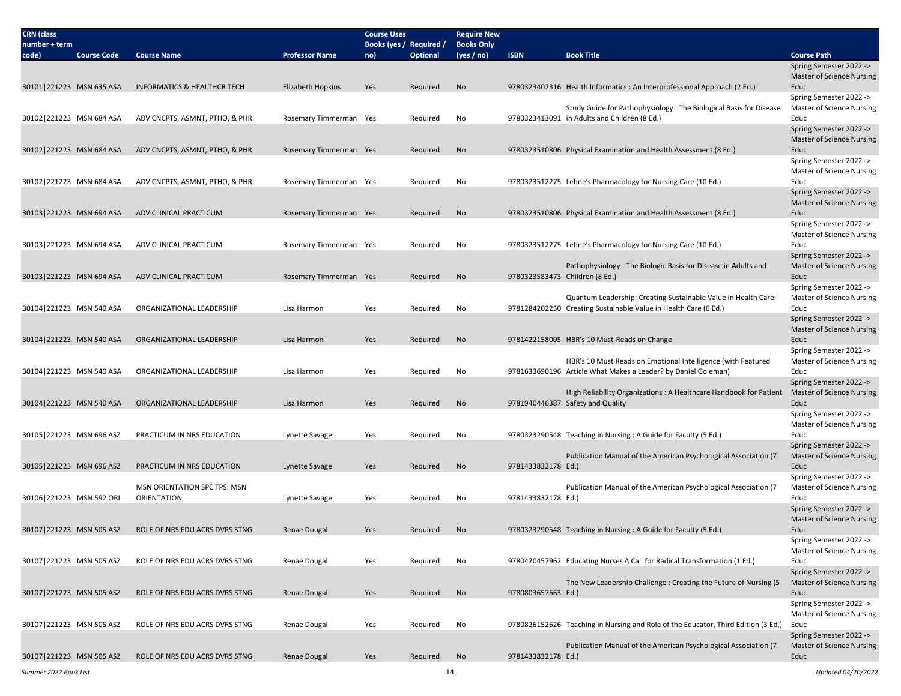| <b>CRN</b> (class<br>number + term |                    |                                                    |                        | <b>Course Uses</b><br>Books (yes / Required / |                 | <b>Require New</b><br><b>Books Only</b> |                    |                                                                                                                                   |                                                                     |
|------------------------------------|--------------------|----------------------------------------------------|------------------------|-----------------------------------------------|-----------------|-----------------------------------------|--------------------|-----------------------------------------------------------------------------------------------------------------------------------|---------------------------------------------------------------------|
| code)                              | <b>Course Code</b> | <b>Course Name</b>                                 | <b>Professor Name</b>  | no)                                           | <b>Optional</b> | (yes / no)                              | <b>ISBN</b>        | <b>Book Title</b>                                                                                                                 | <b>Course Path</b>                                                  |
|                                    |                    |                                                    |                        |                                               |                 |                                         |                    |                                                                                                                                   | Spring Semester 2022 -><br><b>Master of Science Nursing</b>         |
| 30101 221223 MSN 635 ASA           |                    | <b>INFORMATICS &amp; HEALTHCR TECH</b>             | Elizabeth Hopkins      | Yes                                           | Required        | No                                      |                    | 9780323402316 Health Informatics : An Interprofessional Approach (2 Ed.)                                                          | Educ                                                                |
| 30102 221223 MSN 684 ASA           |                    | ADV CNCPTS, ASMNT, PTHO, & PHR                     | Rosemary Timmerman Yes |                                               | Required        | No                                      |                    | Study Guide for Pathophysiology: The Biological Basis for Disease<br>9780323413091 in Adults and Children (8 Ed.)                 | Spring Semester 2022 -><br>Master of Science Nursing<br>Educ        |
|                                    |                    |                                                    |                        |                                               |                 |                                         |                    |                                                                                                                                   | Spring Semester 2022 -><br><b>Master of Science Nursing</b>         |
| 30102 221223 MSN 684 ASA           |                    | ADV CNCPTS, ASMNT, PTHO, & PHR                     | Rosemary Timmerman Yes |                                               | Required        | No                                      |                    | 9780323510806 Physical Examination and Health Assessment (8 Ed.)                                                                  | Educ                                                                |
|                                    |                    |                                                    |                        |                                               |                 |                                         |                    |                                                                                                                                   | Spring Semester 2022 -><br>Master of Science Nursing                |
| 30102 221223 MSN 684 ASA           |                    | ADV CNCPTS, ASMNT, PTHO, & PHR                     | Rosemary Timmerman Yes |                                               | Required        | No                                      |                    | 9780323512275 Lehne's Pharmacology for Nursing Care (10 Ed.)                                                                      | Educ<br>Spring Semester 2022 ->                                     |
| 30103 221223 MSN 694 ASA           |                    | ADV CLINICAL PRACTICUM                             | Rosemary Timmerman Yes |                                               | Required        | No                                      |                    | 9780323510806 Physical Examination and Health Assessment (8 Ed.)                                                                  | <b>Master of Science Nursing</b><br>Educ                            |
|                                    |                    |                                                    |                        |                                               |                 |                                         |                    |                                                                                                                                   | Spring Semester 2022 -><br>Master of Science Nursing                |
| 30103 221223 MSN 694 ASA           |                    | ADV CLINICAL PRACTICUM                             | Rosemary Timmerman Yes |                                               | Required        | No                                      |                    | 9780323512275 Lehne's Pharmacology for Nursing Care (10 Ed.)                                                                      | Educ                                                                |
| 30103 221223 MSN 694 ASA           |                    | ADV CLINICAL PRACTICUM                             | Rosemary Timmerman Yes |                                               | Required        | No                                      |                    | Pathophysiology: The Biologic Basis for Disease in Adults and<br>9780323583473 Children (8 Ed.)                                   | Spring Semester 2022 -><br><b>Master of Science Nursing</b><br>Educ |
|                                    |                    |                                                    |                        |                                               |                 |                                         |                    |                                                                                                                                   | Spring Semester 2022 ->                                             |
| 30104 221223 MSN 540 ASA           |                    | ORGANIZATIONAL LEADERSHIP                          | Lisa Harmon            | Yes                                           | Required        | No                                      |                    | Quantum Leadership: Creating Sustainable Value in Health Care:<br>9781284202250 Creating Sustainable Value in Health Care (6 Ed.) | Master of Science Nursing<br>Educ                                   |
|                                    |                    |                                                    |                        |                                               |                 |                                         |                    |                                                                                                                                   | Spring Semester 2022 -><br><b>Master of Science Nursing</b>         |
| 30104 221223 MSN 540 ASA           |                    | ORGANIZATIONAL LEADERSHIP                          | Lisa Harmon            | Yes                                           | Required        | No                                      |                    | 9781422158005 HBR's 10 Must-Reads on Change                                                                                       | Educ                                                                |
|                                    |                    |                                                    |                        |                                               |                 |                                         |                    | HBR's 10 Must Reads on Emotional Intelligence (with Featured                                                                      | Spring Semester 2022 -><br>Master of Science Nursing                |
| 30104 221223 MSN 540 ASA           |                    | ORGANIZATIONAL LEADERSHIP                          | Lisa Harmon            | Yes                                           | Required        | No                                      |                    | 9781633690196 Article What Makes a Leader? by Daniel Goleman)                                                                     | Educ<br>Spring Semester 2022 ->                                     |
| 30104 221223 MSN 540 ASA           |                    | ORGANIZATIONAL LEADERSHIP                          | Lisa Harmon            | Yes                                           | Required        | No                                      |                    | High Reliability Organizations: A Healthcare Handbook for Patient<br>9781940446387 Safety and Quality                             | <b>Master of Science Nursing</b><br>Educ                            |
|                                    |                    |                                                    |                        |                                               |                 |                                         |                    |                                                                                                                                   | Spring Semester 2022 ->                                             |
| 30105 221223 MSN 696 ASZ           |                    | PRACTICUM IN NRS EDUCATION                         | Lynette Savage         | Yes                                           | Required        | No                                      |                    | 9780323290548 Teaching in Nursing : A Guide for Faculty (5 Ed.)                                                                   | Master of Science Nursing<br>Educ                                   |
|                                    |                    |                                                    |                        |                                               |                 |                                         |                    |                                                                                                                                   | Spring Semester 2022 ->                                             |
| 30105 221223 MSN 696 ASZ           |                    | PRACTICUM IN NRS EDUCATION                         | Lynette Savage         | Yes                                           | Required        | No                                      | 9781433832178 Ed.) | Publication Manual of the American Psychological Association (7)                                                                  | Master of Science Nursing<br>Educ                                   |
|                                    |                    |                                                    |                        |                                               |                 |                                         |                    |                                                                                                                                   | Spring Semester 2022 ->                                             |
|                                    |                    | <b>MSN ORIENTATION SPC TPS: MSN</b><br>ORIENTATION |                        |                                               |                 |                                         |                    | Publication Manual of the American Psychological Association (7                                                                   | Master of Science Nursing                                           |
| 30106 221223 MSN 592 ORI           |                    |                                                    | Lynette Savage         | Yes                                           | Required        | No                                      | 9781433832178 Ed.) |                                                                                                                                   | Educ<br>Spring Semester 2022 ->                                     |
| 30107 221223 MSN 505 ASZ           |                    | ROLE OF NRS EDU ACRS DVRS STNG                     | Renae Dougal           | Yes                                           | Required        | No                                      |                    | 9780323290548 Teaching in Nursing : A Guide for Faculty (5 Ed.)                                                                   | <b>Master of Science Nursing</b><br>Educ                            |
|                                    |                    |                                                    |                        |                                               |                 |                                         |                    |                                                                                                                                   | Spring Semester 2022 ->                                             |
| 30107 221223 MSN 505 ASZ           |                    | ROLE OF NRS EDU ACRS DVRS STNG                     | Renae Dougal           | Yes                                           | Required        | No                                      |                    | 9780470457962 Educating Nurses A Call for Radical Transformation (1 Ed.)                                                          | Master of Science Nursing<br>Educ                                   |
|                                    |                    |                                                    |                        |                                               |                 |                                         |                    |                                                                                                                                   | Spring Semester 2022 ->                                             |
| 30107 221223 MSN 505 ASZ           |                    | ROLE OF NRS EDU ACRS DVRS STNG                     | Renae Dougal           | Yes                                           | Required        | No                                      | 9780803657663 Ed.) | The New Leadership Challenge: Creating the Future of Nursing (5)                                                                  | <b>Master of Science Nursing</b><br>Educ                            |
|                                    |                    |                                                    |                        |                                               |                 |                                         |                    |                                                                                                                                   | Spring Semester 2022 -><br>Master of Science Nursing                |
| 30107 221223 MSN 505 ASZ           |                    | ROLE OF NRS EDU ACRS DVRS STNG                     | Renae Dougal           | Yes                                           | Required        | No                                      |                    | 9780826152626 Teaching in Nursing and Role of the Educator, Third Edition (3 Ed.)                                                 | Educ                                                                |
|                                    |                    |                                                    |                        |                                               |                 |                                         |                    | Publication Manual of the American Psychological Association (7                                                                   | Spring Semester 2022 -><br><b>Master of Science Nursing</b>         |
| 30107 221223 MSN 505 ASZ           |                    | ROLE OF NRS EDU ACRS DVRS STNG                     | Renae Dougal           | Yes                                           | Required        | No                                      | 9781433832178 Ed.) |                                                                                                                                   | Educ                                                                |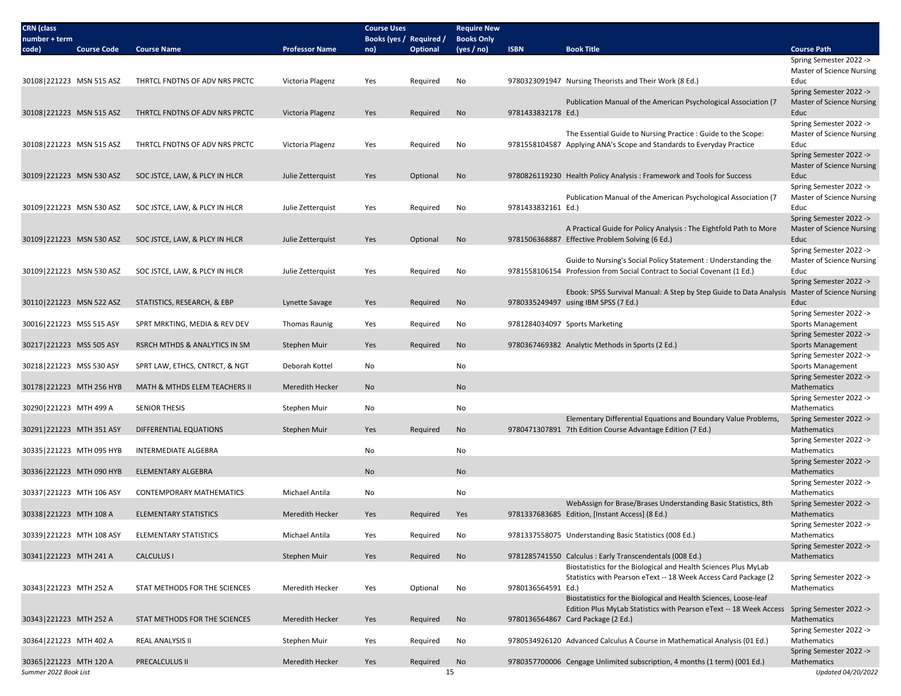| <b>CRN</b> (class                            |                                |                       | <b>Course Uses</b>             |                 | <b>Require New</b>              |                    |                                                                                                                                           |                                                                                |
|----------------------------------------------|--------------------------------|-----------------------|--------------------------------|-----------------|---------------------------------|--------------------|-------------------------------------------------------------------------------------------------------------------------------------------|--------------------------------------------------------------------------------|
| number + term<br><b>Course Code</b><br>code) | <b>Course Name</b>             | <b>Professor Name</b> | Books (yes / Required /<br>no) | <b>Optional</b> | <b>Books Only</b><br>(yes / no) | <b>ISBN</b>        | <b>Book Title</b>                                                                                                                         | <b>Course Path</b>                                                             |
|                                              |                                |                       |                                |                 |                                 |                    |                                                                                                                                           | Spring Semester 2022 -><br><b>Master of Science Nursing</b>                    |
| 30108 221223 MSN 515 ASZ                     | THRTCL FNDTNS OF ADV NRS PRCTC | Victoria Plagenz      | Yes                            | Required        | No                              |                    | 9780323091947 Nursing Theorists and Their Work (8 Ed.)                                                                                    | Educ                                                                           |
| 30108 221223 MSN 515 ASZ                     | THRTCL FNDTNS OF ADV NRS PRCTC | Victoria Plagenz      | Yes                            | Required        | No                              | 9781433832178 Ed.) | Publication Manual of the American Psychological Association (7                                                                           | Spring Semester 2022 -><br><b>Master of Science Nursing</b><br>Educ            |
|                                              |                                |                       |                                |                 |                                 |                    |                                                                                                                                           | Spring Semester 2022 ->                                                        |
| 30108 221223 MSN 515 ASZ                     | THRTCL FNDTNS OF ADV NRS PRCTC | Victoria Plagenz      | Yes                            | Required        | No                              |                    | The Essential Guide to Nursing Practice : Guide to the Scope:<br>9781558104587 Applying ANA's Scope and Standards to Everyday Practice    | Master of Science Nursing<br>Educ                                              |
| 30109 221223 MSN 530 ASZ                     | SOC JSTCE, LAW, & PLCY IN HLCR | Julie Zetterquist     | Yes                            | Optional        | No                              |                    | 9780826119230 Health Policy Analysis: Framework and Tools for Success                                                                     | Spring Semester 2022 -><br>Master of Science Nursing<br>Educ                   |
|                                              |                                |                       |                                |                 |                                 |                    |                                                                                                                                           | Spring Semester 2022 ->                                                        |
| 30109 221223 MSN 530 ASZ                     | SOC JSTCE, LAW, & PLCY IN HLCR | Julie Zetterquist     | Yes                            | Required        | No                              | 9781433832161 Ed.) | Publication Manual of the American Psychological Association (7                                                                           | Master of Science Nursing<br>Educ                                              |
| 30109 221223 MSN 530 ASZ                     | SOC JSTCE, LAW, & PLCY IN HLCR | Julie Zetterquist     | Yes                            | Optional        | No                              |                    | A Practical Guide for Policy Analysis: The Eightfold Path to More<br>9781506368887 Effective Problem Solving (6 Ed.)                      | Spring Semester 2022 -><br>Master of Science Nursing<br>Educ                   |
|                                              |                                |                       |                                |                 |                                 |                    |                                                                                                                                           | Spring Semester 2022 ->                                                        |
| 30109 221223 MSN 530 ASZ                     | SOC JSTCE, LAW, & PLCY IN HLCR | Julie Zetterquist     | Yes                            | Required        | No                              |                    | Guide to Nursing's Social Policy Statement: Understanding the<br>9781558106154 Profession from Social Contract to Social Covenant (1 Ed.) | Master of Science Nursing<br>Educ                                              |
|                                              |                                |                       |                                |                 |                                 |                    | Ebook: SPSS Survival Manual: A Step by Step Guide to Data Analysis Master of Science Nursing                                              | Spring Semester 2022 ->                                                        |
| 30110 221223 MSN 522 ASZ                     | STATISTICS, RESEARCH, & EBP    | Lynette Savage        | Yes                            | Required        | No                              |                    | 9780335249497 using IBM SPSS (7 Ed.)                                                                                                      | Educ                                                                           |
| 30016 221223 MSS 515 ASY                     | SPRT MRKTING, MEDIA & REV DEV  | <b>Thomas Raunig</b>  | Yes                            | Required        | No                              |                    | 9781284034097 Sports Marketing                                                                                                            | Spring Semester 2022 -><br>Sports Management                                   |
| 30217   221223 MSS 505 ASY                   | RSRCH MTHDS & ANALYTICS IN SM  | Stephen Muir          | Yes                            | Required        | No                              |                    | 9780367469382 Analytic Methods in Sports (2 Ed.)                                                                                          | Spring Semester 2022 -><br><b>Sports Management</b><br>Spring Semester 2022 -> |
| 30218 221223 MSS 530 ASY                     | SPRT LAW, ETHCS, CNTRCT, & NGT | Deborah Kottel        | No                             |                 | No                              |                    |                                                                                                                                           | Sports Management                                                              |
| 30178 221223 MTH 256 HYB                     | MATH & MTHDS ELEM TEACHERS II  | Meredith Hecker       | No                             |                 | <b>No</b>                       |                    |                                                                                                                                           | Spring Semester 2022 -><br>Mathematics                                         |
| 30290 221223 MTH 499 A                       | <b>SENIOR THESIS</b>           | Stephen Muir          | No                             |                 | No                              |                    |                                                                                                                                           | Spring Semester 2022 -><br>Mathematics                                         |
| 30291 221223 MTH 351 ASY                     | DIFFERENTIAL EQUATIONS         | Stephen Muir          | Yes                            | Required        | No                              |                    | Elementary Differential Equations and Boundary Value Problems,<br>9780471307891 7th Edition Course Advantage Edition (7 Ed.)              | Spring Semester 2022 -><br>Mathematics                                         |
| 30335 221223 MTH 095 HYB                     | <b>INTERMEDIATE ALGEBRA</b>    |                       | No                             |                 | No                              |                    |                                                                                                                                           | Spring Semester 2022 -><br>Mathematics                                         |
|                                              |                                |                       |                                |                 |                                 |                    |                                                                                                                                           | Spring Semester 2022 ->                                                        |
| 30336 221223 MTH 090 HYB                     | <b>ELEMENTARY ALGEBRA</b>      |                       | No                             |                 | No                              |                    |                                                                                                                                           | Mathematics<br>Spring Semester 2022 ->                                         |
| 30337 221223 MTH 106 ASY                     | CONTEMPORARY MATHEMATICS       | <b>Michael Antila</b> | No                             |                 | No                              |                    |                                                                                                                                           | Mathematics                                                                    |
| 30338 221223 MTH 108 A                       | <b>ELEMENTARY STATISTICS</b>   | Meredith Hecker       | Yes                            | Required        | Yes                             |                    | WebAssign for Brase/Brases Understanding Basic Statistics, 8th<br>9781337683685 Edition, [Instant Access] (8 Ed.)                         | Spring Semester 2022 -><br>Mathematics<br>Spring Semester 2022 ->              |
| 30339 221223 MTH 108 ASY                     | <b>ELEMENTARY STATISTICS</b>   | Michael Antila        | Yes                            | Required        | No                              |                    | 9781337558075 Understanding Basic Statistics (008 Ed.)                                                                                    | Mathematics<br>Spring Semester 2022 ->                                         |
| 30341 221223 MTH 241 A                       | <b>CALCULUS I</b>              | Stephen Muir          | Yes                            | Required        | No                              |                    | 9781285741550 Calculus: Early Transcendentals (008 Ed.)                                                                                   | Mathematics                                                                    |
| 30343 221223 MTH 252 A                       | STAT METHODS FOR THE SCIENCES  | Meredith Hecker       | Yes                            | Optional        | No                              | 9780136564591 Ed.) | Biostatistics for the Biological and Health Sciences Plus MyLab<br>Statistics with Pearson eText -- 18 Week Access Card Package (2)       | Spring Semester 2022 -><br>Mathematics                                         |
|                                              |                                |                       |                                |                 |                                 |                    | Biostatistics for the Biological and Health Sciences, Loose-leaf                                                                          |                                                                                |
| 30343 221223 MTH 252 A                       | STAT METHODS FOR THE SCIENCES  | Meredith Hecker       | Yes                            | Required        | No                              |                    | Edition Plus MyLab Statistics with Pearson eText -- 18 Week Access<br>9780136564867 Card Package (2 Ed.)                                  | Spring Semester 2022 -><br>Mathematics                                         |
| 30364 221223 MTH 402 A                       | <b>REAL ANALYSIS II</b>        | Stephen Muir          | Yes                            | Required        | No                              |                    | 9780534926120 Advanced Calculus A Course in Mathematical Analysis (01 Ed.)                                                                | Spring Semester 2022 -><br>Mathematics                                         |
| 30365 221223 MTH 120 A                       | PRECALCULUS II                 | Meredith Hecker       | Yes                            | Required        | No                              |                    | 9780357700006 Cengage Unlimited subscription, 4 months (1 term) (001 Ed.)                                                                 | Spring Semester 2022 -><br>Mathematics                                         |
| Summer 2022 Book List                        |                                |                       |                                |                 | 15                              |                    |                                                                                                                                           | Updated 04/20/2022                                                             |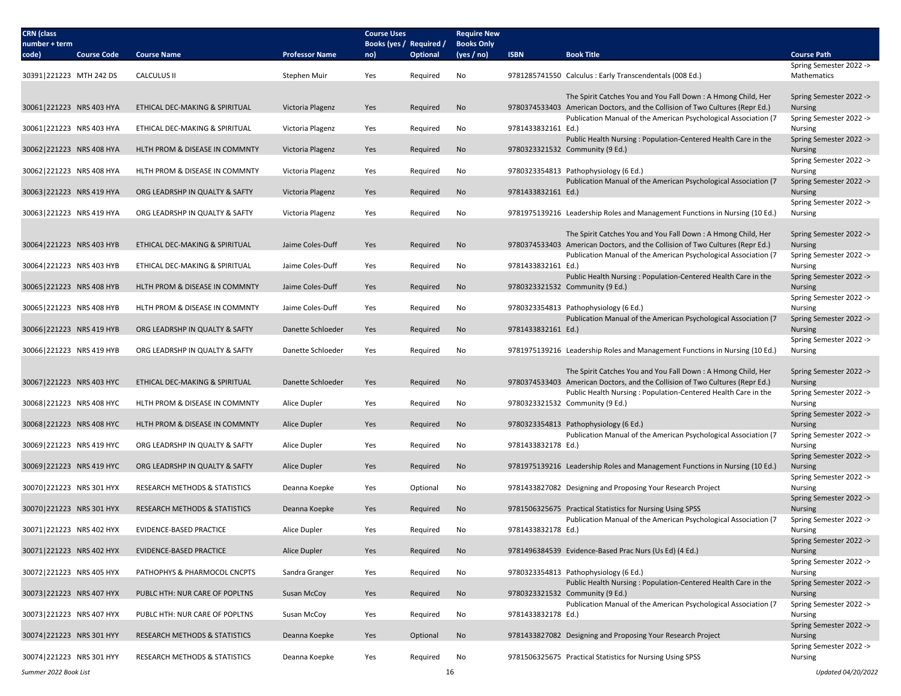| <b>CRN</b> (class        |                    |                                          |                       | <b>Course Uses</b>             |                 | <b>Require New</b>              |                    |                                                                                                                                                 |                                           |
|--------------------------|--------------------|------------------------------------------|-----------------------|--------------------------------|-----------------|---------------------------------|--------------------|-------------------------------------------------------------------------------------------------------------------------------------------------|-------------------------------------------|
| number + term<br>code)   | <b>Course Code</b> | <b>Course Name</b>                       | <b>Professor Name</b> | Books (yes / Required /<br>no) | <b>Optional</b> | <b>Books Only</b><br>(yes / no) | <b>ISBN</b>        | <b>Book Title</b>                                                                                                                               | <b>Course Path</b>                        |
|                          |                    |                                          |                       |                                |                 |                                 |                    |                                                                                                                                                 | Spring Semester 2022 ->                   |
| 30391 221223 MTH 242 DS  |                    | <b>CALCULUS II</b>                       | Stephen Muir          | Yes                            | Required        | No                              |                    | 9781285741550 Calculus: Early Transcendentals (008 Ed.)                                                                                         | Mathematics                               |
|                          |                    |                                          |                       |                                |                 |                                 |                    | The Spirit Catches You and You Fall Down: A Hmong Child, Her                                                                                    | Spring Semester 2022 ->                   |
| 30061 221223 NRS 403 HYA |                    | ETHICAL DEC-MAKING & SPIRITUAL           | Victoria Plagenz      | Yes                            | Required        | No                              |                    | 9780374533403 American Doctors, and the Collision of Two Cultures (Repr Ed.)<br>Publication Manual of the American Psychological Association (7 | <b>Nursing</b><br>Spring Semester 2022 -> |
| 30061 221223 NRS 403 HYA |                    | ETHICAL DEC-MAKING & SPIRITUAL           | Victoria Plagenz      | Yes                            | Required        | No                              | 9781433832161 Ed.) |                                                                                                                                                 | Nursing                                   |
|                          |                    |                                          |                       |                                |                 |                                 |                    | Public Health Nursing: Population-Centered Health Care in the                                                                                   | Spring Semester 2022 ->                   |
| 30062 221223 NRS 408 HYA |                    | HLTH PROM & DISEASE IN COMMNTY           | Victoria Plagenz      | Yes                            | Required        | <b>No</b>                       |                    | 9780323321532 Community (9 Ed.)                                                                                                                 | <b>Nursing</b><br>Spring Semester 2022 -> |
| 30062 221223 NRS 408 HYA |                    | HLTH PROM & DISEASE IN COMMNTY           | Victoria Plagenz      | Yes                            | Required        | No                              |                    | 9780323354813 Pathophysiology (6 Ed.)                                                                                                           | <b>Nursing</b>                            |
| 30063 221223 NRS 419 HYA |                    | ORG LEADRSHP IN QUALTY & SAFTY           | Victoria Plagenz      | Yes                            | Required        | No                              | 9781433832161 Ed.) | Publication Manual of the American Psychological Association (7                                                                                 | Spring Semester 2022 -><br><b>Nursing</b> |
|                          |                    |                                          |                       |                                |                 |                                 |                    |                                                                                                                                                 | Spring Semester 2022 ->                   |
| 30063 221223 NRS 419 HYA |                    | ORG LEADRSHP IN QUALTY & SAFTY           | Victoria Plagenz      | Yes                            | Required        | No                              |                    | 9781975139216 Leadership Roles and Management Functions in Nursing (10 Ed.)                                                                     | Nursing                                   |
|                          |                    |                                          |                       |                                |                 |                                 |                    | The Spirit Catches You and You Fall Down: A Hmong Child, Her                                                                                    | Spring Semester 2022 ->                   |
| 30064 221223 NRS 403 HYB |                    | ETHICAL DEC-MAKING & SPIRITUAL           | Jaime Coles-Duff      | Yes                            | Required        | No                              |                    | 9780374533403 American Doctors, and the Collision of Two Cultures (Repr Ed.)                                                                    | <b>Nursing</b>                            |
| 30064 221223 NRS 403 HYB |                    | ETHICAL DEC-MAKING & SPIRITUAL           | Jaime Coles-Duff      | Yes                            | Required        | No                              | 9781433832161 Ed.) | Publication Manual of the American Psychological Association (7                                                                                 | Spring Semester 2022 -><br>Nursing        |
|                          |                    |                                          |                       |                                |                 |                                 |                    | Public Health Nursing: Population-Centered Health Care in the                                                                                   | Spring Semester 2022 ->                   |
| 30065 221223 NRS 408 HYB |                    | HLTH PROM & DISEASE IN COMMNTY           | Jaime Coles-Duff      | Yes                            | Required        | No                              |                    | 9780323321532 Community (9 Ed.)                                                                                                                 | <b>Nursing</b><br>Spring Semester 2022 -> |
| 30065 221223 NRS 408 HYB |                    | HLTH PROM & DISEASE IN COMMNTY           | Jaime Coles-Duff      | Yes                            | Required        | No                              |                    | 9780323354813 Pathophysiology (6 Ed.)                                                                                                           | Nursing                                   |
| 30066 221223 NRS 419 HYB |                    | ORG LEADRSHP IN QUALTY & SAFTY           | Danette Schloeder     | Yes                            | Required        | No                              | 9781433832161 Ed.) | Publication Manual of the American Psychological Association (7                                                                                 | Spring Semester 2022 -><br><b>Nursing</b> |
|                          |                    |                                          |                       |                                |                 |                                 |                    |                                                                                                                                                 | Spring Semester 2022 ->                   |
| 30066 221223 NRS 419 HYB |                    | ORG LEADRSHP IN QUALTY & SAFTY           | Danette Schloeder     | Yes                            | Required        | No                              |                    | 9781975139216 Leadership Roles and Management Functions in Nursing (10 Ed.)                                                                     | Nursing                                   |
|                          |                    |                                          |                       |                                |                 |                                 |                    | The Spirit Catches You and You Fall Down: A Hmong Child, Her                                                                                    | Spring Semester 2022 ->                   |
| 30067 221223 NRS 403 HYC |                    | ETHICAL DEC-MAKING & SPIRITUAL           | Danette Schloeder     | Yes                            | Required        | No                              |                    | 9780374533403 American Doctors, and the Collision of Two Cultures (Repr Ed.)                                                                    | Nursing                                   |
| 30068 221223 NRS 408 HYC |                    | HLTH PROM & DISEASE IN COMMNTY           | Alice Dupler          | Yes                            | Required        | No                              |                    | Public Health Nursing: Population-Centered Health Care in the<br>9780323321532 Community (9 Ed.)                                                | Spring Semester 2022 -><br>Nursing        |
|                          |                    |                                          |                       |                                |                 |                                 |                    |                                                                                                                                                 | Spring Semester 2022 ->                   |
| 30068 221223 NRS 408 HYC |                    | HLTH PROM & DISEASE IN COMMNTY           | Alice Dupler          | Yes                            | Required        | No                              |                    | 9780323354813 Pathophysiology (6 Ed.)<br>Publication Manual of the American Psychological Association (7                                        | <b>Nursing</b><br>Spring Semester 2022 -> |
| 30069 221223 NRS 419 HYC |                    | ORG LEADRSHP IN QUALTY & SAFTY           | Alice Dupler          | Yes                            | Required        | No                              | 9781433832178 Ed.) |                                                                                                                                                 | Nursing                                   |
| 30069 221223 NRS 419 HYC |                    | ORG LEADRSHP IN QUALTY & SAFTY           | Alice Dupler          | Yes                            | Required        | No                              |                    | 9781975139216 Leadership Roles and Management Functions in Nursing (10 Ed.)                                                                     | Spring Semester 2022 -><br><b>Nursing</b> |
|                          |                    |                                          |                       |                                |                 |                                 |                    |                                                                                                                                                 | Spring Semester 2022 ->                   |
| 30070 221223 NRS 301 HYX |                    | RESEARCH METHODS & STATISTICS            | Deanna Koepke         | Yes                            | Optional        | No                              |                    | 9781433827082 Designing and Proposing Your Research Project                                                                                     | <b>Nursing</b>                            |
| 30070 221223 NRS 301 HYX |                    | <b>RESEARCH METHODS &amp; STATISTICS</b> | Deanna Koepke         | Yes                            | Required        | No                              |                    | 9781506325675 Practical Statistics for Nursing Using SPSS                                                                                       | Spring Semester 2022 -><br><b>Nursing</b> |
|                          |                    |                                          |                       |                                |                 |                                 |                    | Publication Manual of the American Psychological Association (7                                                                                 | Spring Semester 2022 ->                   |
| 30071 221223 NRS 402 HYX |                    | <b>EVIDENCE-BASED PRACTICE</b>           | Alice Dupler          | Yes                            | Required        | No                              | 9781433832178 Ed.) |                                                                                                                                                 | Nursing<br>Spring Semester 2022 ->        |
| 30071 221223 NRS 402 HYX |                    | <b>EVIDENCE-BASED PRACTICE</b>           | Alice Dupler          | Yes                            | Required        | No                              |                    | 9781496384539 Evidence-Based Prac Nurs (Us Ed) (4 Ed.)                                                                                          | <b>Nursing</b>                            |
| 30072 221223 NRS 405 HYX |                    | PATHOPHYS & PHARMOCOL CNCPTS             | Sandra Granger        | Yes                            | Required        | No                              |                    | 9780323354813 Pathophysiology (6 Ed.)                                                                                                           | Spring Semester 2022 -><br>Nursing        |
|                          |                    |                                          |                       |                                |                 |                                 |                    | Public Health Nursing: Population-Centered Health Care in the                                                                                   | Spring Semester 2022 ->                   |
| 30073 221223 NRS 407 HYX |                    | PUBLC HTH: NUR CARE OF POPLTNS           | Susan McCoy           | Yes                            | Required        | No                              |                    | 9780323321532 Community (9 Ed.)                                                                                                                 | <b>Nursing</b>                            |
| 30073 221223 NRS 407 HYX |                    | PUBLC HTH: NUR CARE OF POPLTNS           | Susan McCoy           | Yes                            | Required        | No                              | 9781433832178 Ed.) | Publication Manual of the American Psychological Association (7                                                                                 | Spring Semester 2022 -><br>Nursing        |
|                          |                    |                                          |                       |                                |                 |                                 |                    |                                                                                                                                                 | Spring Semester 2022 ->                   |
| 30074 221223 NRS 301 HYY |                    | <b>RESEARCH METHODS &amp; STATISTICS</b> | Deanna Koepke         | Yes                            | Optional        | No                              |                    | 9781433827082 Designing and Proposing Your Research Project                                                                                     | <b>Nursing</b><br>Spring Semester 2022 -> |
| 30074 221223 NRS 301 HYY |                    | RESEARCH METHODS & STATISTICS            | Deanna Koepke         | Yes                            | Required        | No                              |                    | 9781506325675 Practical Statistics for Nursing Using SPSS                                                                                       | Nursing                                   |
| Summer 2022 Book List    |                    |                                          |                       |                                | 16              |                                 |                    |                                                                                                                                                 | Updated 04/20/2022                        |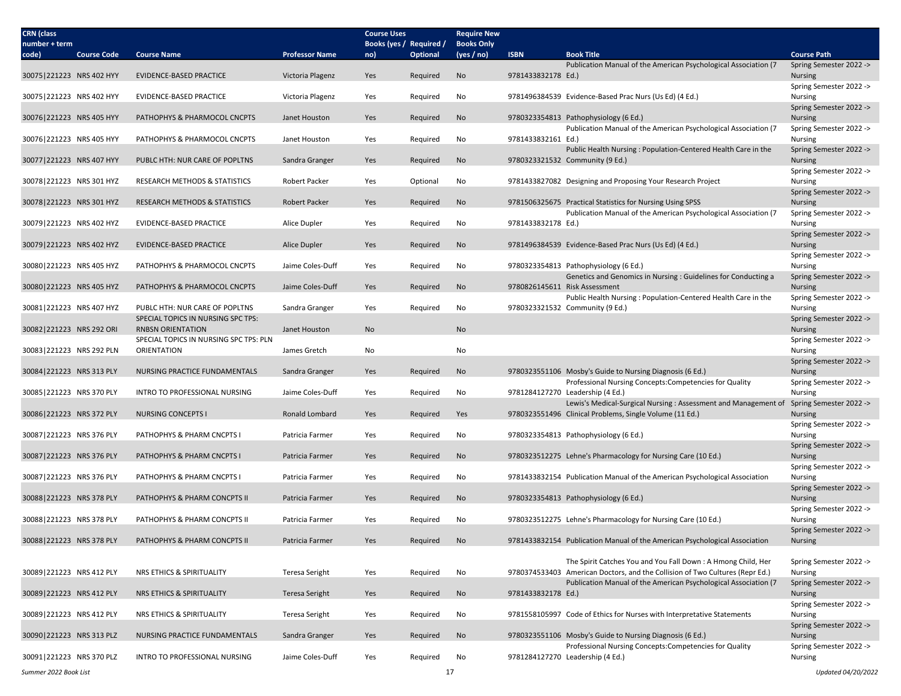| <b>CRN</b> (class<br>number + term |                    |                                                                      |                       | <b>Course Uses</b><br>Books (yes / Required / |                 | <b>Require New</b><br><b>Books Only</b> |                    |                                                                                                                                                 |                                           |
|------------------------------------|--------------------|----------------------------------------------------------------------|-----------------------|-----------------------------------------------|-----------------|-----------------------------------------|--------------------|-------------------------------------------------------------------------------------------------------------------------------------------------|-------------------------------------------|
| code)                              | <b>Course Code</b> | <b>Course Name</b>                                                   | <b>Professor Name</b> | no)                                           | <b>Optional</b> | (yes / no)                              | <b>ISBN</b>        | <b>Book Title</b>                                                                                                                               | <b>Course Path</b>                        |
|                                    |                    |                                                                      |                       |                                               |                 |                                         |                    | Publication Manual of the American Psychological Association (7                                                                                 | Spring Semester 2022 ->                   |
| 30075 221223 NRS 402 HYY           |                    | <b>EVIDENCE-BASED PRACTICE</b>                                       | Victoria Plagenz      | Yes                                           | Required        | No                                      | 9781433832178 Ed.) |                                                                                                                                                 | <b>Nursing</b>                            |
| 30075 221223 NRS 402 HYY           |                    | <b>EVIDENCE-BASED PRACTICE</b>                                       | Victoria Plagenz      | Yes                                           | Required        | No                                      |                    | 9781496384539 Evidence-Based Prac Nurs (Us Ed) (4 Ed.)                                                                                          | Spring Semester 2022 -><br>Nursing        |
|                                    |                    |                                                                      |                       |                                               |                 |                                         |                    |                                                                                                                                                 | Spring Semester 2022 ->                   |
| 30076 221223 NRS 405 HYY           |                    | PATHOPHYS & PHARMOCOL CNCPTS                                         | Janet Houston         | Yes                                           | Required        | No                                      |                    | 9780323354813 Pathophysiology (6 Ed.)                                                                                                           | <b>Nursing</b>                            |
| 30076 221223 NRS 405 HYY           |                    | PATHOPHYS & PHARMOCOL CNCPTS                                         | Janet Houston         | Yes                                           | Required        | No                                      | 9781433832161 Ed.) | Publication Manual of the American Psychological Association (7                                                                                 | Spring Semester 2022 -><br><b>Nursing</b> |
|                                    |                    |                                                                      |                       |                                               |                 |                                         |                    | Public Health Nursing: Population-Centered Health Care in the                                                                                   | Spring Semester 2022 ->                   |
| 30077 221223 NRS 407 HYY           |                    | PUBLC HTH: NUR CARE OF POPLTNS                                       | Sandra Granger        | Yes                                           | Required        | No                                      |                    | 9780323321532 Community (9 Ed.)                                                                                                                 | <b>Nursing</b>                            |
| 30078 221223 NRS 301 HYZ           |                    | RESEARCH METHODS & STATISTICS                                        | <b>Robert Packer</b>  | Yes                                           | Optional        | No                                      |                    | 9781433827082 Designing and Proposing Your Research Project                                                                                     | Spring Semester 2022 -><br><b>Nursing</b> |
|                                    |                    |                                                                      |                       |                                               |                 |                                         |                    |                                                                                                                                                 | Spring Semester 2022 ->                   |
| 30078 221223 NRS 301 HYZ           |                    | <b>RESEARCH METHODS &amp; STATISTICS</b>                             | Robert Packer         | Yes                                           | Required        | No                                      |                    | 9781506325675 Practical Statistics for Nursing Using SPSS                                                                                       | <b>Nursing</b>                            |
|                                    |                    |                                                                      |                       |                                               |                 |                                         |                    | Publication Manual of the American Psychological Association (7                                                                                 | Spring Semester 2022 ->                   |
| 30079 221223 NRS 402 HYZ           |                    | EVIDENCE-BASED PRACTICE                                              | Alice Dupler          | Yes                                           | Required        | No                                      | 9781433832178 Ed.) |                                                                                                                                                 | Nursing<br>Spring Semester 2022 ->        |
| 30079 221223 NRS 402 HYZ           |                    | EVIDENCE-BASED PRACTICE                                              | Alice Dupler          | Yes                                           | Required        | No                                      |                    | 9781496384539 Evidence-Based Prac Nurs (Us Ed) (4 Ed.)                                                                                          | <b>Nursing</b>                            |
|                                    |                    |                                                                      |                       |                                               |                 |                                         |                    |                                                                                                                                                 | Spring Semester 2022 ->                   |
| 30080 221223 NRS 405 HYZ           |                    | PATHOPHYS & PHARMOCOL CNCPTS                                         | Jaime Coles-Duff      | Yes                                           | Required        | No                                      |                    | 9780323354813 Pathophysiology (6 Ed.)<br>Genetics and Genomics in Nursing : Guidelines for Conducting a                                         | Nursing<br>Spring Semester 2022 ->        |
| 30080 221223 NRS 405 HYZ           |                    | PATHOPHYS & PHARMOCOL CNCPTS                                         | Jaime Coles-Duff      | Yes                                           | Required        | No                                      |                    | 9780826145611 Risk Assessment                                                                                                                   | <b>Nursing</b>                            |
|                                    |                    |                                                                      |                       |                                               |                 |                                         |                    | Public Health Nursing: Population-Centered Health Care in the                                                                                   | Spring Semester 2022 ->                   |
| 30081 221223 NRS 407 HYZ           |                    | PUBLC HTH: NUR CARE OF POPLTNS<br>SPECIAL TOPICS IN NURSING SPC TPS: | Sandra Granger        | Yes                                           | Required        | No                                      |                    | 9780323321532 Community (9 Ed.)                                                                                                                 | Nursing<br>Spring Semester 2022 ->        |
| 30082 221223 NRS 292 ORI           |                    | <b>RNBSN ORIENTATION</b>                                             | Janet Houston         | No                                            |                 | No                                      |                    |                                                                                                                                                 | <b>Nursing</b>                            |
|                                    |                    | SPECIAL TOPICS IN NURSING SPC TPS: PLN                               |                       |                                               |                 |                                         |                    |                                                                                                                                                 | Spring Semester 2022 ->                   |
| 30083 221223 NRS 292 PLN           |                    | ORIENTATION                                                          | James Gretch          | No                                            |                 | No                                      |                    |                                                                                                                                                 | Nursing<br>Spring Semester 2022 ->        |
| 30084 221223 NRS 313 PLY           |                    | NURSING PRACTICE FUNDAMENTALS                                        | Sandra Granger        | Yes                                           | Required        | No                                      |                    | 9780323551106 Mosby's Guide to Nursing Diagnosis (6 Ed.)                                                                                        | <b>Nursing</b>                            |
|                                    |                    |                                                                      |                       |                                               |                 |                                         |                    | Professional Nursing Concepts: Competencies for Quality                                                                                         | Spring Semester 2022 ->                   |
| 30085 221223 NRS 370 PLY           |                    | INTRO TO PROFESSIONAL NURSING                                        | Jaime Coles-Duff      | Yes                                           | Required        | No                                      |                    | 9781284127270 Leadership (4 Ed.)<br>Lewis's Medical-Surgical Nursing: Assessment and Management of                                              | Nursing                                   |
| 30086 221223 NRS 372 PLY           |                    | <b>NURSING CONCEPTS I</b>                                            | Ronald Lombard        | Yes                                           | Required        | Yes                                     |                    | 9780323551496 Clinical Problems, Single Volume (11 Ed.)                                                                                         | Spring Semester 2022 -><br><b>Nursing</b> |
|                                    |                    |                                                                      |                       |                                               |                 |                                         |                    |                                                                                                                                                 | Spring Semester 2022 ->                   |
| 30087 221223 NRS 376 PLY           |                    | PATHOPHYS & PHARM CNCPTS                                             | Patricia Farmer       | Yes                                           | Required        | No                                      |                    | 9780323354813 Pathophysiology (6 Ed.)                                                                                                           | Nursing                                   |
| 30087 221223 NRS 376 PLY           |                    | PATHOPHYS & PHARM CNCPTS I                                           | Patricia Farmer       | Yes                                           | Required        | <b>No</b>                               |                    | 9780323512275 Lehne's Pharmacology for Nursing Care (10 Ed.)                                                                                    | Spring Semester 2022 -><br><b>Nursing</b> |
|                                    |                    |                                                                      |                       |                                               |                 |                                         |                    |                                                                                                                                                 | Spring Semester 2022 ->                   |
| 30087 221223 NRS 376 PLY           |                    | PATHOPHYS & PHARM CNCPTS I                                           | Patricia Farmer       | Yes                                           | Required        | No                                      |                    | 9781433832154 Publication Manual of the American Psychological Association                                                                      | <b>Nursing</b>                            |
| 30088 221223 NRS 378 PLY           |                    | PATHOPHYS & PHARM CONCPTS II                                         | Patricia Farmer       | Yes                                           | Required        | No                                      |                    | 9780323354813 Pathophysiology (6 Ed.)                                                                                                           | Spring Semester 2022 -><br><b>Nursing</b> |
|                                    |                    |                                                                      |                       |                                               |                 |                                         |                    |                                                                                                                                                 | Spring Semester 2022 ->                   |
| 30088 221223 NRS 378 PLY           |                    | PATHOPHYS & PHARM CONCPTS II                                         | Patricia Farmer       | Yes                                           | Required        | No                                      |                    | 9780323512275 Lehne's Pharmacology for Nursing Care (10 Ed.)                                                                                    | Nursing                                   |
| 30088 221223 NRS 378 PLY           |                    | PATHOPHYS & PHARM CONCPTS II                                         | Patricia Farmer       | Yes                                           | Required        | No                                      |                    | 9781433832154 Publication Manual of the American Psychological Association                                                                      | Spring Semester 2022 -><br><b>Nursing</b> |
|                                    |                    |                                                                      |                       |                                               |                 |                                         |                    |                                                                                                                                                 |                                           |
|                                    |                    |                                                                      |                       |                                               |                 |                                         |                    | The Spirit Catches You and You Fall Down: A Hmong Child, Her                                                                                    | Spring Semester 2022 ->                   |
| 30089 221223 NRS 412 PLY           |                    | NRS ETHICS & SPIRITUALITY                                            | <b>Teresa Seright</b> | Yes                                           | Required        | No                                      |                    | 9780374533403 American Doctors, and the Collision of Two Cultures (Repr Ed.)<br>Publication Manual of the American Psychological Association (7 | Nursing<br>Spring Semester 2022 ->        |
| 30089 221223 NRS 412 PLY           |                    | NRS ETHICS & SPIRITUALITY                                            | <b>Teresa Seright</b> | Yes                                           | Required        | No                                      | 9781433832178 Ed.) |                                                                                                                                                 | <b>Nursing</b>                            |
|                                    |                    |                                                                      |                       |                                               |                 |                                         |                    |                                                                                                                                                 | Spring Semester 2022 ->                   |
| 30089 221223 NRS 412 PLY           |                    | NRS ETHICS & SPIRITUALITY                                            | <b>Teresa Seright</b> | Yes                                           | Required        | No                                      |                    | 9781558105997 Code of Ethics for Nurses with Interpretative Statements                                                                          | Nursing                                   |
| 30090 221223 NRS 313 PLZ           |                    | NURSING PRACTICE FUNDAMENTALS                                        | Sandra Granger        | Yes                                           | Required        | <b>No</b>                               |                    | 9780323551106 Mosby's Guide to Nursing Diagnosis (6 Ed.)                                                                                        | Spring Semester 2022 -><br><b>Nursing</b> |
|                                    |                    |                                                                      |                       |                                               |                 |                                         |                    | Professional Nursing Concepts: Competencies for Quality                                                                                         | Spring Semester 2022 ->                   |
| 30091 221223 NRS 370 PLZ           |                    | INTRO TO PROFESSIONAL NURSING                                        | Jaime Coles-Duff      | Yes                                           | Required        | No                                      |                    | 9781284127270 Leadership (4 Ed.)                                                                                                                | Nursing                                   |
| Summer 2022 Book List              |                    |                                                                      |                       |                                               | 17              |                                         |                    |                                                                                                                                                 | Updated 04/20/2022                        |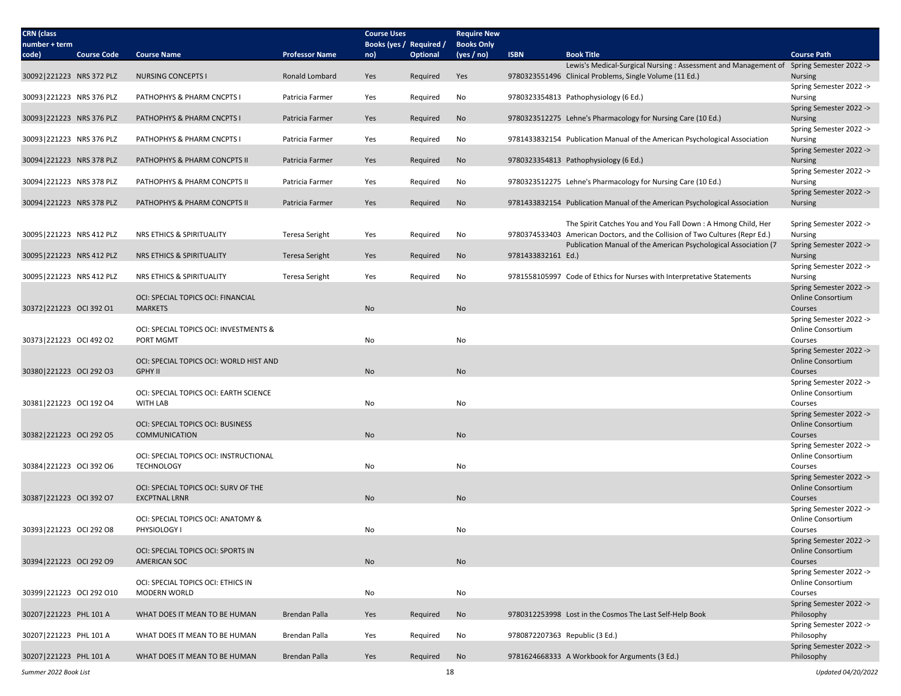| <b>CRN</b> (class<br>number + term |                    |                                                           |                       | <b>Course Uses</b> | Books (yes / Required / | <b>Require New</b><br><b>Books Only</b> |                    |                                                                                        |                                                     |
|------------------------------------|--------------------|-----------------------------------------------------------|-----------------------|--------------------|-------------------------|-----------------------------------------|--------------------|----------------------------------------------------------------------------------------|-----------------------------------------------------|
| code)                              | <b>Course Code</b> | <b>Course Name</b>                                        | <b>Professor Name</b> | no)                | <b>Optional</b>         | (yes / no)                              | <b>ISBN</b>        | <b>Book Title</b>                                                                      | <b>Course Path</b>                                  |
|                                    |                    |                                                           |                       |                    |                         |                                         |                    | Lewis's Medical-Surgical Nursing: Assessment and Management of Spring Semester 2022 -> |                                                     |
| 30092 221223 NRS 372 PLZ           |                    | <b>NURSING CONCEPTS I</b>                                 | Ronald Lombard        | Yes                | Required                | Yes                                     |                    | 9780323551496 Clinical Problems, Single Volume (11 Ed.)                                | <b>Nursing</b><br>Spring Semester 2022 ->           |
| 30093 221223 NRS 376 PLZ           |                    | PATHOPHYS & PHARM CNCPTS I                                | Patricia Farmer       | Yes                | Required                | No                                      |                    | 9780323354813 Pathophysiology (6 Ed.)                                                  | Nursing                                             |
|                                    |                    |                                                           |                       |                    |                         |                                         |                    |                                                                                        | Spring Semester 2022 ->                             |
| 30093 221223 NRS 376 PLZ           |                    | PATHOPHYS & PHARM CNCPTS I                                | Patricia Farmer       | Yes                | Required                | No                                      |                    | 9780323512275 Lehne's Pharmacology for Nursing Care (10 Ed.)                           | <b>Nursing</b>                                      |
| 30093 221223 NRS 376 PLZ           |                    |                                                           | Patricia Farmer       |                    |                         |                                         |                    |                                                                                        | Spring Semester 2022 ->                             |
|                                    |                    | PATHOPHYS & PHARM CNCPTS I                                |                       | Yes                | Required                | No                                      |                    | 9781433832154 Publication Manual of the American Psychological Association             | Nursing<br>Spring Semester 2022 ->                  |
| 30094 221223 NRS 378 PLZ           |                    | PATHOPHYS & PHARM CONCPTS II                              | Patricia Farmer       | Yes                | Required                | No                                      |                    | 9780323354813 Pathophysiology (6 Ed.)                                                  | <b>Nursing</b>                                      |
|                                    |                    |                                                           |                       |                    |                         |                                         |                    |                                                                                        | Spring Semester 2022 ->                             |
| 30094 221223 NRS 378 PLZ           |                    | PATHOPHYS & PHARM CONCPTS II                              | Patricia Farmer       | Yes                | Required                | No                                      |                    | 9780323512275 Lehne's Pharmacology for Nursing Care (10 Ed.)                           | Nursing                                             |
| 30094 221223 NRS 378 PLZ           |                    | PATHOPHYS & PHARM CONCPTS II                              | Patricia Farmer       | Yes                | Required                | <b>No</b>                               |                    | 9781433832154 Publication Manual of the American Psychological Association             | Spring Semester 2022 -><br><b>Nursing</b>           |
|                                    |                    |                                                           |                       |                    |                         |                                         |                    |                                                                                        |                                                     |
|                                    |                    |                                                           |                       |                    |                         |                                         |                    | The Spirit Catches You and You Fall Down: A Hmong Child, Her                           | Spring Semester 2022 ->                             |
| 30095 221223 NRS 412 PLZ           |                    | NRS ETHICS & SPIRITUALITY                                 | Teresa Seright        | Yes                | Required                | No                                      |                    | 9780374533403 American Doctors, and the Collision of Two Cultures (Repr Ed.)           | Nursing                                             |
| 30095 221223 NRS 412 PLZ           |                    | NRS ETHICS & SPIRITUALITY                                 | Teresa Seright        | Yes                | Required                | No                                      | 9781433832161 Ed.) | Publication Manual of the American Psychological Association (7                        | Spring Semester 2022 -><br><b>Nursing</b>           |
|                                    |                    |                                                           |                       |                    |                         |                                         |                    |                                                                                        | Spring Semester 2022 ->                             |
| 30095 221223 NRS 412 PLZ           |                    | NRS ETHICS & SPIRITUALITY                                 | Teresa Seright        | Yes                | Required                | No                                      |                    | 9781558105997 Code of Ethics for Nurses with Interpretative Statements                 | Nursing                                             |
|                                    |                    |                                                           |                       |                    |                         |                                         |                    |                                                                                        | Spring Semester 2022 ->                             |
|                                    |                    | OCI: SPECIAL TOPICS OCI: FINANCIAL                        |                       |                    |                         |                                         |                    |                                                                                        | <b>Online Consortium</b>                            |
| 30372 221223 OCI 392 O1            |                    | <b>MARKETS</b>                                            |                       | No                 |                         | No                                      |                    |                                                                                        | Courses<br>Spring Semester 2022 ->                  |
|                                    |                    | OCI: SPECIAL TOPICS OCI: INVESTMENTS &                    |                       |                    |                         |                                         |                    |                                                                                        | Online Consortium                                   |
| 30373 221223 OCI 492 O2            |                    | PORT MGMT                                                 |                       | No                 |                         | No                                      |                    |                                                                                        | Courses                                             |
|                                    |                    |                                                           |                       |                    |                         |                                         |                    |                                                                                        | Spring Semester 2022 ->                             |
| 30380 221223 OCI 292 O3            |                    | OCI: SPECIAL TOPICS OCI: WORLD HIST AND<br><b>GPHY II</b> |                       | No                 |                         | No                                      |                    |                                                                                        | <b>Online Consortium</b><br>Courses                 |
|                                    |                    |                                                           |                       |                    |                         |                                         |                    |                                                                                        | Spring Semester 2022 ->                             |
|                                    |                    | OCI: SPECIAL TOPICS OCI: EARTH SCIENCE                    |                       |                    |                         |                                         |                    |                                                                                        | Online Consortium                                   |
| 30381 221223 OCI 192 O4            |                    | <b>WITH LAB</b>                                           |                       | No                 |                         | No                                      |                    |                                                                                        | Courses                                             |
|                                    |                    | OCI: SPECIAL TOPICS OCI: BUSINESS                         |                       |                    |                         |                                         |                    |                                                                                        | Spring Semester 2022 -><br><b>Online Consortium</b> |
| 30382 221223 OCI 292 O5            |                    | COMMUNICATION                                             |                       | No                 |                         | No                                      |                    |                                                                                        | Courses                                             |
|                                    |                    |                                                           |                       |                    |                         |                                         |                    |                                                                                        | Spring Semester 2022 ->                             |
|                                    |                    | OCI: SPECIAL TOPICS OCI: INSTRUCTIONAL                    |                       |                    |                         |                                         |                    |                                                                                        | Online Consortium                                   |
| 30384 221223 OCI 392 O6            |                    | <b>TECHNOLOGY</b>                                         |                       | No                 |                         | No                                      |                    |                                                                                        | Courses                                             |
|                                    |                    | OCI: SPECIAL TOPICS OCI: SURV OF THE                      |                       |                    |                         |                                         |                    |                                                                                        | Spring Semester 2022 -><br>Online Consortium        |
| 30387 221223 OCI 392 O7            |                    | <b>EXCPTNAL LRNR</b>                                      |                       | No                 |                         | No                                      |                    |                                                                                        | Courses                                             |
|                                    |                    |                                                           |                       |                    |                         |                                         |                    |                                                                                        | Spring Semester 2022 ->                             |
|                                    |                    | OCI: SPECIAL TOPICS OCI: ANATOMY &                        |                       |                    |                         |                                         |                    |                                                                                        | Online Consortium                                   |
| 30393 221223 OCI 292 O8            |                    | PHYSIOLOGY I                                              |                       | No                 |                         | No                                      |                    |                                                                                        | Courses<br>Spring Semester 2022 ->                  |
|                                    |                    | OCI: SPECIAL TOPICS OCI: SPORTS IN                        |                       |                    |                         |                                         |                    |                                                                                        | Online Consortium                                   |
| 30394 221223 OCI 292 O9            |                    | <b>AMERICAN SOC</b>                                       |                       | No                 |                         | <b>No</b>                               |                    |                                                                                        | Courses                                             |
|                                    |                    |                                                           |                       |                    |                         |                                         |                    |                                                                                        | Spring Semester 2022 ->                             |
|                                    |                    | OCI: SPECIAL TOPICS OCI: ETHICS IN<br><b>MODERN WORLD</b> |                       |                    |                         |                                         |                    |                                                                                        | Online Consortium                                   |
| 30399 221223 OCI 292 O10           |                    |                                                           |                       | No                 |                         | No                                      |                    |                                                                                        | Courses<br>Spring Semester 2022 ->                  |
| 30207 221223 PHL 101 A             |                    | WHAT DOES IT MEAN TO BE HUMAN                             | Brendan Palla         | Yes                | Required                | No                                      |                    | 9780312253998 Lost in the Cosmos The Last Self-Help Book                               | Philosophy                                          |
|                                    |                    |                                                           |                       |                    |                         |                                         |                    |                                                                                        | Spring Semester 2022 ->                             |
| 30207 221223 PHL 101 A             |                    | WHAT DOES IT MEAN TO BE HUMAN                             | Brendan Palla         | Yes                | Required                | No                                      |                    | 9780872207363 Republic (3 Ed.)                                                         | Philosophy                                          |
| 30207 221223 PHL 101 A             |                    | WHAT DOES IT MEAN TO BE HUMAN                             | Brendan Palla         | Yes                | Required                | No                                      |                    | 9781624668333 A Workbook for Arguments (3 Ed.)                                         | Spring Semester 2022 -><br>Philosophy               |
|                                    |                    |                                                           |                       |                    |                         |                                         |                    |                                                                                        |                                                     |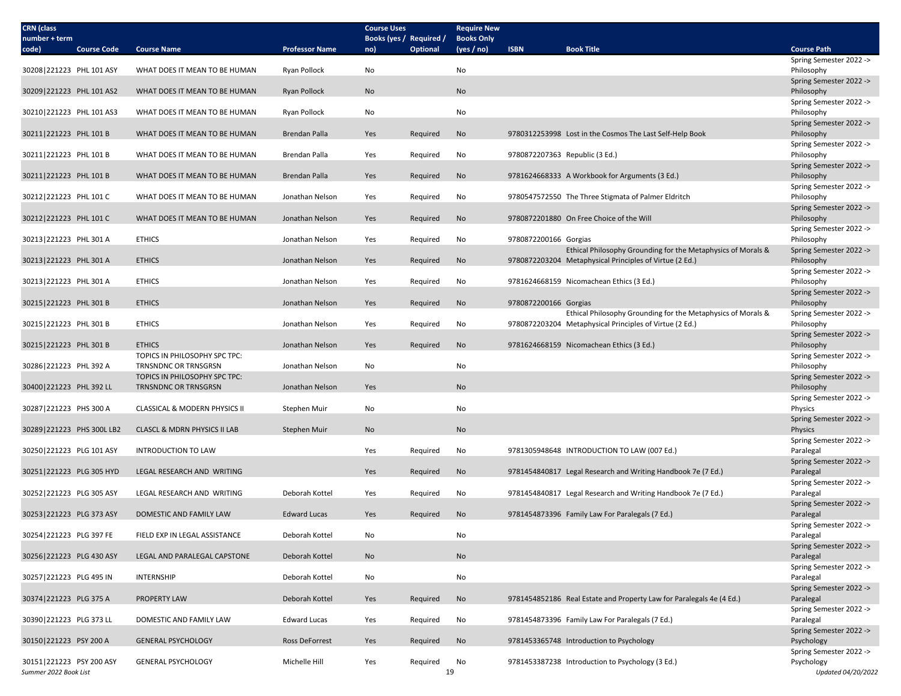| <b>CRN</b> (class<br>number + term                |                                                              |                       | <b>Course Uses</b><br>Books (yes / Required / |                 | <b>Require New</b><br><b>Books Only</b> |                                |                                                                                                                         |                                                             |
|---------------------------------------------------|--------------------------------------------------------------|-----------------------|-----------------------------------------------|-----------------|-----------------------------------------|--------------------------------|-------------------------------------------------------------------------------------------------------------------------|-------------------------------------------------------------|
| <b>Course Code</b><br>code)                       | <b>Course Name</b>                                           | <b>Professor Name</b> | no)                                           | <b>Optional</b> | (yes / no)                              | <b>ISBN</b>                    | <b>Book Title</b>                                                                                                       | <b>Course Path</b>                                          |
|                                                   |                                                              |                       |                                               |                 |                                         |                                |                                                                                                                         | Spring Semester 2022 ->                                     |
| 30208 221223 PHL 101 ASY                          | WHAT DOES IT MEAN TO BE HUMAN                                | Ryan Pollock          | No                                            |                 | No                                      |                                |                                                                                                                         | Philosophy                                                  |
| 30209 221223 PHL 101 AS2                          | WHAT DOES IT MEAN TO BE HUMAN                                | <b>Ryan Pollock</b>   | No                                            |                 | No                                      |                                |                                                                                                                         | Spring Semester 2022 -><br>Philosophy                       |
| 30210 221223 PHL 101 AS3                          | WHAT DOES IT MEAN TO BE HUMAN                                | Ryan Pollock          | No                                            |                 | No                                      |                                |                                                                                                                         | Spring Semester 2022 -><br>Philosophy                       |
| 30211 221223 PHL 101 B                            | WHAT DOES IT MEAN TO BE HUMAN                                | Brendan Palla         | Yes                                           | Required        | No                                      |                                | 9780312253998 Lost in the Cosmos The Last Self-Help Book                                                                | Spring Semester 2022 -><br>Philosophy                       |
| 30211 221223 PHL 101 B                            | WHAT DOES IT MEAN TO BE HUMAN                                | Brendan Palla         | Yes                                           | Required        | No                                      | 9780872207363 Republic (3 Ed.) |                                                                                                                         | Spring Semester 2022 -><br>Philosophy                       |
| 30211 221223 PHL 101 B                            | WHAT DOES IT MEAN TO BE HUMAN                                | <b>Brendan Palla</b>  | Yes                                           |                 |                                         |                                | 9781624668333 A Workbook for Arguments (3 Ed.)                                                                          | Spring Semester 2022 -><br>Philosophy                       |
|                                                   |                                                              |                       |                                               | Required        | No                                      |                                |                                                                                                                         | Spring Semester 2022 ->                                     |
| 30212 221223 PHL 101 C                            | WHAT DOES IT MEAN TO BE HUMAN                                | Jonathan Nelson       | Yes                                           | Required        | No                                      |                                | 9780547572550 The Three Stigmata of Palmer Eldritch                                                                     | Philosophy<br>Spring Semester 2022 ->                       |
| 30212 221223 PHL 101 C                            | WHAT DOES IT MEAN TO BE HUMAN                                | Jonathan Nelson       | Yes                                           | Required        | No                                      |                                | 9780872201880 On Free Choice of the Will                                                                                | Philosophy<br>Spring Semester 2022 ->                       |
| 30213 221223 PHL 301 A                            | <b>ETHICS</b>                                                | Jonathan Nelson       | Yes                                           | Required        | No                                      | 9780872200166 Gorgias          |                                                                                                                         | Philosophy                                                  |
| 30213 221223 PHL 301 A                            | <b>ETHICS</b>                                                | Jonathan Nelson       | Yes                                           | Required        | No                                      |                                | Ethical Philosophy Grounding for the Metaphysics of Morals &<br>9780872203204 Metaphysical Principles of Virtue (2 Ed.) | Spring Semester 2022 -><br>Philosophy                       |
| 30213 221223 PHL 301 A                            | <b>ETHICS</b>                                                | Jonathan Nelson       | Yes                                           | Required        | No                                      |                                | 9781624668159 Nicomachean Ethics (3 Ed.)                                                                                | Spring Semester 2022 -><br>Philosophy                       |
| 30215 221223 PHL 301 B                            | <b>ETHICS</b>                                                | Jonathan Nelson       |                                               |                 | No                                      | 9780872200166 Gorgias          |                                                                                                                         | Spring Semester 2022 -><br>Philosophy                       |
|                                                   |                                                              |                       | Yes                                           | Required        |                                         |                                | Ethical Philosophy Grounding for the Metaphysics of Morals &                                                            | Spring Semester 2022 ->                                     |
| 30215 221223 PHL 301 B                            | <b>ETHICS</b>                                                | Jonathan Nelson       | Yes                                           | Required        | No                                      |                                | 9780872203204 Metaphysical Principles of Virtue (2 Ed.)                                                                 | Philosophy<br>Spring Semester 2022 ->                       |
| 30215 221223 PHL 301 B                            | <b>ETHICS</b><br>TOPICS IN PHILOSOPHY SPC TPC:               | Jonathan Nelson       | Yes                                           | Required        | No                                      |                                | 9781624668159 Nicomachean Ethics (3 Ed.)                                                                                | Philosophy<br>Spring Semester 2022 ->                       |
| 30286 221223 PHL 392 A                            | TRNSNDNC OR TRNSGRSN                                         | Jonathan Nelson       | No                                            |                 | No                                      |                                |                                                                                                                         | Philosophy                                                  |
| 30400 221223 PHL 392 LL                           | TOPICS IN PHILOSOPHY SPC TPC:<br><b>TRNSNDNC OR TRNSGRSN</b> | Jonathan Nelson       | Yes                                           |                 | No                                      |                                |                                                                                                                         | Spring Semester 2022 -><br>Philosophy                       |
| 30287 221223 PHS 300 A                            | CLASSICAL & MODERN PHYSICS II                                | Stephen Muir          | No                                            |                 | No                                      |                                |                                                                                                                         | Spring Semester 2022 -><br>Physics                          |
| 30289 221223 PHS 300L LB2                         | <b>CLASCL &amp; MDRN PHYSICS II LAB</b>                      | Stephen Muir          | <b>No</b>                                     |                 | No                                      |                                |                                                                                                                         | Spring Semester 2022 -><br>Physics                          |
|                                                   |                                                              |                       |                                               |                 |                                         |                                |                                                                                                                         | Spring Semester 2022 ->                                     |
| 30250 221223 PLG 101 ASY                          | <b>INTRODUCTION TO LAW</b>                                   |                       | Yes                                           | Required        | No                                      |                                | 9781305948648 INTRODUCTION TO LAW (007 Ed.)                                                                             | Paralegal<br>Spring Semester 2022 ->                        |
| 30251 221223 PLG 305 HYD                          | LEGAL RESEARCH AND WRITING                                   |                       | Yes                                           | Required        | No                                      |                                | 9781454840817 Legal Research and Writing Handbook 7e (7 Ed.)                                                            | Paralegal<br>Spring Semester 2022 ->                        |
| 30252 221223 PLG 305 ASY                          | LEGAL RESEARCH AND WRITING                                   | Deborah Kottel        | Yes                                           | Required        | No                                      |                                | 9781454840817 Legal Research and Writing Handbook 7e (7 Ed.)                                                            | Paralegal                                                   |
| 30253 221223 PLG 373 ASY                          | DOMESTIC AND FAMILY LAW                                      | <b>Edward Lucas</b>   | Yes                                           | Required        | No                                      |                                | 9781454873396 Family Law For Paralegals (7 Ed.)                                                                         | Spring Semester 2022 -><br>Paralegal                        |
| 30254 221223 PLG 397 FE                           | FIELD EXP IN LEGAL ASSISTANCE                                | Deborah Kottel        | No                                            |                 | No                                      |                                |                                                                                                                         | Spring Semester 2022 -><br>Paralegal                        |
| 30256 221223 PLG 430 ASY                          | LEGAL AND PARALEGAL CAPSTONE                                 | Deborah Kottel        | No                                            |                 | No                                      |                                |                                                                                                                         | Spring Semester 2022 -><br>Paralegal                        |
|                                                   |                                                              |                       |                                               |                 |                                         |                                |                                                                                                                         | Spring Semester 2022 ->                                     |
| 30257 221223 PLG 495 IN                           | INTERNSHIP                                                   | Deborah Kottel        | No                                            |                 | No                                      |                                |                                                                                                                         | Paralegal<br>Spring Semester 2022 ->                        |
| 30374 221223 PLG 375 A                            | PROPERTY LAW                                                 | Deborah Kottel        | Yes                                           | Required        | No                                      |                                | 9781454852186 Real Estate and Property Law for Paralegals 4e (4 Ed.)                                                    | Paralegal<br>Spring Semester 2022 ->                        |
| 30390 221223 PLG 373 LL                           | DOMESTIC AND FAMILY LAW                                      | <b>Edward Lucas</b>   | Yes                                           | Required        | No                                      |                                | 9781454873396 Family Law For Paralegals (7 Ed.)                                                                         | Paralegal<br>Spring Semester 2022 ->                        |
| 30150 221223 PSY 200 A                            | <b>GENERAL PSYCHOLOGY</b>                                    | Ross DeForrest        | Yes                                           | Required        | No                                      |                                | 9781453365748 Introduction to Psychology                                                                                | Psychology                                                  |
| 30151 221223 PSY 200 ASY<br>Summer 2022 Book List | <b>GENERAL PSYCHOLOGY</b>                                    | Michelle Hill         | Yes                                           | Required        | No<br>19                                |                                | 9781453387238 Introduction to Psychology (3 Ed.)                                                                        | Spring Semester 2022 -><br>Psychology<br>Updated 04/20/2022 |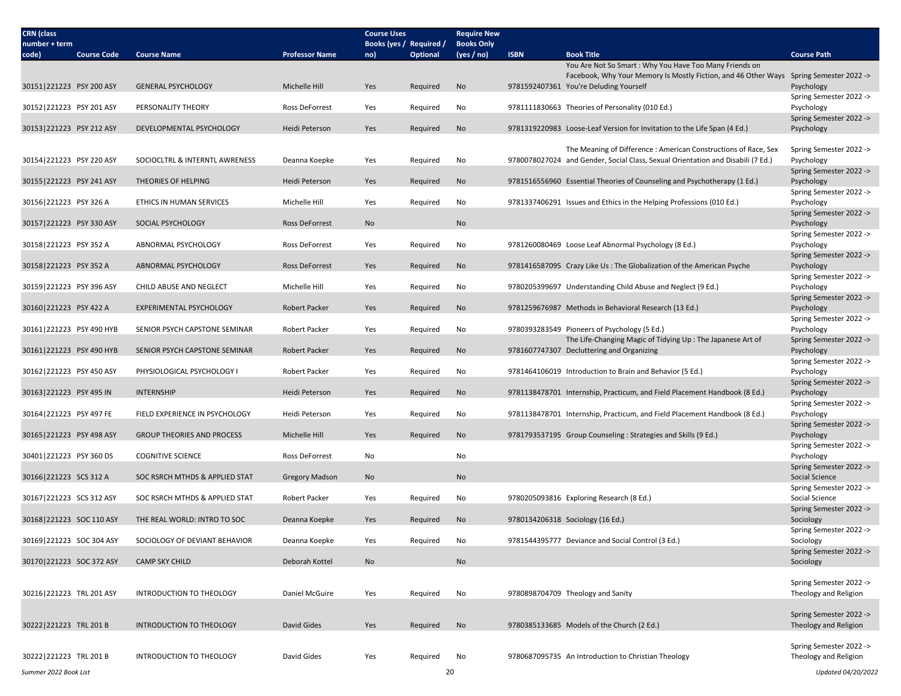| <b>CRN</b> (class<br><b>Course Uses</b><br><b>Require New</b><br>Books (yes / Required /<br><b>Books Only</b><br>number + term                                                          |                                       |
|-----------------------------------------------------------------------------------------------------------------------------------------------------------------------------------------|---------------------------------------|
| Optional<br><b>ISBN</b><br><b>Book Title</b><br><b>Course Code</b><br><b>Course Name</b><br><b>Professor Name</b><br>(yes / no)<br>code)<br>no)                                         | <b>Course Path</b>                    |
| You Are Not So Smart: Why You Have Too Many Friends on                                                                                                                                  |                                       |
| Facebook, Why Your Memory Is Mostly Fiction, and 46 Other Ways Spring Semester 2022 ->                                                                                                  |                                       |
| 30151 221223 PSY 200 ASY<br><b>GENERAL PSYCHOLOGY</b><br>Michelle Hill<br>Yes<br>No<br>9781592407361 You're Deluding Yourself<br>Required                                               | Psychology                            |
| 30152 221223 PSY 201 ASY<br>PERSONALITY THEORY<br>Ross DeForrest<br>9781111830663 Theories of Personality (010 Ed.)<br>Yes<br>Required<br>No                                            | Spring Semester 2022 -><br>Psychology |
|                                                                                                                                                                                         | Spring Semester 2022 ->               |
| 30153 221223 PSY 212 ASY<br>DEVELOPMENTAL PSYCHOLOGY<br>Heidi Peterson<br>Yes<br>No<br>9781319220983 Loose-Leaf Version for Invitation to the Life Span (4 Ed.)<br>Required             | Psychology                            |
|                                                                                                                                                                                         |                                       |
| The Meaning of Difference: American Constructions of Race, Sex                                                                                                                          | Spring Semester 2022 ->               |
| 30154 221223 PSY 220 ASY<br>SOCIOCLTRL & INTERNTL AWRENESS<br>No<br>9780078027024 and Gender, Social Class, Sexual Orientation and Disabili (7 Ed.)<br>Deanna Koepke<br>Yes<br>Required | Psychology                            |
|                                                                                                                                                                                         | Spring Semester 2022 ->               |
| 30155 221223 PSY 241 ASY<br>THEORIES OF HELPING<br>Heidi Peterson<br>No<br>9781516556960 Essential Theories of Counseling and Psychotherapy (1 Ed.)<br>Yes<br>Required                  | Psychology                            |
| 30156 221223 PSY 326 A<br>ETHICS IN HUMAN SERVICES<br>Michelle Hill<br>Required<br>No<br>9781337406291 Issues and Ethics in the Helping Professions (010 Ed.)<br>Yes                    | Spring Semester 2022 -><br>Psychology |
|                                                                                                                                                                                         | Spring Semester 2022 ->               |
| 30157 221223 PSY 330 ASY<br>SOCIAL PSYCHOLOGY<br>No<br><b>Ross DeForrest</b><br>No                                                                                                      | Psychology                            |
|                                                                                                                                                                                         | Spring Semester 2022 ->               |
| 30158 221223 PSY 352 A<br>ABNORMAL PSYCHOLOGY<br>Ross DeForrest<br>Required<br>No<br>9781260080469 Loose Leaf Abnormal Psychology (8 Ed.)<br>Yes                                        | Psychology                            |
|                                                                                                                                                                                         | Spring Semester 2022 ->               |
| 30158 221223 PSY 352 A<br>No<br>9781416587095 Crazy Like Us: The Globalization of the American Psyche<br>ABNORMAL PSYCHOLOGY<br><b>Ross DeForrest</b><br>Yes<br>Required                | Psychology                            |
| 30159 221223 PSY 396 ASY<br>CHILD ABUSE AND NEGLECT<br>Michelle Hill<br>Yes<br>Required<br>No<br>9780205399697 Understanding Child Abuse and Neglect (9 Ed.)                            | Spring Semester 2022 -><br>Psychology |
|                                                                                                                                                                                         | Spring Semester 2022 ->               |
| 30160 221223 PSY 422 A<br>Robert Packer<br>9781259676987 Methods in Behavioral Research (13 Ed.)<br><b>EXPERIMENTAL PSYCHOLOGY</b><br>Yes<br>Required<br>No                             | Psychology                            |
|                                                                                                                                                                                         | Spring Semester 2022 ->               |
| 30161 221223 PSY 490 HYB<br><b>Robert Packer</b><br>9780393283549 Pioneers of Psychology (5 Ed.)<br>SENIOR PSYCH CAPSTONE SEMINAR<br>Yes<br>Required<br>No                              | Psychology                            |
| The Life-Changing Magic of Tidying Up : The Japanese Art of                                                                                                                             | Spring Semester 2022 ->               |
| 30161 221223 PSY 490 HYB<br>SENIOR PSYCH CAPSTONE SEMINAR<br><b>Robert Packer</b><br>9781607747307 Decluttering and Organizing<br>Yes<br>Required<br>No                                 | Psychology                            |
| 30162 221223 PSY 450 ASY<br><b>Robert Packer</b><br>Yes<br>No<br>9781464106019 Introduction to Brain and Behavior (5 Ed.)<br>PHYSIOLOGICAL PSYCHOLOGY I<br>Required                     | Spring Semester 2022 -><br>Psychology |
|                                                                                                                                                                                         | Spring Semester 2022 ->               |
| 30163 221223 PSY 495 IN<br>Heidi Peterson<br>9781138478701 Internship, Practicum, and Field Placement Handbook (8 Ed.)<br><b>INTERNSHIP</b><br>Yes<br>Required<br>No                    | Psychology                            |
|                                                                                                                                                                                         | Spring Semester 2022 ->               |
| 30164 221223 PSY 497 FE<br>FIELD EXPERIENCE IN PSYCHOLOGY<br>Heidi Peterson<br>Yes<br>No<br>9781138478701 Internship, Practicum, and Field Placement Handbook (8 Ed.)<br>Required       | Psychology                            |
|                                                                                                                                                                                         | Spring Semester 2022 ->               |
| 30165 221223 PSY 498 ASY<br><b>GROUP THEORIES AND PROCESS</b><br>Michelle Hill<br>9781793537195 Group Counseling : Strategies and Skills (9 Ed.)<br>Yes<br>Required<br>No               | Psychology                            |
| 30401 221223 PSY 360 DS<br><b>COGNITIVE SCIENCE</b><br>Ross DeForrest<br>No<br>No                                                                                                       | Spring Semester 2022 -><br>Psychology |
|                                                                                                                                                                                         | Spring Semester 2022 ->               |
| 30166 221223 SCS 312 A<br>No<br>SOC RSRCH MTHDS & APPLIED STAT<br><b>Gregory Madson</b><br>No                                                                                           | Social Science                        |
|                                                                                                                                                                                         | Spring Semester 2022 ->               |
| 30167 221223 SCS 312 ASY<br>SOC RSRCH MTHDS & APPLIED STAT<br><b>Robert Packer</b><br>Yes<br>Required<br>No<br>9780205093816 Exploring Research (8 Ed.)                                 | Social Science                        |
|                                                                                                                                                                                         | Spring Semester 2022 ->               |
| 30168 221223 SOC 110 ASY<br>THE REAL WORLD: INTRO TO SOC<br>Deanna Koepke<br>Yes<br>Required<br>No<br>9780134206318 Sociology (16 Ed.)                                                  | Sociology<br>Spring Semester 2022 ->  |
| 30169 221223 SOC 304 ASY<br>SOCIOLOGY OF DEVIANT BEHAVIOR<br>Yes<br>No<br>Deanna Koepke<br>Required<br>9781544395777 Deviance and Social Control (3 Ed.)                                | Sociology                             |
|                                                                                                                                                                                         | Spring Semester 2022 ->               |
| 30170 221223 SOC 372 ASY<br><b>CAMP SKY CHILD</b><br>Deborah Kottel<br>No<br>No                                                                                                         | Sociology                             |
|                                                                                                                                                                                         |                                       |
|                                                                                                                                                                                         | Spring Semester 2022 ->               |
| 30216 221223 TRL 201 ASY<br>No<br>9780898704709 Theology and Sanity<br>INTRODUCTION TO THEOLOGY<br>Daniel McGuire<br>Yes<br>Required                                                    | Theology and Religion                 |
|                                                                                                                                                                                         | Spring Semester 2022 ->               |
| 30222 221223 TRL 201 B<br>David Gides<br>Yes<br>No<br>9780385133685 Models of the Church (2 Ed.)<br>INTRODUCTION TO THEOLOGY<br>Required                                                | Theology and Religion                 |
|                                                                                                                                                                                         |                                       |
|                                                                                                                                                                                         |                                       |
|                                                                                                                                                                                         | Spring Semester 2022 ->               |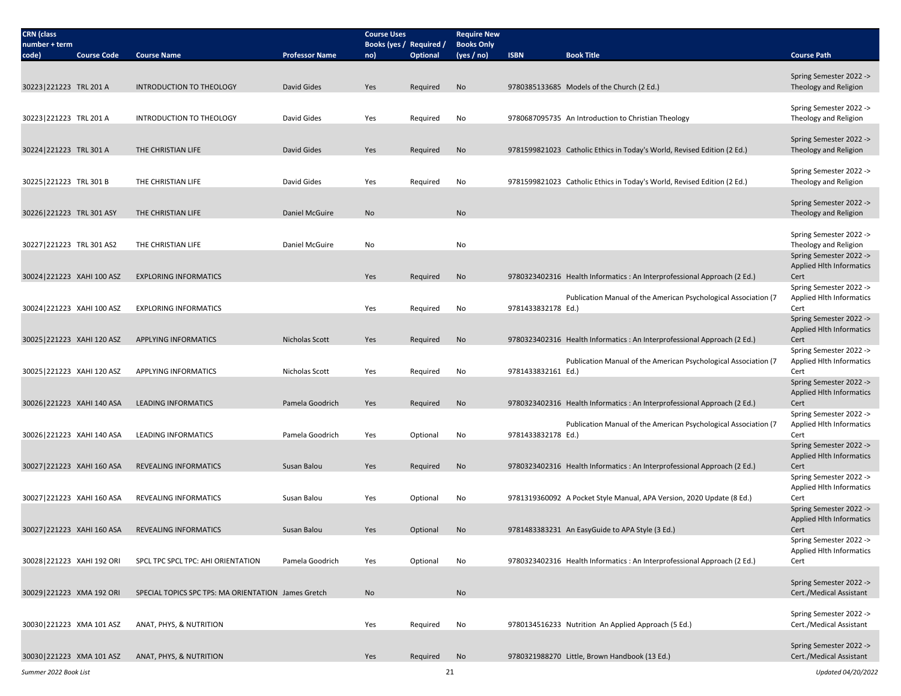| <b>CRN</b> (class         |                    |                                                     |                       | <b>Course Uses</b>             |                 | <b>Require New</b>              |                    |                                                                          |                                                            |
|---------------------------|--------------------|-----------------------------------------------------|-----------------------|--------------------------------|-----------------|---------------------------------|--------------------|--------------------------------------------------------------------------|------------------------------------------------------------|
| number + term<br>code)    | <b>Course Code</b> | <b>Course Name</b>                                  | <b>Professor Name</b> | Books (yes / Required /<br>no) | <b>Optional</b> | <b>Books Only</b><br>(yes / no) | <b>ISBN</b>        | <b>Book Title</b>                                                        | <b>Course Path</b>                                         |
|                           |                    |                                                     |                       |                                |                 |                                 |                    |                                                                          |                                                            |
|                           |                    |                                                     |                       |                                |                 |                                 |                    |                                                                          | Spring Semester 2022 ->                                    |
| 30223 221223 TRL 201 A    |                    | INTRODUCTION TO THEOLOGY                            | David Gides           | Yes                            | Required        | No                              |                    | 9780385133685 Models of the Church (2 Ed.)                               | Theology and Religion                                      |
|                           |                    |                                                     |                       |                                |                 |                                 |                    |                                                                          | Spring Semester 2022 ->                                    |
| 30223 221223 TRL 201 A    |                    | INTRODUCTION TO THEOLOGY                            | David Gides           | Yes                            | Required        | No                              |                    | 9780687095735 An Introduction to Christian Theology                      | Theology and Religion                                      |
|                           |                    |                                                     |                       |                                |                 |                                 |                    |                                                                          |                                                            |
| 30224 221223 TRL 301 A    |                    | THE CHRISTIAN LIFE                                  | David Gides           | Yes                            | Required        | No                              |                    | 9781599821023 Catholic Ethics in Today's World, Revised Edition (2 Ed.)  | Spring Semester 2022 -><br>Theology and Religion           |
|                           |                    |                                                     |                       |                                |                 |                                 |                    |                                                                          |                                                            |
|                           |                    |                                                     |                       |                                |                 |                                 |                    |                                                                          | Spring Semester 2022 ->                                    |
| 30225 221223 TRL 301 B    |                    | THE CHRISTIAN LIFE                                  | David Gides           | Yes                            | Required        | No                              |                    | 9781599821023 Catholic Ethics in Today's World, Revised Edition (2 Ed.)  | Theology and Religion                                      |
|                           |                    |                                                     |                       |                                |                 |                                 |                    |                                                                          | Spring Semester 2022 ->                                    |
| 30226 221223 TRL 301 ASY  |                    | THE CHRISTIAN LIFE                                  | Daniel McGuire        | No                             |                 | No                              |                    |                                                                          | Theology and Religion                                      |
|                           |                    |                                                     |                       |                                |                 |                                 |                    |                                                                          | Spring Semester 2022 ->                                    |
| 30227 221223 TRL 301 AS2  |                    | THE CHRISTIAN LIFE                                  | Daniel McGuire        | No                             |                 | No                              |                    |                                                                          | Theology and Religion                                      |
|                           |                    |                                                     |                       |                                |                 |                                 |                    |                                                                          | Spring Semester 2022 ->                                    |
|                           |                    | <b>EXPLORING INFORMATICS</b>                        |                       |                                |                 |                                 |                    |                                                                          | <b>Applied Hlth Informatics</b>                            |
| 30024 221223 XAHI 100 ASZ |                    |                                                     |                       | Yes                            | Required        | No                              |                    | 9780323402316 Health Informatics : An Interprofessional Approach (2 Ed.) | Cert<br>Spring Semester 2022 ->                            |
|                           |                    |                                                     |                       |                                |                 |                                 |                    | Publication Manual of the American Psychological Association (7          | <b>Applied Hlth Informatics</b>                            |
| 30024 221223 XAHI 100 ASZ |                    | <b>EXPLORING INFORMATICS</b>                        |                       | Yes                            | Required        | No                              | 9781433832178 Ed.) |                                                                          | Cert                                                       |
|                           |                    |                                                     |                       |                                |                 |                                 |                    |                                                                          | Spring Semester 2022 -><br><b>Applied Hlth Informatics</b> |
| 30025 221223 XAHI 120 ASZ |                    | <b>APPLYING INFORMATICS</b>                         | Nicholas Scott        | Yes                            | Required        | No                              |                    | 9780323402316 Health Informatics : An Interprofessional Approach (2 Ed.) | Cert                                                       |
|                           |                    |                                                     |                       |                                |                 |                                 |                    |                                                                          | Spring Semester 2022 ->                                    |
| 30025 221223 XAHI 120 ASZ |                    | APPLYING INFORMATICS                                | Nicholas Scott        | Yes                            | Required        | No                              | 9781433832161 Ed.) | Publication Manual of the American Psychological Association (7          | <b>Applied Hlth Informatics</b><br>Cert                    |
|                           |                    |                                                     |                       |                                |                 |                                 |                    |                                                                          | Spring Semester 2022 ->                                    |
|                           |                    |                                                     |                       |                                |                 |                                 |                    |                                                                          | <b>Applied Hlth Informatics</b>                            |
| 30026 221223 XAHI 140 ASA |                    | <b>LEADING INFORMATICS</b>                          | Pamela Goodrich       | Yes                            | Required        | No                              |                    | 9780323402316 Health Informatics : An Interprofessional Approach (2 Ed.) | Cert                                                       |
|                           |                    |                                                     |                       |                                |                 |                                 |                    | Publication Manual of the American Psychological Association (7          | Spring Semester 2022 -><br><b>Applied Hlth Informatics</b> |
| 30026 221223 XAHI 140 ASA |                    | <b>LEADING INFORMATICS</b>                          | Pamela Goodrich       | Yes                            | Optional        | No                              | 9781433832178 Ed.) |                                                                          | Cert                                                       |
|                           |                    |                                                     |                       |                                |                 |                                 |                    |                                                                          | Spring Semester 2022 ->                                    |
| 30027 221223 XAHI 160 ASA |                    | <b>REVEALING INFORMATICS</b>                        | Susan Balou           | Yes                            | Required        | No                              |                    | 9780323402316 Health Informatics : An Interprofessional Approach (2 Ed.) | <b>Applied Hlth Informatics</b><br>Cert                    |
|                           |                    |                                                     |                       |                                |                 |                                 |                    |                                                                          | Spring Semester 2022 ->                                    |
|                           |                    |                                                     |                       |                                |                 |                                 |                    |                                                                          | <b>Applied Hlth Informatics</b>                            |
| 30027 221223 XAHI 160 ASA |                    | REVEALING INFORMATICS                               | Susan Balou           | Yes                            | Optional        | No                              |                    | 9781319360092 A Pocket Style Manual, APA Version, 2020 Update (8 Ed.)    | Cert<br>Spring Semester 2022 ->                            |
|                           |                    |                                                     |                       |                                |                 |                                 |                    |                                                                          | <b>Applied Hlth Informatics</b>                            |
| 30027 221223 XAHI 160 ASA |                    | <b>REVEALING INFORMATICS</b>                        | Susan Balou           | Yes                            | Optional        | No                              |                    | 9781483383231 An EasyGuide to APA Style (3 Ed.)                          | Cert                                                       |
|                           |                    |                                                     |                       |                                |                 |                                 |                    |                                                                          | Spring Semester 2022 ->                                    |
| 30028 221223 XAHI 192 ORI |                    | SPCL TPC SPCL TPC: AHI ORIENTATION                  | Pamela Goodrich       | Yes                            | Optional        | No                              |                    | 9780323402316 Health Informatics : An Interprofessional Approach (2 Ed.) | Applied Hlth Informatics<br>Cert                           |
|                           |                    |                                                     |                       |                                |                 |                                 |                    |                                                                          |                                                            |
|                           |                    |                                                     |                       |                                |                 |                                 |                    |                                                                          | Spring Semester 2022 ->                                    |
| 30029 221223 XMA 192 ORI  |                    | SPECIAL TOPICS SPC TPS: MA ORIENTATION James Gretch |                       | No                             |                 | No                              |                    |                                                                          | Cert./Medical Assistant                                    |
|                           |                    |                                                     |                       |                                |                 |                                 |                    |                                                                          | Spring Semester 2022 ->                                    |
| 30030 221223 XMA 101 ASZ  |                    | ANAT, PHYS, & NUTRITION                             |                       | Yes                            | Required        | No                              |                    | 9780134516233 Nutrition An Applied Approach (5 Ed.)                      | Cert./Medical Assistant                                    |
|                           |                    |                                                     |                       |                                |                 |                                 |                    |                                                                          | Spring Semester 2022 ->                                    |
| 30030 221223 XMA 101 ASZ  |                    | ANAT, PHYS, & NUTRITION                             |                       | Yes                            | Required        | No                              |                    | 9780321988270 Little, Brown Handbook (13 Ed.)                            | Cert./Medical Assistant                                    |
|                           |                    |                                                     |                       |                                |                 |                                 |                    |                                                                          |                                                            |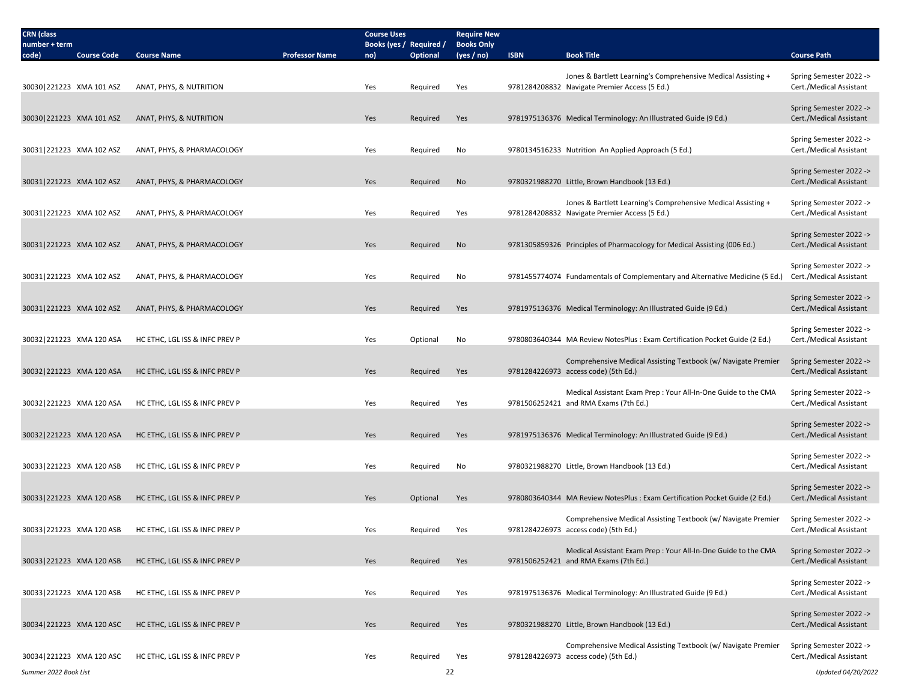| <b>CRN</b> (class                            |                                |                       | <b>Course Uses</b>             |                 | <b>Require New</b>              |             |                                                                                                        |                                                    |
|----------------------------------------------|--------------------------------|-----------------------|--------------------------------|-----------------|---------------------------------|-------------|--------------------------------------------------------------------------------------------------------|----------------------------------------------------|
| number + term<br>code)<br><b>Course Code</b> | <b>Course Name</b>             | <b>Professor Name</b> | Books (yes / Required /<br>no) | <b>Optional</b> | <b>Books Only</b><br>(yes / no) | <b>ISBN</b> | <b>Book Title</b>                                                                                      | <b>Course Path</b>                                 |
|                                              |                                |                       |                                |                 |                                 |             | Jones & Bartlett Learning's Comprehensive Medical Assisting +                                          | Spring Semester 2022 ->                            |
| 30030 221223 XMA 101 ASZ                     | ANAT, PHYS, & NUTRITION        |                       | Yes                            | Required        | Yes                             |             | 9781284208832 Navigate Premier Access (5 Ed.)                                                          | Cert./Medical Assistant                            |
|                                              |                                |                       |                                |                 |                                 |             |                                                                                                        | Spring Semester 2022 ->                            |
| 30030 221223 XMA 101 ASZ                     | ANAT, PHYS, & NUTRITION        |                       | Yes                            | Required        | Yes                             |             | 9781975136376 Medical Terminology: An Illustrated Guide (9 Ed.)                                        | Cert./Medical Assistant                            |
|                                              |                                |                       |                                |                 |                                 |             |                                                                                                        | Spring Semester 2022 ->                            |
| 30031 221223 XMA 102 ASZ                     | ANAT, PHYS, & PHARMACOLOGY     |                       | Yes                            | Required        | No                              |             | 9780134516233 Nutrition An Applied Approach (5 Ed.)                                                    | Cert./Medical Assistant                            |
|                                              |                                |                       |                                |                 |                                 |             |                                                                                                        | Spring Semester 2022 ->                            |
| 30031 221223 XMA 102 ASZ                     | ANAT, PHYS, & PHARMACOLOGY     |                       | Yes                            | Required        | No                              |             | 9780321988270 Little, Brown Handbook (13 Ed.)                                                          | Cert./Medical Assistant                            |
|                                              |                                |                       |                                |                 |                                 |             | Jones & Bartlett Learning's Comprehensive Medical Assisting +                                          | Spring Semester 2022 ->                            |
| 30031 221223 XMA 102 ASZ                     | ANAT, PHYS, & PHARMACOLOGY     |                       | Yes                            | Required        | Yes                             |             | 9781284208832 Navigate Premier Access (5 Ed.)                                                          | Cert./Medical Assistant                            |
|                                              |                                |                       |                                |                 |                                 |             |                                                                                                        | Spring Semester 2022 ->                            |
| 30031 221223 XMA 102 ASZ                     | ANAT, PHYS, & PHARMACOLOGY     |                       | Yes                            | Required        | No                              |             | 9781305859326 Principles of Pharmacology for Medical Assisting (006 Ed.)                               | Cert./Medical Assistant                            |
|                                              |                                |                       |                                |                 |                                 |             |                                                                                                        | Spring Semester 2022 ->                            |
| 30031 221223 XMA 102 ASZ                     | ANAT, PHYS, & PHARMACOLOGY     |                       | Yes                            | Required        | No                              |             | 9781455774074 Fundamentals of Complementary and Alternative Medicine (5 Ed.)                           | Cert./Medical Assistant                            |
|                                              |                                |                       |                                |                 |                                 |             |                                                                                                        | Spring Semester 2022 ->                            |
| 30031 221223 XMA 102 ASZ                     | ANAT, PHYS, & PHARMACOLOGY     |                       | Yes                            | Required        | Yes                             |             | 9781975136376 Medical Terminology: An Illustrated Guide (9 Ed.)                                        | Cert./Medical Assistant                            |
|                                              |                                |                       |                                |                 |                                 |             |                                                                                                        | Spring Semester 2022 ->                            |
| 30032 221223 XMA 120 ASA                     | HC ETHC, LGL ISS & INFC PREV P |                       | Yes                            | Optional        | No                              |             | 9780803640344 MA Review NotesPlus : Exam Certification Pocket Guide (2 Ed.)                            | Cert./Medical Assistant                            |
|                                              |                                |                       |                                |                 |                                 |             | Comprehensive Medical Assisting Textbook (w/ Navigate Premier                                          | Spring Semester 2022 ->                            |
| 30032 221223 XMA 120 ASA                     | HC ETHC, LGL ISS & INFC PREV P |                       | Yes                            | Required        | Yes                             |             | 9781284226973 access code) (5th Ed.)                                                                   | Cert./Medical Assistant                            |
| 30032 221223 XMA 120 ASA                     | HC ETHC, LGL ISS & INFC PREV P |                       | Yes                            | Required        | Yes                             |             | Medical Assistant Exam Prep: Your All-In-One Guide to the CMA<br>9781506252421 and RMA Exams (7th Ed.) | Spring Semester 2022 -><br>Cert./Medical Assistant |
|                                              |                                |                       |                                |                 |                                 |             |                                                                                                        |                                                    |
| 30032 221223 XMA 120 ASA                     | HC ETHC, LGL ISS & INFC PREV P |                       | Yes                            | Required        | Yes                             |             | 9781975136376 Medical Terminology: An Illustrated Guide (9 Ed.)                                        | Spring Semester 2022 -><br>Cert./Medical Assistant |
|                                              |                                |                       |                                |                 |                                 |             |                                                                                                        |                                                    |
| 30033 221223 XMA 120 ASB                     | HC ETHC, LGL ISS & INFC PREV P |                       | Yes                            | Required        | No                              |             | 9780321988270 Little, Brown Handbook (13 Ed.)                                                          | Spring Semester 2022 -><br>Cert./Medical Assistant |
|                                              |                                |                       |                                |                 |                                 |             |                                                                                                        |                                                    |
| 30033 221223 XMA 120 ASB                     | HC ETHC, LGL ISS & INFC PREV P |                       | Yes                            | Optional        | Yes                             |             | 9780803640344 MA Review NotesPlus : Exam Certification Pocket Guide (2 Ed.)                            | Spring Semester 2022 -><br>Cert./Medical Assistant |
|                                              |                                |                       |                                |                 |                                 |             |                                                                                                        |                                                    |
| 30033 221223 XMA 120 ASB                     | HC ETHC, LGL ISS & INFC PREV P |                       | Yes                            | Required        | Yes                             |             | Comprehensive Medical Assisting Textbook (w/ Navigate Premier<br>9781284226973 access code) (5th Ed.)  | Spring Semester 2022 -><br>Cert./Medical Assistant |
|                                              |                                |                       |                                |                 |                                 |             | Medical Assistant Exam Prep: Your All-In-One Guide to the CMA                                          | Spring Semester 2022 ->                            |
| 30033 221223 XMA 120 ASB                     | HC ETHC, LGL ISS & INFC PREV P |                       | Yes                            | Required        | Yes                             |             | 9781506252421 and RMA Exams (7th Ed.)                                                                  | Cert./Medical Assistant                            |
|                                              |                                |                       |                                |                 |                                 |             |                                                                                                        | Spring Semester 2022 ->                            |
| 30033 221223 XMA 120 ASB                     | HC ETHC, LGL ISS & INFC PREV P |                       | Yes                            | Required        | Yes                             |             | 9781975136376 Medical Terminology: An Illustrated Guide (9 Ed.)                                        | Cert./Medical Assistant                            |
|                                              |                                |                       |                                |                 |                                 |             |                                                                                                        | Spring Semester 2022 ->                            |
| 30034 221223 XMA 120 ASC                     | HC ETHC, LGL ISS & INFC PREV P |                       | Yes                            | Required        | Yes                             |             | 9780321988270 Little, Brown Handbook (13 Ed.)                                                          | Cert./Medical Assistant                            |
|                                              |                                |                       |                                |                 |                                 |             | Comprehensive Medical Assisting Textbook (w/ Navigate Premier                                          | Spring Semester 2022 ->                            |
| 30034 221223 XMA 120 ASC                     | HC ETHC, LGL ISS & INFC PREV P |                       | Yes                            | Required        | Yes                             |             | 9781284226973 access code) (5th Ed.)                                                                   | Cert./Medical Assistant                            |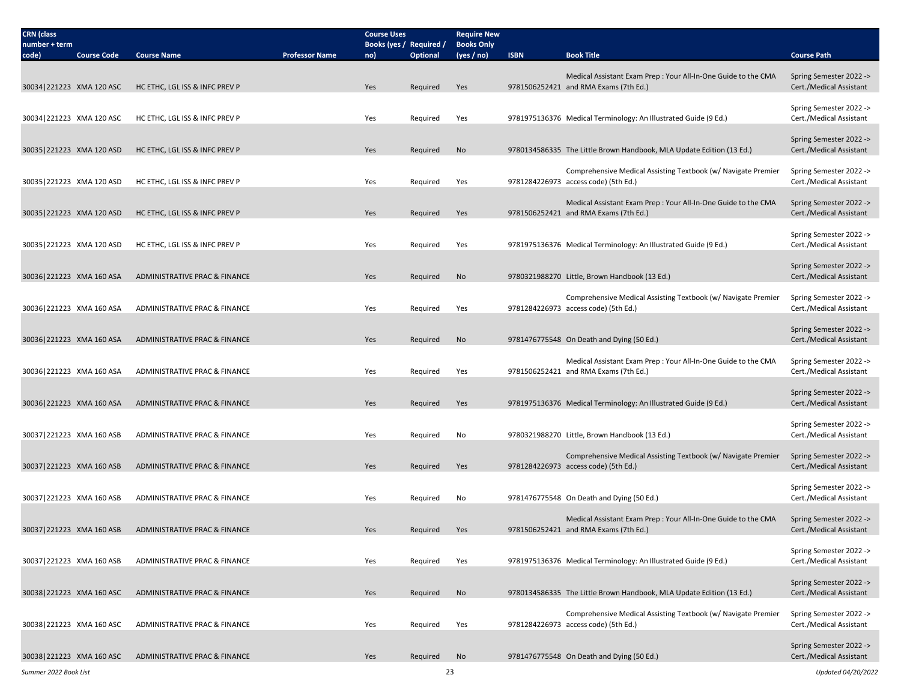| <b>CRN</b> (class          |                    |                                |                       | <b>Course Uses</b>             |          | <b>Require New</b>              |             |                                                                                                        |                                                    |
|----------------------------|--------------------|--------------------------------|-----------------------|--------------------------------|----------|---------------------------------|-------------|--------------------------------------------------------------------------------------------------------|----------------------------------------------------|
| number + term<br>code)     | <b>Course Code</b> | <b>Course Name</b>             | <b>Professor Name</b> | Books (yes / Required /<br>no) | Optional | <b>Books Only</b><br>(yes / no) | <b>ISBN</b> | <b>Book Title</b>                                                                                      | <b>Course Path</b>                                 |
|                            |                    |                                |                       |                                |          |                                 |             |                                                                                                        |                                                    |
| 30034 221223 XMA 120 ASC   |                    | HC ETHC, LGL ISS & INFC PREV P |                       | Yes                            | Required | Yes                             |             | Medical Assistant Exam Prep: Your All-In-One Guide to the CMA<br>9781506252421 and RMA Exams (7th Ed.) | Spring Semester 2022 -><br>Cert./Medical Assistant |
|                            |                    |                                |                       |                                |          |                                 |             |                                                                                                        |                                                    |
| 30034 221223 XMA 120 ASC   |                    | HC ETHC, LGL ISS & INFC PREV P |                       | Yes                            | Required | Yes                             |             | 9781975136376 Medical Terminology: An Illustrated Guide (9 Ed.)                                        | Spring Semester 2022 -><br>Cert./Medical Assistant |
|                            |                    |                                |                       |                                |          |                                 |             |                                                                                                        |                                                    |
| 30035 221223 XMA 120 ASD   |                    | HC ETHC, LGL ISS & INFC PREV P |                       | Yes                            | Required | No                              |             | 9780134586335 The Little Brown Handbook, MLA Update Edition (13 Ed.)                                   | Spring Semester 2022 -><br>Cert./Medical Assistant |
|                            |                    |                                |                       |                                |          |                                 |             |                                                                                                        |                                                    |
|                            |                    |                                |                       |                                |          |                                 |             | Comprehensive Medical Assisting Textbook (w/ Navigate Premier                                          | Spring Semester 2022 ->                            |
| 30035 221223 XMA 120 ASD   |                    | HC ETHC, LGL ISS & INFC PREV P |                       | Yes                            | Required | Yes                             |             | 9781284226973 access code) (5th Ed.)                                                                   | Cert./Medical Assistant                            |
|                            |                    |                                |                       |                                |          |                                 |             | Medical Assistant Exam Prep: Your All-In-One Guide to the CMA                                          | Spring Semester 2022 ->                            |
| 30035 221223 XMA 120 ASD   |                    | HC ETHC, LGL ISS & INFC PREV P |                       | Yes                            | Required | Yes                             |             | 9781506252421 and RMA Exams (7th Ed.)                                                                  | Cert./Medical Assistant                            |
|                            |                    |                                |                       |                                |          |                                 |             |                                                                                                        | Spring Semester 2022 ->                            |
| 30035 221223 XMA 120 ASD   |                    | HC ETHC, LGL ISS & INFC PREV P |                       | Yes                            | Required | Yes                             |             | 9781975136376 Medical Terminology: An Illustrated Guide (9 Ed.)                                        | Cert./Medical Assistant                            |
|                            |                    |                                |                       |                                |          |                                 |             |                                                                                                        | Spring Semester 2022 ->                            |
| 30036 221223 XMA 160 ASA   |                    | ADMINISTRATIVE PRAC & FINANCE  |                       | Yes                            | Required | No                              |             | 9780321988270 Little, Brown Handbook (13 Ed.)                                                          | Cert./Medical Assistant                            |
|                            |                    |                                |                       |                                |          |                                 |             | Comprehensive Medical Assisting Textbook (w/ Navigate Premier                                          | Spring Semester 2022 ->                            |
| 30036 221223 XMA 160 ASA   |                    | ADMINISTRATIVE PRAC & FINANCE  |                       | Yes                            | Required | Yes                             |             | 9781284226973 access code) (5th Ed.)                                                                   | Cert./Medical Assistant                            |
|                            |                    |                                |                       |                                |          |                                 |             |                                                                                                        | Spring Semester 2022 ->                            |
| 30036 221223 XMA 160 ASA   |                    | ADMINISTRATIVE PRAC & FINANCE  |                       | Yes                            | Required | No                              |             | 9781476775548 On Death and Dying (50 Ed.)                                                              | Cert./Medical Assistant                            |
|                            |                    |                                |                       |                                |          |                                 |             | Medical Assistant Exam Prep : Your All-In-One Guide to the CMA                                         | Spring Semester 2022 ->                            |
| 30036 221223 XMA 160 ASA   |                    | ADMINISTRATIVE PRAC & FINANCE  |                       | Yes                            | Required | Yes                             |             | 9781506252421 and RMA Exams (7th Ed.)                                                                  | Cert./Medical Assistant                            |
|                            |                    |                                |                       |                                |          |                                 |             |                                                                                                        | Spring Semester 2022 ->                            |
| 30036 221223 XMA 160 ASA   |                    | ADMINISTRATIVE PRAC & FINANCE  |                       | Yes                            | Required | Yes                             |             | 9781975136376 Medical Terminology: An Illustrated Guide (9 Ed.)                                        | Cert./Medical Assistant                            |
|                            |                    |                                |                       |                                |          |                                 |             |                                                                                                        |                                                    |
| 30037 221223 XMA 160 ASB   |                    | ADMINISTRATIVE PRAC & FINANCE  |                       | Yes                            | Required | No                              |             | 9780321988270 Little, Brown Handbook (13 Ed.)                                                          | Spring Semester 2022 -><br>Cert./Medical Assistant |
|                            |                    |                                |                       |                                |          |                                 |             |                                                                                                        |                                                    |
| 30037 221223 XMA 160 ASB   |                    | ADMINISTRATIVE PRAC & FINANCE  |                       | Yes                            | Required | Yes                             |             | Comprehensive Medical Assisting Textbook (w/ Navigate Premier<br>9781284226973 access code) (5th Ed.)  | Spring Semester 2022 -><br>Cert./Medical Assistant |
|                            |                    |                                |                       |                                |          |                                 |             |                                                                                                        |                                                    |
| 30037 221223 XMA 160 ASB   |                    | ADMINISTRATIVE PRAC & FINANCE  |                       | Yes                            | Required | No                              |             | 9781476775548 On Death and Dying (50 Ed.)                                                              | Spring Semester 2022 -><br>Cert./Medical Assistant |
|                            |                    |                                |                       |                                |          |                                 |             |                                                                                                        |                                                    |
| 30037 221223 XMA 160 ASB   |                    | ADMINISTRATIVE PRAC & FINANCE  |                       | Yes                            | Required | Yes                             |             | Medical Assistant Exam Prep: Your All-In-One Guide to the CMA<br>9781506252421 and RMA Exams (7th Ed.) | Spring Semester 2022 -><br>Cert./Medical Assistant |
|                            |                    |                                |                       |                                |          |                                 |             |                                                                                                        |                                                    |
| 30037   221223 XMA 160 ASB |                    | ADMINISTRATIVE PRAC & FINANCE  |                       | Yes                            | Required | Yes                             |             | 9781975136376 Medical Terminology: An Illustrated Guide (9 Ed.)                                        | Spring Semester 2022 -><br>Cert./Medical Assistant |
|                            |                    |                                |                       |                                |          |                                 |             |                                                                                                        |                                                    |
|                            |                    |                                |                       |                                |          |                                 |             |                                                                                                        | Spring Semester 2022 ->                            |
| 30038 221223 XMA 160 ASC   |                    | ADMINISTRATIVE PRAC & FINANCE  |                       | Yes                            | Required | No                              |             | 9780134586335 The Little Brown Handbook, MLA Update Edition (13 Ed.)                                   | Cert./Medical Assistant                            |
|                            |                    |                                |                       |                                |          |                                 |             | Comprehensive Medical Assisting Textbook (w/ Navigate Premier                                          | Spring Semester 2022 ->                            |
| 30038 221223 XMA 160 ASC   |                    | ADMINISTRATIVE PRAC & FINANCE  |                       | Yes                            | Required | Yes                             |             | 9781284226973 access code) (5th Ed.)                                                                   | Cert./Medical Assistant                            |
|                            |                    |                                |                       |                                |          |                                 |             |                                                                                                        | Spring Semester 2022 ->                            |
| 30038 221223 XMA 160 ASC   |                    | ADMINISTRATIVE PRAC & FINANCE  |                       | Yes                            | Required | No                              |             | 9781476775548 On Death and Dying (50 Ed.)                                                              | Cert./Medical Assistant                            |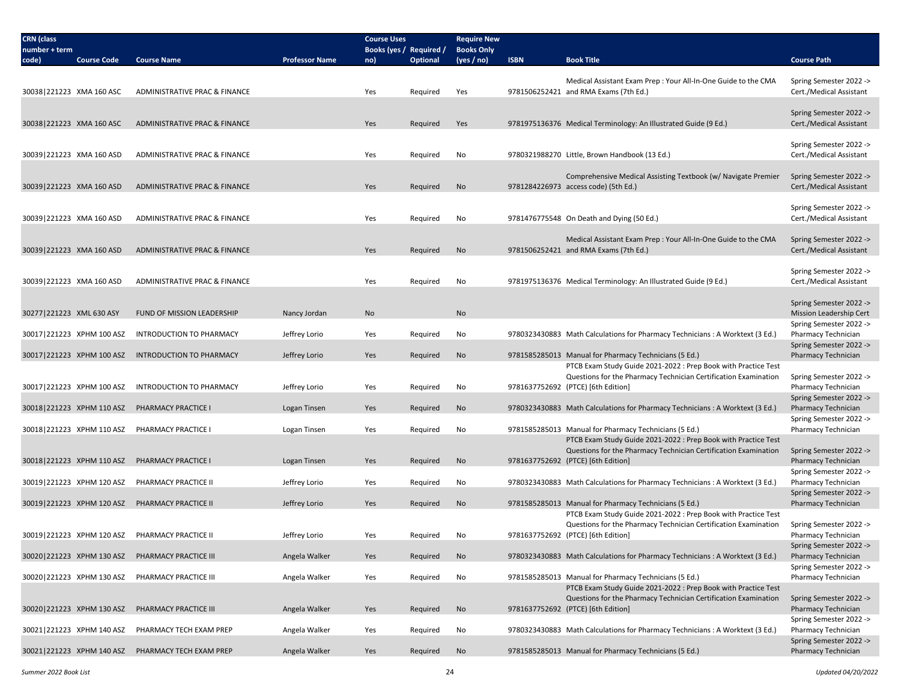| <b>CRN</b> (class           |                           |                                                     |                       | <b>Course Uses</b>      |          | <b>Require New</b> |             |                                                                                                                                   |                                                    |
|-----------------------------|---------------------------|-----------------------------------------------------|-----------------------|-------------------------|----------|--------------------|-------------|-----------------------------------------------------------------------------------------------------------------------------------|----------------------------------------------------|
| number + term               |                           |                                                     |                       | Books (yes / Required / |          | <b>Books Only</b>  |             |                                                                                                                                   |                                                    |
| code)                       | <b>Course Code</b>        | <b>Course Name</b>                                  | <b>Professor Name</b> | no)                     | Optional | (yes / no)         | <b>ISBN</b> | <b>Book Title</b>                                                                                                                 | <b>Course Path</b>                                 |
|                             |                           |                                                     |                       |                         |          |                    |             | Medical Assistant Exam Prep: Your All-In-One Guide to the CMA                                                                     | Spring Semester 2022 ->                            |
| 30038 221223 XMA 160 ASC    |                           | ADMINISTRATIVE PRAC & FINANCE                       |                       | Yes                     | Required | Yes                |             | 9781506252421 and RMA Exams (7th Ed.)                                                                                             | Cert./Medical Assistant                            |
|                             |                           |                                                     |                       |                         |          |                    |             |                                                                                                                                   |                                                    |
|                             |                           |                                                     |                       |                         |          |                    |             |                                                                                                                                   | Spring Semester 2022 ->                            |
| 30038 221223 XMA 160 ASC    |                           | ADMINISTRATIVE PRAC & FINANCE                       |                       | Yes                     | Required | Yes                |             | 9781975136376 Medical Terminology: An Illustrated Guide (9 Ed.)                                                                   | Cert./Medical Assistant                            |
|                             |                           |                                                     |                       |                         |          |                    |             |                                                                                                                                   | Spring Semester 2022 ->                            |
| 30039 221223 XMA 160 ASD    |                           | ADMINISTRATIVE PRAC & FINANCE                       |                       | Yes                     | Required | No                 |             | 9780321988270 Little, Brown Handbook (13 Ed.)                                                                                     | Cert./Medical Assistant                            |
|                             |                           |                                                     |                       |                         |          |                    |             |                                                                                                                                   |                                                    |
| 30039 221223 XMA 160 ASD    |                           | ADMINISTRATIVE PRAC & FINANCE                       |                       | Yes                     | Required | No                 |             | Comprehensive Medical Assisting Textbook (w/ Navigate Premier<br>9781284226973 access code) (5th Ed.)                             | Spring Semester 2022 -><br>Cert./Medical Assistant |
|                             |                           |                                                     |                       |                         |          |                    |             |                                                                                                                                   |                                                    |
|                             |                           |                                                     |                       |                         |          |                    |             |                                                                                                                                   | Spring Semester 2022 ->                            |
| 30039 221223 XMA 160 ASD    |                           | ADMINISTRATIVE PRAC & FINANCE                       |                       | Yes                     | Required | No                 |             | 9781476775548 On Death and Dying (50 Ed.)                                                                                         | Cert./Medical Assistant                            |
|                             |                           |                                                     |                       |                         |          |                    |             | Medical Assistant Exam Prep: Your All-In-One Guide to the CMA                                                                     | Spring Semester 2022 ->                            |
| 30039 221223 XMA 160 ASD    |                           | ADMINISTRATIVE PRAC & FINANCE                       |                       | Yes                     | Required | No                 |             | 9781506252421 and RMA Exams (7th Ed.)                                                                                             | Cert./Medical Assistant                            |
|                             |                           |                                                     |                       |                         |          |                    |             |                                                                                                                                   |                                                    |
|                             |                           |                                                     |                       |                         |          |                    |             |                                                                                                                                   | Spring Semester 2022 ->                            |
| 30039 221223 XMA 160 ASD    |                           | ADMINISTRATIVE PRAC & FINANCE                       |                       | Yes                     | Required | No                 |             | 9781975136376 Medical Terminology: An Illustrated Guide (9 Ed.)                                                                   | Cert./Medical Assistant                            |
|                             |                           |                                                     |                       |                         |          |                    |             |                                                                                                                                   | Spring Semester 2022 ->                            |
| 30277 221223 XML 630 ASY    |                           | FUND OF MISSION LEADERSHIP                          | Nancy Jordan          | No                      |          | No                 |             |                                                                                                                                   | Mission Leadership Cert                            |
|                             |                           |                                                     |                       |                         |          |                    |             |                                                                                                                                   | Spring Semester 2022 ->                            |
| 30017   221223 XPHM 100 ASZ |                           | INTRODUCTION TO PHARMACY                            | Jeffrey Lorio         | Yes                     | Required | No                 |             | 9780323430883 Math Calculations for Pharmacy Technicians: A Worktext (3 Ed.)                                                      | Pharmacy Technician<br>Spring Semester 2022 ->     |
|                             | 30017 221223 XPHM 100 ASZ | <b>INTRODUCTION TO PHARMACY</b>                     | Jeffrey Lorio         | Yes                     | Required | No                 |             | 9781585285013 Manual for Pharmacy Technicians (5 Ed.)                                                                             | Pharmacy Technician                                |
|                             |                           |                                                     |                       |                         |          |                    |             | PTCB Exam Study Guide 2021-2022 : Prep Book with Practice Test                                                                    |                                                    |
|                             |                           |                                                     |                       |                         |          |                    |             | Questions for the Pharmacy Technician Certification Examination                                                                   | Spring Semester 2022 ->                            |
| 30017 221223 XPHM 100 ASZ   |                           | INTRODUCTION TO PHARMACY                            | Jeffrey Lorio         | Yes                     | Required | No                 |             | 9781637752692 (PTCE) [6th Edition]                                                                                                | Pharmacy Technician<br>Spring Semester 2022 ->     |
|                             | 30018 221223 XPHM 110 ASZ | PHARMACY PRACTICE I                                 | Logan Tinsen          | Yes                     | Required | No                 |             | 9780323430883 Math Calculations for Pharmacy Technicians : A Worktext (3 Ed.)                                                     | Pharmacy Technician                                |
|                             |                           |                                                     |                       |                         |          |                    |             |                                                                                                                                   | Spring Semester 2022 ->                            |
| 30018 221223 XPHM 110 ASZ   |                           | PHARMACY PRACTICE I                                 | Logan Tinsen          | Yes                     | Required | No                 |             | 9781585285013 Manual for Pharmacy Technicians (5 Ed.)                                                                             | Pharmacy Technician                                |
|                             |                           |                                                     |                       |                         |          |                    |             | PTCB Exam Study Guide 2021-2022 : Prep Book with Practice Test<br>Questions for the Pharmacy Technician Certification Examination | Spring Semester 2022 ->                            |
|                             | 30018 221223 XPHM 110 ASZ | PHARMACY PRACTICE I                                 | Logan Tinsen          | Yes                     | Required | No                 |             | 9781637752692 (PTCE) [6th Edition]                                                                                                | Pharmacy Technician                                |
|                             |                           |                                                     |                       |                         |          |                    |             |                                                                                                                                   | Spring Semester 2022 ->                            |
| 30019 221223 XPHM 120 ASZ   |                           | PHARMACY PRACTICE II                                | Jeffrey Lorio         | Yes                     | Required | No                 |             | 9780323430883 Math Calculations for Pharmacy Technicians : A Worktext (3 Ed.)                                                     | Pharmacy Technician                                |
|                             |                           | 30019   221223 XPHM 120 ASZ PHARMACY PRACTICE II    | Jeffrey Lorio         | Yes                     | Required | No                 |             | 9781585285013 Manual for Pharmacy Technicians (5 Ed.)                                                                             | Spring Semester 2022 -><br>Pharmacy Technician     |
|                             |                           |                                                     |                       |                         |          |                    |             | PTCB Exam Study Guide 2021-2022 : Prep Book with Practice Test                                                                    |                                                    |
|                             |                           |                                                     |                       |                         |          |                    |             | Questions for the Pharmacy Technician Certification Examination                                                                   | Spring Semester 2022 ->                            |
|                             | 30019 221223 XPHM 120 ASZ | PHARMACY PRACTICE II                                | Jeffrey Lorio         | Yes                     | Required | No                 |             | 9781637752692 (PTCE) [6th Edition]                                                                                                | Pharmacy Technician                                |
|                             |                           | 30020   221223 XPHM 130 ASZ PHARMACY PRACTICE III   | Angela Walker         |                         |          |                    |             |                                                                                                                                   | Spring Semester 2022 ->                            |
|                             |                           |                                                     |                       | Yes                     | Required | No                 |             | 9780323430883 Math Calculations for Pharmacy Technicians: A Worktext (3 Ed.)                                                      | Pharmacy Technician<br>Spring Semester 2022 ->     |
|                             | 30020 221223 XPHM 130 ASZ | PHARMACY PRACTICE III                               | Angela Walker         | Yes                     | Required | No                 |             | 9781585285013 Manual for Pharmacy Technicians (5 Ed.)                                                                             | Pharmacy Technician                                |
|                             |                           |                                                     |                       |                         |          |                    |             | PTCB Exam Study Guide 2021-2022 : Prep Book with Practice Test                                                                    |                                                    |
|                             |                           |                                                     |                       |                         |          |                    |             | Questions for the Pharmacy Technician Certification Examination                                                                   | Spring Semester 2022 ->                            |
|                             |                           | 30020   221223 XPHM 130 ASZ PHARMACY PRACTICE III   | Angela Walker         | Yes                     | Required | No                 |             | 9781637752692 (PTCE) [6th Edition]                                                                                                | Pharmacy Technician<br>Spring Semester 2022 ->     |
| 30021 221223 XPHM 140 ASZ   |                           | PHARMACY TECH EXAM PREP                             | Angela Walker         | Yes                     | Required | No                 |             | 9780323430883 Math Calculations for Pharmacy Technicians: A Worktext (3 Ed.)                                                      | Pharmacy Technician                                |
|                             |                           |                                                     |                       |                         |          |                    |             |                                                                                                                                   | Spring Semester 2022 ->                            |
|                             |                           | 30021   221223 XPHM 140 ASZ PHARMACY TECH EXAM PREP | Angela Walker         | Yes                     | Required | No                 |             | 9781585285013 Manual for Pharmacy Technicians (5 Ed.)                                                                             | Pharmacy Technician                                |